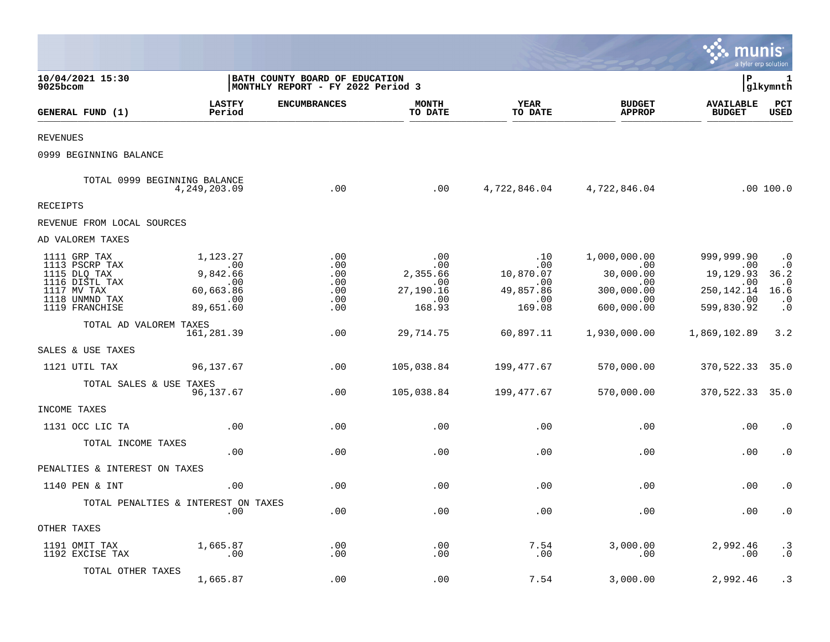|                                                                                                                     |                                                                                 |                                                                      |                                                                  |                                                                        |                                                                                       | munis                                                                      | a tyler erp solution                                                                         |
|---------------------------------------------------------------------------------------------------------------------|---------------------------------------------------------------------------------|----------------------------------------------------------------------|------------------------------------------------------------------|------------------------------------------------------------------------|---------------------------------------------------------------------------------------|----------------------------------------------------------------------------|----------------------------------------------------------------------------------------------|
| 10/04/2021 15:30<br>9025bcom                                                                                        |                                                                                 | BATH COUNTY BOARD OF EDUCATION<br> MONTHLY REPORT - FY 2022 Period 3 |                                                                  |                                                                        |                                                                                       | l P                                                                        | 1<br> glkymnth                                                                               |
| GENERAL FUND (1)                                                                                                    | <b>LASTFY</b><br>Period                                                         | <b>ENCUMBRANCES</b>                                                  | <b>MONTH</b><br>TO DATE                                          | <b>YEAR</b><br>TO DATE                                                 | <b>BUDGET</b><br><b>APPROP</b>                                                        | <b>AVAILABLE</b><br><b>BUDGET</b>                                          | PCT<br><b>USED</b>                                                                           |
| <b>REVENUES</b>                                                                                                     |                                                                                 |                                                                      |                                                                  |                                                                        |                                                                                       |                                                                            |                                                                                              |
| 0999 BEGINNING BALANCE                                                                                              |                                                                                 |                                                                      |                                                                  |                                                                        |                                                                                       |                                                                            |                                                                                              |
| TOTAL 0999 BEGINNING BALANCE                                                                                        | 4, 249, 203.09                                                                  | .00                                                                  | .00                                                              |                                                                        | 4,722,846.04 4,722,846.04                                                             |                                                                            | .00 100.0                                                                                    |
| RECEIPTS                                                                                                            |                                                                                 |                                                                      |                                                                  |                                                                        |                                                                                       |                                                                            |                                                                                              |
| REVENUE FROM LOCAL SOURCES                                                                                          |                                                                                 |                                                                      |                                                                  |                                                                        |                                                                                       |                                                                            |                                                                                              |
| AD VALOREM TAXES                                                                                                    |                                                                                 |                                                                      |                                                                  |                                                                        |                                                                                       |                                                                            |                                                                                              |
| 1111 GRP TAX<br>1113 PSCRP TAX<br>1115 DLQ TAX<br>1116 DISTL TAX<br>1117 MV TAX<br>1118 UNMND TAX<br>1119 FRANCHISE | 1,123.27<br>$\sim$ 00<br>9,842.66<br>.00<br>60,663.86<br>$\sim$ 00<br>89,651.60 | .00<br>.00<br>.00<br>.00<br>.00<br>.00<br>.00                        | .00<br>.00<br>2,355.66<br>.00<br>27,190.16<br>$\ldots$<br>168.93 | .10<br>$.00 \,$<br>10,870.07<br>.00<br>49,857.86<br>$\ldots$<br>169.08 | 1,000,000.00<br>$\sim$ 00<br>30,000.00<br>$.00 \,$<br>300,000.00<br>.00<br>600,000.00 | 999,999.90<br>.00<br>19,129.93<br>.00<br>250, 142. 14<br>.00<br>599,830.92 | $\boldsymbol{\cdot}$ 0<br>$\cdot$ 0<br>36.2<br>$\cdot$ . 0<br>16.6<br>$\cdot$ 0<br>$\cdot$ 0 |
| TOTAL AD VALOREM TAXES                                                                                              | 161,281.39                                                                      | .00                                                                  | 29,714.75                                                        | 60,897.11                                                              | 1,930,000.00                                                                          | 1,869,102.89                                                               | 3.2                                                                                          |
| SALES & USE TAXES                                                                                                   |                                                                                 |                                                                      |                                                                  |                                                                        |                                                                                       |                                                                            |                                                                                              |
| 1121 UTIL TAX                                                                                                       | 96,137.67                                                                       | .00                                                                  | 105,038.84                                                       | 199,477.67                                                             | 570,000.00                                                                            | 370,522.33 35.0                                                            |                                                                                              |
| TOTAL SALES & USE TAXES                                                                                             | 96,137.67                                                                       | .00                                                                  | 105,038.84                                                       | 199,477.67                                                             | 570,000.00                                                                            | 370,522.33 35.0                                                            |                                                                                              |
| INCOME TAXES                                                                                                        |                                                                                 |                                                                      |                                                                  |                                                                        |                                                                                       |                                                                            |                                                                                              |
| 1131 OCC LIC TA                                                                                                     | .00                                                                             | .00                                                                  | .00                                                              | .00                                                                    | .00                                                                                   | .00                                                                        | $\cdot$ 0                                                                                    |
| TOTAL INCOME TAXES                                                                                                  | .00                                                                             | .00                                                                  | .00                                                              | .00                                                                    | .00                                                                                   | .00                                                                        | $\cdot$ 0                                                                                    |
| PENALTIES & INTEREST ON TAXES                                                                                       |                                                                                 |                                                                      |                                                                  |                                                                        |                                                                                       |                                                                            |                                                                                              |
| 1140 PEN & INT                                                                                                      | .00                                                                             | .00                                                                  | .00                                                              | .00                                                                    | .00                                                                                   | .00                                                                        | $\cdot$ 0                                                                                    |
| TOTAL PENALTIES & INTEREST ON TAXES                                                                                 | .00                                                                             | .00                                                                  | .00                                                              | .00                                                                    | .00                                                                                   | .00                                                                        | $\cdot$ 0                                                                                    |
| OTHER TAXES                                                                                                         |                                                                                 |                                                                      |                                                                  |                                                                        |                                                                                       |                                                                            |                                                                                              |
| 1191 OMIT TAX<br>1192 EXCISE TAX                                                                                    | 1,665.87<br>.00                                                                 | .00<br>.00                                                           | .00<br>.00                                                       | 7.54<br>.00                                                            | 3,000.00<br>.00                                                                       | 2,992.46<br>.00                                                            | $\cdot$ 3<br>$\cdot$ 0                                                                       |
| TOTAL OTHER TAXES                                                                                                   | 1,665.87                                                                        | .00                                                                  | .00                                                              | 7.54                                                                   | 3,000.00                                                                              | 2,992.46                                                                   | . 3                                                                                          |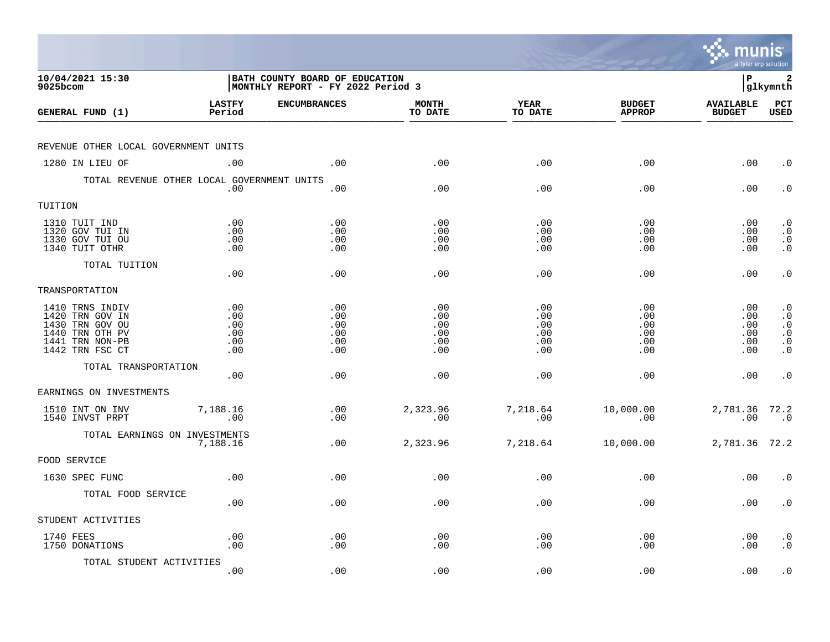|                                                                                                                |                                        |                                                                            |                                        |                                        |                                        | munis<br>a tyler erp solution           |                                                                                         |
|----------------------------------------------------------------------------------------------------------------|----------------------------------------|----------------------------------------------------------------------------|----------------------------------------|----------------------------------------|----------------------------------------|-----------------------------------------|-----------------------------------------------------------------------------------------|
| 10/04/2021 15:30<br>9025bcom                                                                                   |                                        | <b>BATH COUNTY BOARD OF EDUCATION</b><br>MONTHLY REPORT - FY 2022 Period 3 |                                        |                                        |                                        | l P                                     | 2<br> glkymnth                                                                          |
| GENERAL FUND (1)                                                                                               | <b>LASTFY</b><br>Period                | <b>ENCUMBRANCES</b>                                                        | <b>MONTH</b><br>TO DATE                | <b>YEAR</b><br>TO DATE                 | <b>BUDGET</b><br><b>APPROP</b>         | <b>AVAILABLE</b><br><b>BUDGET</b>       | $_{\rm PCT}$<br><b>USED</b>                                                             |
| REVENUE OTHER LOCAL GOVERNMENT UNITS                                                                           |                                        |                                                                            |                                        |                                        |                                        |                                         |                                                                                         |
| 1280 IN LIEU OF                                                                                                | .00                                    | .00                                                                        | .00                                    | .00                                    | .00                                    | .00                                     | $\cdot$ 0                                                                               |
| TOTAL REVENUE OTHER LOCAL GOVERNMENT UNITS                                                                     | .00                                    | .00                                                                        | .00                                    | .00                                    | .00                                    | .00                                     | $\cdot$ 0                                                                               |
| TUITION                                                                                                        |                                        |                                                                            |                                        |                                        |                                        |                                         |                                                                                         |
| 1310 TUIT IND<br>1320 GOV TUI IN<br>1330 GOV TUI OU<br>1340 TUIT OTHR                                          | .00<br>.00<br>.00<br>.00               | .00<br>.00<br>.00<br>.00                                                   | .00<br>.00<br>.00<br>.00               | .00<br>.00<br>.00<br>.00               | .00<br>.00<br>.00<br>.00               | $.00 \,$<br>$.00 \,$<br>.00<br>$.00 \,$ | $\cdot$ 0<br>$\cdot$ 0<br>$\begin{smallmatrix} 0 \\ 0 \\ 0 \end{smallmatrix}$           |
| TOTAL TUITION                                                                                                  | .00                                    | .00                                                                        | .00                                    | .00                                    | .00                                    | .00                                     | $\cdot$ 0                                                                               |
| TRANSPORTATION                                                                                                 |                                        |                                                                            |                                        |                                        |                                        |                                         |                                                                                         |
| 1410 TRNS INDIV<br>1420 TRN GOV IN<br>1430 TRN GOV OU<br>1440 TRN OTH PV<br>1441 TRN NON-PB<br>1442 TRN FSC CT | .00<br>.00<br>.00<br>.00<br>.00<br>.00 | .00<br>.00<br>.00<br>.00<br>.00<br>.00                                     | .00<br>.00<br>.00<br>.00<br>.00<br>.00 | .00<br>.00<br>.00<br>.00<br>.00<br>.00 | .00<br>.00<br>.00<br>.00<br>.00<br>.00 | .00<br>.00<br>.00<br>.00<br>.00<br>.00  | $\cdot$ 0<br>$\cdot$ 0<br>$\cdot$ 0<br>$\boldsymbol{\cdot}$ 0<br>$\cdot$ 0<br>$\cdot$ 0 |
| TOTAL TRANSPORTATION                                                                                           | .00                                    | .00                                                                        | .00                                    | .00                                    | .00                                    | .00                                     | $\cdot$ 0                                                                               |
| EARNINGS ON INVESTMENTS                                                                                        |                                        |                                                                            |                                        |                                        |                                        |                                         |                                                                                         |
| 1510 INT ON INV<br>1540 INVST PRPT                                                                             | 7,188.16<br>.00                        | .00<br>.00                                                                 | 2,323.96<br>.00                        | 7,218.64<br>.00                        | 10,000.00<br>.00                       | 2,781.36 72.2<br>.00                    | $\overline{\phantom{0}}$ .0                                                             |
| TOTAL EARNINGS ON INVESTMENTS                                                                                  | 7,188.16                               | .00                                                                        | 2,323.96                               | 7,218.64                               | 10,000.00                              | 2,781.36 72.2                           |                                                                                         |
| FOOD SERVICE                                                                                                   |                                        |                                                                            |                                        |                                        |                                        |                                         |                                                                                         |
| 1630 SPEC FUNC                                                                                                 | .00                                    | .00                                                                        | .00                                    | .00                                    | .00                                    | .00                                     | $\cdot$ 0                                                                               |
| TOTAL FOOD SERVICE                                                                                             | .00                                    | .00                                                                        | .00                                    | .00                                    | .00                                    | $.00 \,$                                | $\cdot$ 0                                                                               |
| STUDENT ACTIVITIES                                                                                             |                                        |                                                                            |                                        |                                        |                                        |                                         |                                                                                         |
| 1740 FEES<br>1750 DONATIONS                                                                                    | .00<br>.00                             | .00<br>.00                                                                 | .00<br>.00                             | .00<br>.00                             | .00<br>.00                             | $.00 \,$<br>.00                         | $\cdot$ 0<br>$\cdot$ 0                                                                  |
| TOTAL STUDENT ACTIVITIES                                                                                       | .00                                    | .00                                                                        | .00                                    | .00                                    | .00                                    | .00                                     | $\cdot$ 0                                                                               |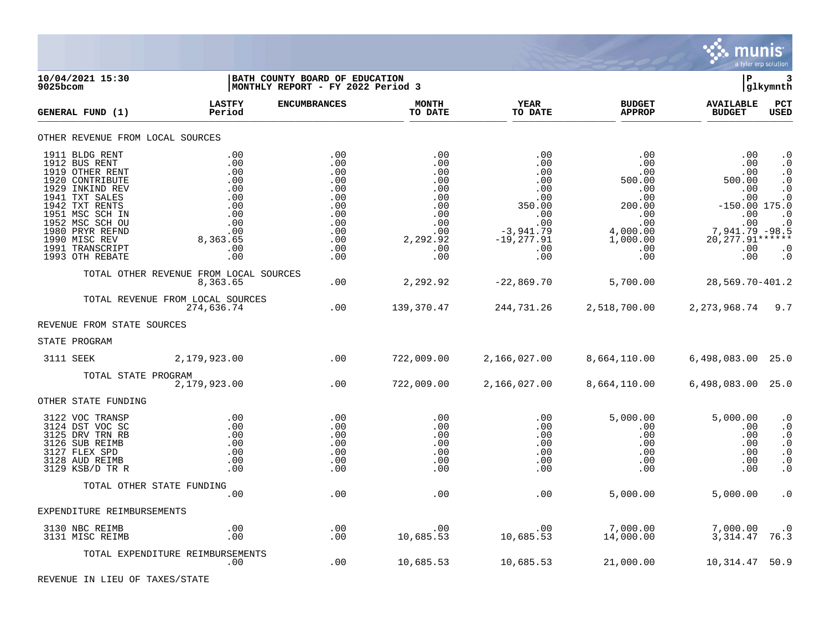

**10/04/2021 15:30 |BATH COUNTY BOARD OF EDUCATION |P 3 |MONTHLY REPORT - FY 2022 Period 3 LASTFY ENCUMBRANCES MONTH YEAR BUDGET AVAILABLE PCT GENERAL FUND (1) Period TO DATE TO DATE APPROP BUDGET USED** TO DATE THE RELIGION CONDUCT TO DATE THE RELIGION CONDUCT TO DATE THE RELIGION OF THE RELIGION OF THE RELIGION OF THE RELIGION OF THE RELIGION OF THE RELIGION OF THE RELIGION OF THE RELIGION OF THE RELIGION OF THE RELIGION OTHER REVENUE FROM LOCAL SOURCES 1911 BLDG RENT .00 .00 .00 .00 .00 .00 .0 1912 BUS RENT .00 .00 .00 .00 .00 .00 .0 1919 OTHER RENT .00 .00 .00 .00 .00 .00 .0 1920 CONTRIBUTE .00 .00 .00 .00 500.00 500.00 .0 1929 INKIND REV .00 .00 .00 .00 .00 .00 .0 1941 TXT SALES .00 .00 .00 .00 .00 .00 .0 1942 TXT RENTS .00 .00 .00 350.00 200.00 -150.00 175.0 1951 MSC SCH IN .00 .00 .00 .00 .00 .00 .0 1952 MSC SCH OU .00 .00 .00 .00 .00 .00 .0 1980 PRYR REFND .00 .00 .00 -3,941.79 4,000.00 7,941.79 -98.5 1990 MISC REV 8,363.65 .00 2,292.92 -19,277.91 1,000.00 20,277.91\*\*\*\*\*\* 1991 TRANSCRIPT .00 .00 .00 .00 .00 .00 .0 1993 OTH REBATE .00 .00 .00 .00 .00 .00 .0 TOTAL OTHER REVENUE FROM LOCAL SOURCES 8,363.65 .00 2,292.92 -22,869.70 5,700.00 28,569.70-401.2 TOTAL REVENUE FROM LOCAL SOURCES 274,636.74 .00 139,370.47 244,731.26 2,518,700.00 2,273,968.74 9.7 REVENUE FROM STATE SOURCES STATE PROGRAM 3111 SEEK 2,179,923.00 .00 722,009.00 2,166,027.00 8,664,110.00 6,498,083.00 25.0 TOTAL STATE PROGRAM<br>2,179,923.00  $2,166,027.00$  8,664,110.00 6,498,083.00 25.0 OTHER STATE FUNDING 3122 VOC TRANSP .00 .00 .00 .00 5,000.00 5,000.00 .0 3124 DST VOC SC .00 .00 .00 .00 .00 .00 .0 3125 DRV TRN RB .00 .00 .00 .00 .00 .00 .0 3126 SUB REIMB .00 .00 .00 .00 .00 .00 .0 3127 FLEX SPD .00 .00 .00 .00 .00 .00 .0 3128 AUD REIMB .00 .00 .00 .00 .00 .00 .0 3129 KSB/D TR R .00 .00 .00 .00 .00 .00 .0 TOTAL OTHER STATE FUNDING .00 .00 .00 .00 5,000.00 5,000.00 .0 EXPENDITURE REIMBURSEMENTS 3130 NBC REIMB .00 .00 .00 .00 7,000.00 7,000.00 .0 3131 MISC REIMB .00 .00 10,685.53 10,685.53 14,000.00 3,314.47 76.3 TOTAL EXPENDITURE REIMBURSEMENTS .00 .00 10,685.53 10,685.53 21,000.00 10,314.47 50.9

REVENUE IN LIEU OF TAXES/STATE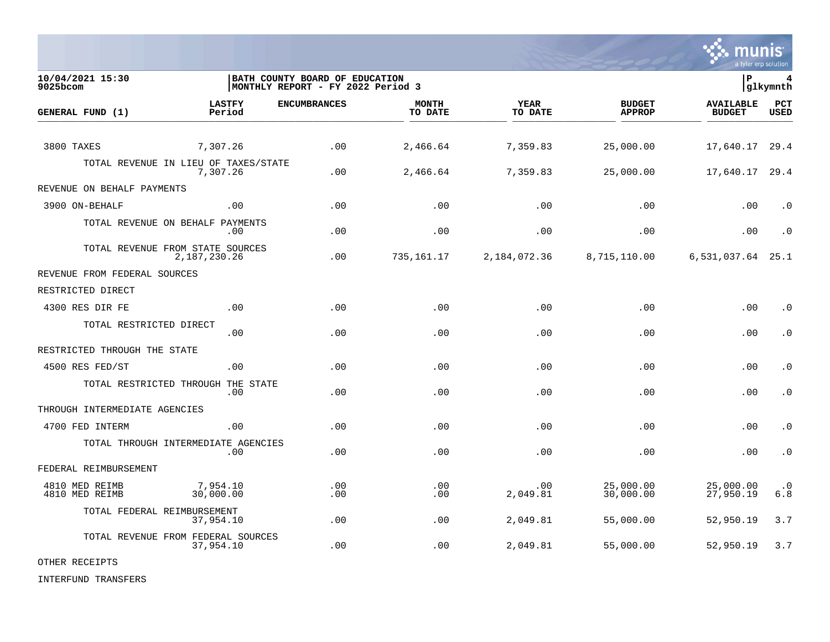

**10/04/2021 15:30 |BATH COUNTY BOARD OF EDUCATION |P 4** MONTHLY REPORT - FY 2022 Period 3 **LASTFY ENCUMBRANCES MONTH YEAR BUDGET AVAILABLE PCT GENERAL FUND (1)** TO DATE THE RELIGION CONDUCT TO DATE THE RELIGION CONDUCT TO DATE THE RELIGION OF THE RELIGION OF THE RELIGION OF THE RELIGION OF THE RELIGION OF THE RELIGION OF THE RELIGION OF THE RELIGION OF THE RELIGION OF THE RELIGION 3800 TAXES 7,307.26 .00 2,466.64 7,359.83 25,000.00 17,640.17 29.4 TOTAL REVENUE IN LIEU OF TAXES/STATE<br>7.307.26 7,307.26 .00 2,466.64 7,359.83 25,000.00 17,640.17 29.4 REVENUE ON BEHALF PAYMENTS 3900 ON-BEHALF .00 .00 .00 .00 .00 .00 .0 TOTAL REVENUE ON BEHALF PAYMENTS .00 .00 .00 .00 .00 .00 .0 TOTAL REVENUE FROM STATE SOURCES 2,187,230.26 .00 735,161.17 2,184,072.36 8,715,110.00 6,531,037.64 25.1 REVENUE FROM FEDERAL SOURCES RESTRICTED DIRECT 4300 RES DIR FE .00 .00 .00 .00 .00 .00 .0 TOTAL RESTRICTED DIRECT .00 .00 .00 .00 .00 .00 .0 RESTRICTED THROUGH THE STATE 4500 RES FED/ST .00 .00 .00 .00 .00 .00 .0 TOTAL RESTRICTED THROUGH THE STATE .00 .00 .00 .00 .00 .00 .0 THROUGH INTERMEDIATE AGENCIES 4700 FED INTERM .00 .00 .00 .00 .00 .00 .0 TOTAL THROUGH INTERMEDIATE AGENCIES .00 .00 .00 .00 .00 .00 .0 FEDERAL REIMBURSEMENT 4810 MED REIMB 7,954.10 .00 .00 .00 25,000.00 25,000.00 .0 4810 MED REIMB 30,000.00 .00 .00 2,049.81 30,000.00 27,950.19 6.8 TOTAL FEDERAL REIMBURSEMENT 37,954.10 .00 .00 2,049.81 55,000.00 52,950.19 3.7 TOTAL REVENUE FROM FEDERAL SOURCES<br>37,954.10 37,954.10 .00 .00 2,049.81 55,000.00 52,950.19 3.7

OTHER RECEIPTS

INTERFUND TRANSFERS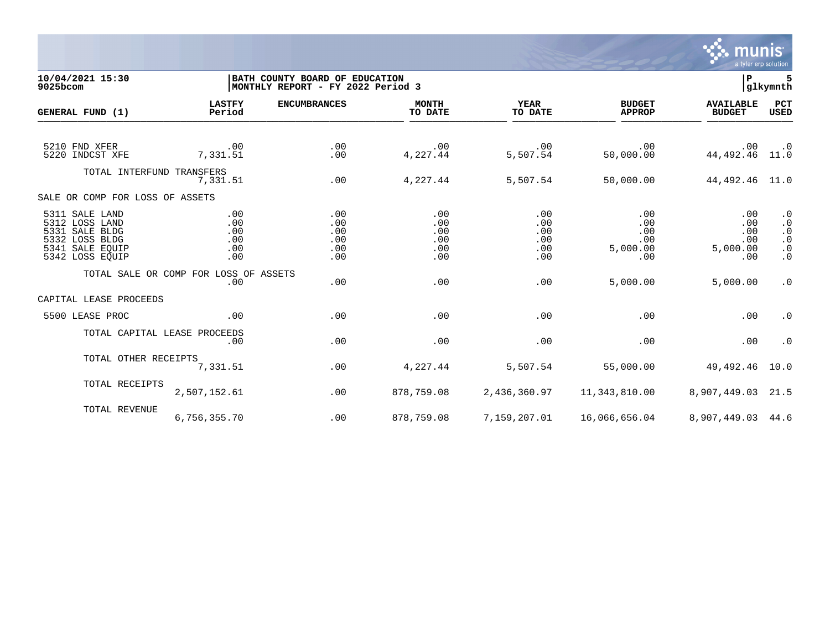

## **10/04/2021 15:30 |BATH COUNTY BOARD OF EDUCATION |P 5 9025bcom |MONTHLY REPORT - FY 2022 Period 3 |glkymnth**

| GENERAL FUND (1)                                                                                           | <b>LASTFY</b><br>Period                      | <b>ENCUMBRANCES</b>                    | <b>MONTH</b><br>TO DATE                | <b>YEAR</b><br>TO DATE                      | <b>BUDGET</b><br><b>APPROP</b>                              | <b>AVAILABLE</b><br><b>BUDGET</b>           | PCT<br><b>USED</b>                                                         |
|------------------------------------------------------------------------------------------------------------|----------------------------------------------|----------------------------------------|----------------------------------------|---------------------------------------------|-------------------------------------------------------------|---------------------------------------------|----------------------------------------------------------------------------|
| 5210 FND XFER<br>5220 INDCST XFE                                                                           | .00<br>7,331.51                              | .00<br>.00                             | $\cdot$ 00<br>4,227.44                 | .00<br>5,507.54                             | .00<br>50,000.00                                            | .00<br>44, 492. 46 11.0                     | $\cdot$ 0                                                                  |
| TOTAL INTERFUND TRANSFERS                                                                                  | 7,331.51                                     | .00                                    | 4,227.44                               | 5,507.54                                    | 50,000.00                                                   | 44, 492. 46 11. 0                           |                                                                            |
| SALE OR COMP FOR LOSS OF ASSETS                                                                            |                                              |                                        |                                        |                                             |                                                             |                                             |                                                                            |
| 5311 SALE LAND<br>5312 LOSS LAND<br>5331 SALE BLDG<br>5332 LOSS BLDG<br>5341 SALE EQUIP<br>5342 LOSS EQUIP | .00<br>.00<br>.00<br>.00<br>.00<br>.00       | .00<br>.00<br>.00<br>.00<br>.00<br>.00 | .00<br>.00<br>.00<br>.00<br>.00<br>.00 | .00<br>.00<br>.00<br>.00<br>$.00 \,$<br>.00 | .00<br>.00<br>.00<br>.00<br>5,000.00<br>.00                 | .00<br>.00<br>.00<br>.00<br>5,000.00<br>.00 | $\cdot$ 0<br>$\cdot$ 0<br>$\cdot$ 0<br>$\cdot$ 0<br>$\cdot$ 0<br>$\cdot$ 0 |
|                                                                                                            | TOTAL SALE OR COMP FOR LOSS OF ASSETS<br>.00 | .00                                    | .00                                    | .00                                         | 5,000.00                                                    | 5,000.00                                    | $\cdot$ 0                                                                  |
| CAPITAL LEASE PROCEEDS                                                                                     |                                              |                                        |                                        |                                             |                                                             |                                             |                                                                            |
| 5500 LEASE PROC                                                                                            | .00                                          | .00                                    | .00                                    | .00                                         | .00                                                         | .00                                         | $\cdot$ 0                                                                  |
| TOTAL CAPITAL LEASE PROCEEDS                                                                               | .00                                          | .00                                    | .00                                    | .00                                         | .00                                                         | .00                                         | $\cdot$ 0                                                                  |
| TOTAL OTHER RECEIPTS                                                                                       | 7,331.51                                     | .00                                    | 4,227.44                               | 5,507.54                                    | 55,000.00                                                   | 49,492.46 10.0                              |                                                                            |
| TOTAL RECEIPTS                                                                                             | 2,507,152.61                                 | .00                                    | 878,759.08                             | 2,436,360.97                                | 11,343,810.00                                               | 8,907,449.03 21.5                           |                                                                            |
| TOTAL REVENUE                                                                                              | 6,756,355.70                                 | .00                                    | 878,759.08                             |                                             | 7, 159, 207.01    46, 066, 656.04    8, 907, 449.03    44.6 |                                             |                                                                            |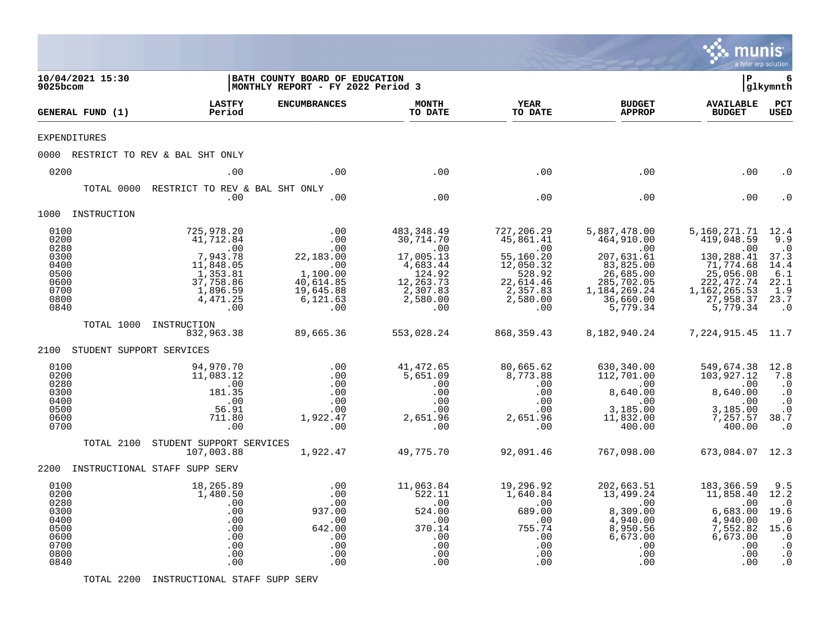|                                                                              |                          |                                                                                                                 |                                                                                         |                                                                                                                |                                                                                                                |                                                                                                                                  | munis<br>a tyler erp solution                                                                                                                   |                                                                                                           |
|------------------------------------------------------------------------------|--------------------------|-----------------------------------------------------------------------------------------------------------------|-----------------------------------------------------------------------------------------|----------------------------------------------------------------------------------------------------------------|----------------------------------------------------------------------------------------------------------------|----------------------------------------------------------------------------------------------------------------------------------|-------------------------------------------------------------------------------------------------------------------------------------------------|-----------------------------------------------------------------------------------------------------------|
| 9025bcom                                                                     | 10/04/2021 15:30         |                                                                                                                 | BATH COUNTY BOARD OF EDUCATION<br>MONTHLY REPORT - FY 2022 Period 3                     |                                                                                                                |                                                                                                                |                                                                                                                                  | l P                                                                                                                                             | 6<br> glkymnth                                                                                            |
|                                                                              | GENERAL FUND (1)         | <b>LASTFY</b><br>Period                                                                                         | <b>ENCUMBRANCES</b>                                                                     | <b>MONTH</b><br>TO DATE                                                                                        | <b>YEAR</b><br>TO DATE                                                                                         | <b>BUDGET</b><br><b>APPROP</b>                                                                                                   | <b>AVAILABLE</b><br><b>BUDGET</b>                                                                                                               | PCT<br><b>USED</b>                                                                                        |
| <b>EXPENDITURES</b>                                                          |                          |                                                                                                                 |                                                                                         |                                                                                                                |                                                                                                                |                                                                                                                                  |                                                                                                                                                 |                                                                                                           |
|                                                                              |                          | 0000 RESTRICT TO REV & BAL SHT ONLY                                                                             |                                                                                         |                                                                                                                |                                                                                                                |                                                                                                                                  |                                                                                                                                                 |                                                                                                           |
| 0200                                                                         |                          | .00                                                                                                             | .00                                                                                     | .00                                                                                                            | .00                                                                                                            | .00                                                                                                                              | .00                                                                                                                                             | . 0                                                                                                       |
|                                                                              | TOTAL 0000               | RESTRICT TO REV & BAL SHT ONLY<br>.00                                                                           | .00                                                                                     | .00                                                                                                            | .00                                                                                                            | .00                                                                                                                              | .00                                                                                                                                             |                                                                                                           |
|                                                                              | 1000 INSTRUCTION         |                                                                                                                 |                                                                                         |                                                                                                                |                                                                                                                |                                                                                                                                  |                                                                                                                                                 |                                                                                                           |
| 0100<br>0200<br>0280<br>0300<br>0400<br>0500<br>0600<br>0700<br>0800<br>0840 |                          | 725,978.20<br>41,712.84<br>.00<br>7,943.78<br>11,848.05<br>1,353.81<br>37,758.86<br>1,896.59<br>4,471.25<br>.00 | .00<br>.00<br>.00<br>22,183.00<br>1,100.00<br>40,614.85<br>19,645.88<br>6,121.63<br>.00 | 483, 348.49<br>30,714.70<br>.00<br>17,005.13<br>4,683.44<br>124.92<br>12,263.73<br>2,307.83<br>2,580.00<br>.00 | 727,206.29<br>45,861.41<br>.00<br>55,160.20<br>12,050.32<br>528.92<br>22,614.46<br>2,357.83<br>2,580.00<br>.00 | 5,887,478.00<br>464,910.00<br>.00<br>207,631.61<br>83,825.00<br>26,685.00<br>285,702.05<br>1,184,269.24<br>36,660.00<br>5,779.34 | 5, 160, 271. 71 12. 4<br>419,048.59<br>.00<br>130, 288.41<br>71, 774.68<br>25, 056.08<br>222, 472.74<br>1, 162, 265.53<br>27,958.37<br>5,779.34 | 9.9<br>$\cdot$ 0<br>37.3<br>14.4<br>6.1<br>22.1<br>1.9<br>23.7<br>$\cdot$ 0                               |
|                                                                              | TOTAL 1000               | INSTRUCTION<br>832,963.38                                                                                       | 89,665.36                                                                               | 553,028.24                                                                                                     | 868, 359.43                                                                                                    | 8,182,940.24                                                                                                                     | 7, 224, 915. 45 11. 7                                                                                                                           |                                                                                                           |
| 2100                                                                         | STUDENT SUPPORT SERVICES |                                                                                                                 |                                                                                         |                                                                                                                |                                                                                                                |                                                                                                                                  |                                                                                                                                                 |                                                                                                           |
| 0100<br>0200<br>0280<br>0300<br>0400<br>0500<br>0600<br>0700                 |                          | 94,970.70<br>11,083.12<br>.00<br>181.35<br>.00<br>56.91<br>711.80<br>.00                                        | .00<br>.00<br>.00<br>.00<br>.00<br>.00<br>1,922.47<br>.00                               | 41,472.65<br>5.651.09<br>.00<br>.00<br>.00<br>.00<br>2,651.96<br>.00                                           | 80,665.62<br>8,773.88<br>.00<br>.00<br>.00<br>.00<br>2,651.96<br>.00                                           | 630,340.00<br>112,701.00<br>.00<br>8,640.00<br>.00<br>3,185.00<br>11,832.00<br>400.00                                            | 549,674.38<br>103,927.12<br>.00<br>8,640.00<br>.00<br>3,185.00<br>7,257.57<br>400.00                                                            | 12.8<br>7.8<br>$\cdot$ 0<br>$\cdot$ 0<br>$\ddot{\cdot}$<br>$\cdot$ 0<br>38.7<br>$\cdot$ 0                 |
|                                                                              | TOTAL 2100               | STUDENT SUPPORT SERVICES<br>107,003.88                                                                          | 1,922.47                                                                                | 49,775.70                                                                                                      | 92,091.46                                                                                                      | 767,098.00                                                                                                                       | 673,084.07 12.3                                                                                                                                 |                                                                                                           |
|                                                                              |                          | 2200 INSTRUCTIONAL STAFF SUPP SERV                                                                              |                                                                                         |                                                                                                                |                                                                                                                |                                                                                                                                  |                                                                                                                                                 |                                                                                                           |
| 0100<br>0200<br>0280<br>0300<br>0400<br>0500<br>0600<br>0700<br>0800<br>0840 |                          | 18,265.89<br>1,480.50<br>.00<br>.00<br>.00<br>.00<br>.00<br>.00<br>.00<br>.00                                   | .00<br>.00<br>.00<br>937.00<br>.00<br>642.00<br>.00<br>.00<br>.00<br>.00                | 11,063.84<br>522.11<br>.00<br>524.00<br>.00<br>370.14<br>.00<br>.00<br>.00<br>.00                              | 19,296.92<br>1,640.84<br>.00<br>689.00<br>.00<br>755.74<br>.00<br>.00<br>.00<br>.00                            | 202,663.51<br>13,499.24<br>.00<br>8,309.00<br>4,940.00<br>8,950.56<br>6,673.00<br>.00<br>.00<br>.00                              | 183,366.59<br>11,858.40<br>.00<br>6,683.00<br>4,940.00<br>7,552.82<br>6,673.00<br>.00<br>.00<br>.00                                             | 9.5<br>12.2<br>$\cdot$ 0<br>19.6<br>$\cdot$ 0<br>15.6<br>$\cdot$ 0<br>$\cdot$ 0<br>$\cdot$ 0<br>$\cdot$ 0 |

TOTAL 2200 INSTRUCTIONAL STAFF SUPP SERV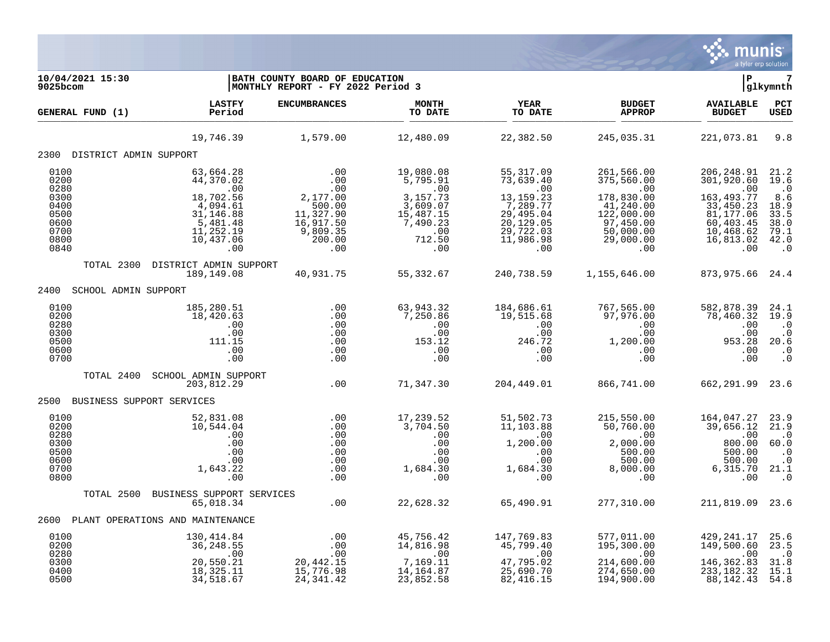

| 10/04/2021 15:30<br>9025bcom                                                 |                                                                                                                        | BATH COUNTY BOARD OF EDUCATION<br>MONTHLY REPORT - FY 2022 Period 3                            |                                                                                                       |                                                                                                                      |                                                                                                                              | Þ                                                                                                                       | 7<br>glkymnth                                                                                               |
|------------------------------------------------------------------------------|------------------------------------------------------------------------------------------------------------------------|------------------------------------------------------------------------------------------------|-------------------------------------------------------------------------------------------------------|----------------------------------------------------------------------------------------------------------------------|------------------------------------------------------------------------------------------------------------------------------|-------------------------------------------------------------------------------------------------------------------------|-------------------------------------------------------------------------------------------------------------|
| GENERAL FUND (1)                                                             | <b>LASTFY</b><br>Period                                                                                                | <b>ENCUMBRANCES</b>                                                                            | <b>MONTH</b><br>TO DATE                                                                               | <b>YEAR</b><br>TO DATE                                                                                               | <b>BUDGET</b><br><b>APPROP</b>                                                                                               | <b>AVAILABLE</b><br><b>BUDGET</b>                                                                                       | PCT<br>USED                                                                                                 |
|                                                                              | 19,746.39                                                                                                              | 1,579.00                                                                                       | 12,480.09                                                                                             | 22,382.50                                                                                                            | 245,035.31                                                                                                                   | 221,073.81                                                                                                              | 9.8                                                                                                         |
| 2300 DISTRICT ADMIN SUPPORT                                                  |                                                                                                                        |                                                                                                |                                                                                                       |                                                                                                                      |                                                                                                                              |                                                                                                                         |                                                                                                             |
| 0100<br>0200<br>0280<br>0300<br>0400<br>0500<br>0600<br>0700<br>0800<br>0840 | 63,664.28<br>44,370.02<br>.00<br>$18,702.56$<br>$4,094.61$<br>$31,146.88$<br>5,481.48<br>11,252.19<br>10,437.06<br>.00 | .00<br>.00<br>.00<br>2,177.00<br>500.00<br>11,327.90<br>16,917.50<br>9,809.35<br>200.00<br>.00 | 19,080.08<br>5,795.91<br>.00<br>3,157.73<br>3,609.07<br>15,487.15<br>7,490.23<br>.00<br>712.50<br>.00 | 55, 317.09<br>73,639.40<br>.00<br>13, 159. 23<br>7,289.77<br>29,495.04<br>20,129.05<br>29,722.03<br>11,986.98<br>.00 | 261,566.00<br>375,560.00<br>.00<br>178,830.00<br>41,240.00<br>122,000.00<br>97,450.00<br>50,000.00<br>29,000.00<br>$\sim 00$ | 206,248.91<br>301,920.60<br>.00<br>163, 493. 77<br>33,450.23<br>81,177.06<br>60,403.45<br>10,468.62<br>16,813.02<br>.00 | 21.2<br>19.6<br>$\cdot$ 0<br>8.6<br>18.9<br>$33.5$<br>$38.0$<br>79.1<br>42.0<br>$\overline{\phantom{0}}$ .0 |
|                                                                              | TOTAL 2300 DISTRICT ADMIN SUPPORT<br>189,149.08                                                                        | 40,931.75                                                                                      | 55,332.67                                                                                             | 240,738.59                                                                                                           | 1,155,646.00                                                                                                                 | 873, 975.66 24.4                                                                                                        |                                                                                                             |
| 2400 SCHOOL ADMIN SUPPORT                                                    |                                                                                                                        |                                                                                                |                                                                                                       |                                                                                                                      |                                                                                                                              |                                                                                                                         |                                                                                                             |
| 0100<br>0200<br>0280<br>0300<br>0500<br>0600<br>0700                         | 185,280.51<br>18,420.63<br>.00<br>.00<br>111.15<br>.00<br>.00                                                          | .00<br>.00<br>.00<br>.00<br>.00<br>.00<br>.00                                                  | 63,943.32<br>7,250.86<br>.00<br>.00<br>153.12<br>.00<br>.00                                           | 184,686.61<br>19,515.68<br>.00<br>.00<br>246.72<br>.00<br>.00                                                        | 767,565.00<br>97,976.00<br>.00<br>$\begin{array}{r} .00 \ .00 \ .00 \ .00 \ .00 \ .00 \end{array}$<br>.00                    | 582,878.39<br>78,460.32<br>.00<br>.00<br>953.28<br>.00<br>.00                                                           | 24.1<br>19.9<br>$\cdot$ 0<br>$\cdot$ 0<br>20.6<br>$\cdot$ 0<br>$\cdot$ 0                                    |
| TOTAL 2400                                                                   | SCHOOL ADMIN SUPPORT<br>203,812.29                                                                                     | .00                                                                                            | 71,347.30                                                                                             | 204,449.01                                                                                                           | 866,741.00                                                                                                                   | 662, 291.99 23.6                                                                                                        |                                                                                                             |
|                                                                              | 2500 BUSINESS SUPPORT SERVICES                                                                                         |                                                                                                |                                                                                                       |                                                                                                                      |                                                                                                                              |                                                                                                                         |                                                                                                             |
| 0100<br>0200<br>0280<br>0300<br>0500<br>0600<br>0700<br>0800                 | 52,831.08<br>10,544.04<br>.00<br>.00<br>.00<br>.00<br>1,643.22<br>.00                                                  | .00<br>.00<br>.00<br>.00<br>.00<br>.00<br>.00<br>.00                                           | 17,239.52<br>3,704.50<br>.00<br>.00                                                                   | 51,502.73<br>11,103.88<br>$\overline{00}$<br>1,200.00<br>.00                                                         | 215,550.00<br>50,760.00<br>.00<br>2,000.00                                                                                   | 164,047.27<br>39,656.12<br>00.<br>00.008<br>500.00<br>500.00<br>6,315.70<br>.00                                         | 23.9<br>21.9<br>$\cdot$ 0<br>60.0<br>$\cdot$ 0<br>$\ddot{0}$<br>21.1<br>$\cdot$ 0                           |
| TOTAL 2500                                                                   | BUSINESS SUPPORT SERVICES                                                                                              |                                                                                                |                                                                                                       |                                                                                                                      |                                                                                                                              |                                                                                                                         |                                                                                                             |
|                                                                              | 65,018.34<br>2600 PLANT OPERATIONS AND MAINTENANCE                                                                     | .00                                                                                            | 22,628.32                                                                                             | 65,490.91                                                                                                            | 277,310.00                                                                                                                   | 211,819.09 23.6                                                                                                         |                                                                                                             |
|                                                                              |                                                                                                                        |                                                                                                |                                                                                                       |                                                                                                                      |                                                                                                                              |                                                                                                                         |                                                                                                             |
| 0100<br>0200<br>0280<br>0300<br>0400<br>0500                                 | 130,414.84<br>36,248.55<br>.00<br>20,550.21<br>18,325.11<br>34,518.67                                                  | $00.00$<br>20.1<br>15, 776.98<br>24, 341.42                                                    | 45,756.42<br>14,816.98<br>.00<br>7,169.11<br>14, 164.87<br>23,852.58                                  | 147,769.83<br>45,799.40<br>.00<br>47,795.02<br>25,690.70<br>82,416.15                                                | 577,011.00<br>195,300.00<br>.00<br>214,600.00<br>274,650.00<br>194,900.00                                                    | 429, 241.17<br>149,500.60<br>.00<br>146,362.83<br>233, 182. 32<br>88,142.43                                             | $25.6$<br>$23.5$<br>$\frac{0}{31.8}$<br>15.1<br>$\overline{54.8}$                                           |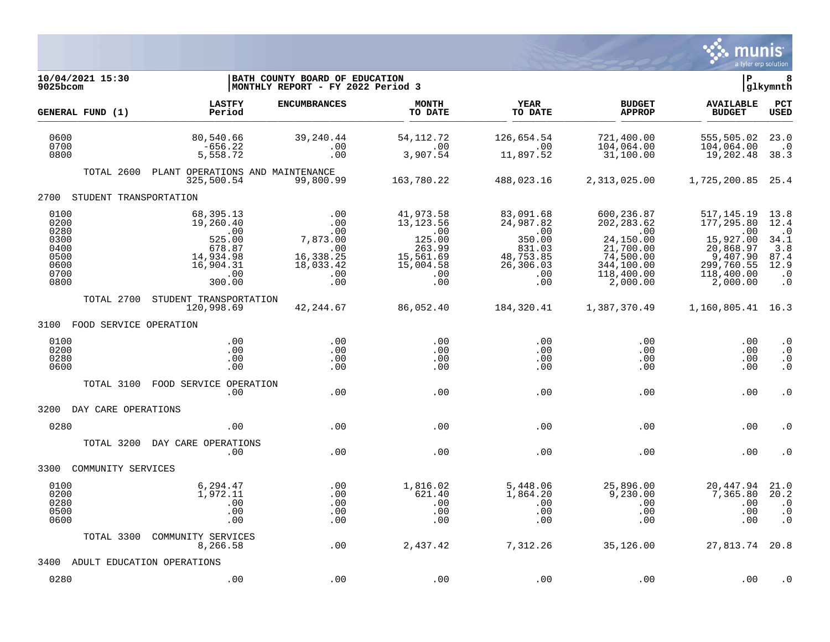

| 10/04/2021 15:30<br>$9025$ bcom                                      |                                                                                              | BATH COUNTY BOARD OF EDUCATION<br> MONTHLY REPORT - FY 2022 Period 3         |                                                                                                  |                                                                                                                    |                                                                                                                 | l P                                                                                                             | 8<br>glkymnth                                                                       |
|----------------------------------------------------------------------|----------------------------------------------------------------------------------------------|------------------------------------------------------------------------------|--------------------------------------------------------------------------------------------------|--------------------------------------------------------------------------------------------------------------------|-----------------------------------------------------------------------------------------------------------------|-----------------------------------------------------------------------------------------------------------------|-------------------------------------------------------------------------------------|
| GENERAL FUND (1)                                                     | <b>LASTFY</b><br>Period                                                                      | <b>ENCUMBRANCES</b>                                                          | <b>MONTH</b><br>TO DATE                                                                          | <b>YEAR</b><br>TO DATE                                                                                             | <b>BUDGET</b><br><b>APPROP</b>                                                                                  | <b>AVAILABLE</b><br><b>BUDGET</b>                                                                               | PCT<br><b>USED</b>                                                                  |
| 0600<br>0700<br>0800                                                 | 80,540.66<br>$-656.22$<br>5,558.72                                                           | 39, 240.44<br>.00<br>.00                                                     | 54, 112. 72<br>.00<br>3,907.54                                                                   | 126,654.54<br>.00<br>11,897.52                                                                                     | 721,400.00<br>104,064.00<br>31,100.00                                                                           | 555,505.02<br>104,064.00<br>19,202.48                                                                           | 23.0<br>$\cdot$ 0<br>38.3                                                           |
| TOTAL 2600                                                           | PLANT OPERATIONS AND MAINTENANCE<br>325,500.54                                               | 99,800.99                                                                    | 163,780.22                                                                                       | 488,023.16                                                                                                         | 2,313,025.00                                                                                                    | 1,725,200.85 25.4                                                                                               |                                                                                     |
| STUDENT TRANSPORTATION<br>2700                                       |                                                                                              |                                                                              |                                                                                                  |                                                                                                                    |                                                                                                                 |                                                                                                                 |                                                                                     |
| 0100<br>0200<br>0280<br>0300<br>0400<br>0500<br>0600<br>0700<br>0800 | 68,395.13<br>19,260.40<br>.00<br>525.00<br>678.87<br>14,934.98<br>16,904.31<br>.00<br>300.00 | .00<br>.00<br>.00<br>7,873.00<br>.00<br>16,338.25<br>18,033.42<br>.00<br>.00 | 41,973.58<br>13, 123.56<br>$\sim 00$<br>125.00<br>263.99<br>15,561.69<br>15,004.58<br>.00<br>.00 | 83,091.68<br>24,987.82<br>$\overline{\phantom{0}}$ .00<br>350.00<br>831.03<br>48,753.85<br>26,306.03<br>.00<br>.00 | 600,236.87<br>202, 283.62<br>.00<br>24,150.00<br>21,700.00<br>74,500.00<br>344,100.00<br>118,400.00<br>2,000.00 | 517, 145. 19<br>177,295.80<br>.00<br>15,927.00<br>20,868.97<br>9,407.90<br>299,760.55<br>118,400.00<br>2,000.00 | 13.8<br>12.4<br>$\cdot$ .0<br>34.1<br>3.8<br>87.4<br>12.9<br>$\cdot$ 0<br>$\cdot$ 0 |
| TOTAL 2700                                                           | STUDENT TRANSPORTATION<br>120,998.69                                                         | 42,244.67                                                                    | 86,052.40                                                                                        | 184,320.41                                                                                                         | 1,387,370.49                                                                                                    | 1,160,805.41 16.3                                                                                               |                                                                                     |
| 3100 FOOD SERVICE OPERATION                                          |                                                                                              |                                                                              |                                                                                                  |                                                                                                                    |                                                                                                                 |                                                                                                                 |                                                                                     |
| 0100<br>0200<br>0280<br>0600                                         | .00<br>.00<br>.00<br>.00                                                                     | .00<br>.00<br>.00<br>.00                                                     | .00<br>.00<br>.00<br>.00                                                                         | .00<br>.00<br>$.00 \,$<br>.00                                                                                      | .00<br>.00<br>$.00 \,$<br>.00                                                                                   | .00<br>.00<br>.00<br>.00                                                                                        | $\cdot$ 0<br>$\cdot$ 0<br>$\cdot$ 0<br>$\cdot$ 0                                    |
| TOTAL 3100                                                           | FOOD SERVICE OPERATION<br>.00                                                                | .00                                                                          | .00                                                                                              | .00                                                                                                                | .00                                                                                                             | .00                                                                                                             | $\cdot$ 0                                                                           |
| 3200<br>DAY CARE OPERATIONS                                          |                                                                                              |                                                                              |                                                                                                  |                                                                                                                    |                                                                                                                 |                                                                                                                 |                                                                                     |
| 0280                                                                 | .00                                                                                          | .00                                                                          | .00                                                                                              | .00                                                                                                                | .00                                                                                                             | .00                                                                                                             | . 0                                                                                 |
| TOTAL 3200                                                           | DAY CARE OPERATIONS<br>.00                                                                   | .00                                                                          | .00                                                                                              | .00                                                                                                                | .00                                                                                                             | .00                                                                                                             | . 0                                                                                 |
| COMMUNITY SERVICES<br>3300                                           |                                                                                              |                                                                              |                                                                                                  |                                                                                                                    |                                                                                                                 |                                                                                                                 |                                                                                     |
| 0100<br>0200<br>0280<br>0500<br>0600                                 | 6,294.47<br>1,972.11<br>.00<br>.00<br>.00                                                    | .00<br>.00<br>.00<br>.00<br>.00                                              | 1,816.02<br>621.40<br>.00<br>.00<br>.00                                                          | 5,448.06<br>1,864.20<br>.00<br>.00<br>.00                                                                          | 25,896.00<br>9,230.00<br>.00<br>.00<br>.00                                                                      | 20,447.94<br>7,365.80<br>.00<br>.00<br>.00                                                                      | 21.0<br>20.2<br>$\cdot$ 0<br>$\cdot$ 0<br>$\cdot$ 0                                 |
| TOTAL 3300                                                           | COMMUNITY SERVICES<br>8,266.58                                                               | .00                                                                          | 2,437.42                                                                                         | 7,312.26                                                                                                           | 35,126.00                                                                                                       | 27,813.74 20.8                                                                                                  |                                                                                     |
| 3400                                                                 | ADULT EDUCATION OPERATIONS                                                                   |                                                                              |                                                                                                  |                                                                                                                    |                                                                                                                 |                                                                                                                 |                                                                                     |
| 0280                                                                 | .00                                                                                          | .00                                                                          | .00                                                                                              | .00                                                                                                                | .00                                                                                                             | .00                                                                                                             | $\cdot$ 0                                                                           |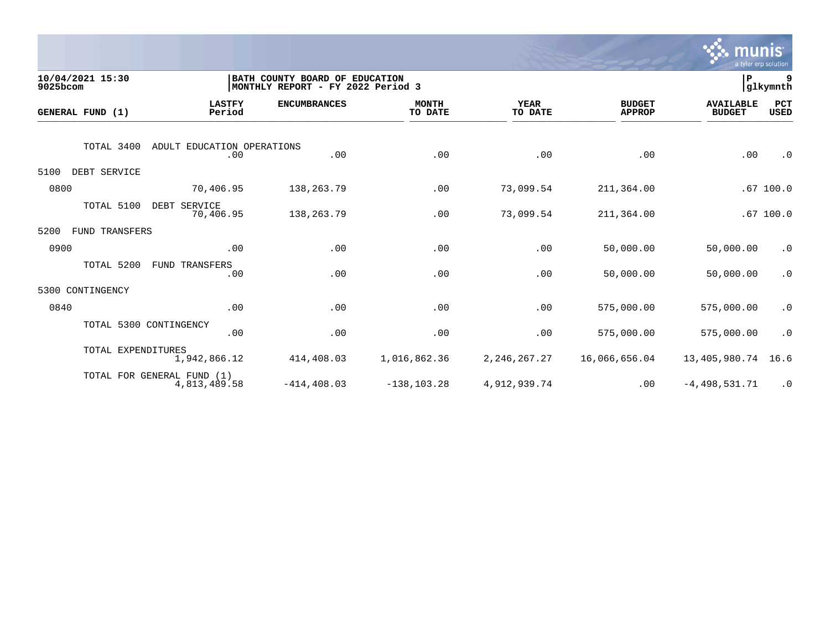

| 10/04/2021 15:30<br>9025bcom |                                            | BATH COUNTY BOARD OF EDUCATION<br>MONTHLY REPORT - FY 2022 Period 3 |                         |                        |                                |                                   |                    |
|------------------------------|--------------------------------------------|---------------------------------------------------------------------|-------------------------|------------------------|--------------------------------|-----------------------------------|--------------------|
| GENERAL FUND (1)             | <b>LASTFY</b><br>Period                    | <b>ENCUMBRANCES</b>                                                 | <b>MONTH</b><br>TO DATE | <b>YEAR</b><br>TO DATE | <b>BUDGET</b><br><b>APPROP</b> | <b>AVAILABLE</b><br><b>BUDGET</b> | PCT<br><b>USED</b> |
| TOTAL 3400                   | ADULT EDUCATION OPERATIONS<br>.00          | .00                                                                 | .00                     | .00                    | .00                            | .00                               | $\cdot$ 0          |
| DEBT SERVICE<br>5100         |                                            |                                                                     |                         |                        |                                |                                   |                    |
| 0800                         | 70,406.95                                  | 138,263.79                                                          | .00                     | 73,099.54              | 211,364.00                     |                                   | .67100.0           |
| TOTAL 5100                   | DEBT SERVICE<br>70,406.95                  | 138, 263. 79                                                        | .00                     | 73,099.54              | 211,364.00                     |                                   | .67100.0           |
| 5200<br>FUND TRANSFERS       |                                            |                                                                     |                         |                        |                                |                                   |                    |
| 0900                         | .00                                        | .00                                                                 | .00                     | .00                    | 50,000.00                      | 50,000.00                         | $\cdot$ 0          |
| TOTAL 5200                   | TRANSFERS<br>FUND<br>.00                   | .00                                                                 | .00                     | .00                    | 50,000.00                      | 50,000.00                         | $\cdot$ 0          |
| CONTINGENCY<br>5300          |                                            |                                                                     |                         |                        |                                |                                   |                    |
| 0840                         | .00                                        | .00                                                                 | .00                     | .00                    | 575,000.00                     | 575,000.00                        | $\cdot$ 0          |
| TOTAL 5300 CONTINGENCY       | .00                                        | .00                                                                 | .00                     | .00                    | 575,000.00                     | 575,000.00                        | $\cdot$ 0          |
| TOTAL EXPENDITURES           | 1,942,866.12                               | 414,408.03                                                          | 1,016,862.36            | 2, 246, 267. 27        | 16,066,656.04                  | 13,405,980.74                     | 16.6               |
|                              | TOTAL FOR GENERAL FUND (1)<br>4,813,489.58 | $-414, 408.03$                                                      | $-138, 103.28$          | 4,912,939.74           | .00                            | $-4,498,531.71$                   | $\cdot$ 0          |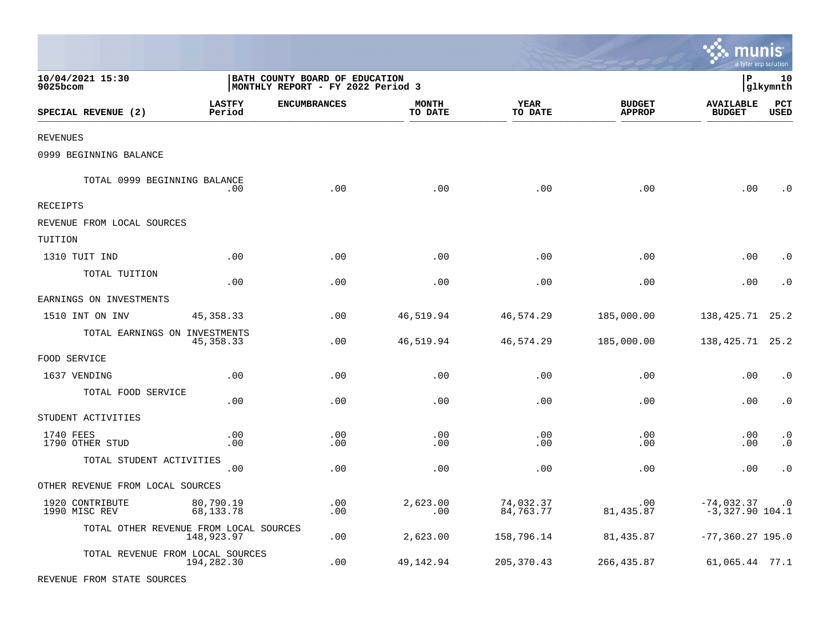|                                        |                         |                                                                     |                         |                        |                                | munis                             | a tyler erp solution        |
|----------------------------------------|-------------------------|---------------------------------------------------------------------|-------------------------|------------------------|--------------------------------|-----------------------------------|-----------------------------|
| 10/04/2021 15:30<br>9025bcom           |                         | BATH COUNTY BOARD OF EDUCATION<br>MONTHLY REPORT - FY 2022 Period 3 |                         |                        |                                | l P                               | 10<br>glkymnth              |
| SPECIAL REVENUE (2)                    | <b>LASTFY</b><br>Period | <b>ENCUMBRANCES</b>                                                 | <b>MONTH</b><br>TO DATE | YEAR<br>TO DATE        | <b>BUDGET</b><br><b>APPROP</b> | <b>AVAILABLE</b><br><b>BUDGET</b> | $_{\rm PCT}$<br><b>USED</b> |
| <b>REVENUES</b>                        |                         |                                                                     |                         |                        |                                |                                   |                             |
| 0999 BEGINNING BALANCE                 |                         |                                                                     |                         |                        |                                |                                   |                             |
| TOTAL 0999 BEGINNING BALANCE           | .00                     | .00                                                                 | .00                     | .00                    | .00                            | .00                               | . 0                         |
| RECEIPTS                               |                         |                                                                     |                         |                        |                                |                                   |                             |
| REVENUE FROM LOCAL SOURCES             |                         |                                                                     |                         |                        |                                |                                   |                             |
| TUITION                                |                         |                                                                     |                         |                        |                                |                                   |                             |
| 1310 TUIT IND                          | .00                     | .00                                                                 | .00                     | .00                    | .00                            | .00                               | $\cdot$ 0                   |
| TOTAL TUITION                          | .00                     | .00                                                                 | .00                     | .00                    | .00                            | .00                               | $\cdot$ 0                   |
| EARNINGS ON INVESTMENTS                |                         |                                                                     |                         |                        |                                |                                   |                             |
| 1510 INT ON INV                        | 45, 358. 33             | .00                                                                 | 46,519.94               | 46,574.29              | 185,000.00                     | 138, 425. 71 25. 2                |                             |
| TOTAL EARNINGS ON INVESTMENTS          | 45, 358. 33             | .00                                                                 | 46,519.94               | 46,574.29              | 185,000.00                     | 138, 425. 71 25. 2                |                             |
| FOOD SERVICE                           |                         |                                                                     |                         |                        |                                |                                   |                             |
| 1637 VENDING                           | .00                     | .00                                                                 | .00                     | .00                    | .00                            | .00                               | $\cdot$ 0                   |
| TOTAL FOOD SERVICE                     | .00                     | .00                                                                 | .00                     | .00                    | .00                            | .00                               | $\cdot$ 0                   |
| STUDENT ACTIVITIES                     |                         |                                                                     |                         |                        |                                |                                   |                             |
| 1740 FEES<br>1790 OTHER STUD           | .00<br>.00              | .00<br>.00                                                          | .00<br>.00              | .00<br>.00             | .00<br>.00                     | .00<br>.00                        | $\cdot$ 0<br>$\cdot$ 0      |
| TOTAL STUDENT ACTIVITIES               | .00                     | .00                                                                 | .00                     | .00                    | .00                            | .00                               | $\cdot$ 0                   |
| OTHER REVENUE FROM LOCAL SOURCES       |                         |                                                                     |                         |                        |                                |                                   |                             |
| 1920 CONTRIBUTE<br>1990 MISC REV       | 80,790.19<br>68,133.78  | .00<br>.00                                                          | 2.623.00<br>.00         | 74,032.37<br>84,763.77 | .00<br>81, 435.87              | $-74,032.37$<br>$-3,327.90$ 104.1 | $\cdot$ 0                   |
| TOTAL OTHER REVENUE FROM LOCAL SOURCES | 148,923.97              | .00                                                                 | 2,623.00                | 158,796.14             | 81, 435.87                     | $-77, 360.27$ 195.0               |                             |
| TOTAL REVENUE FROM LOCAL SOURCES       | 194,282.30              | .00                                                                 | 49,142.94               | 205, 370.43            | 266, 435.87                    | 61,065.44 77.1                    |                             |

REVENUE FROM STATE SOURCES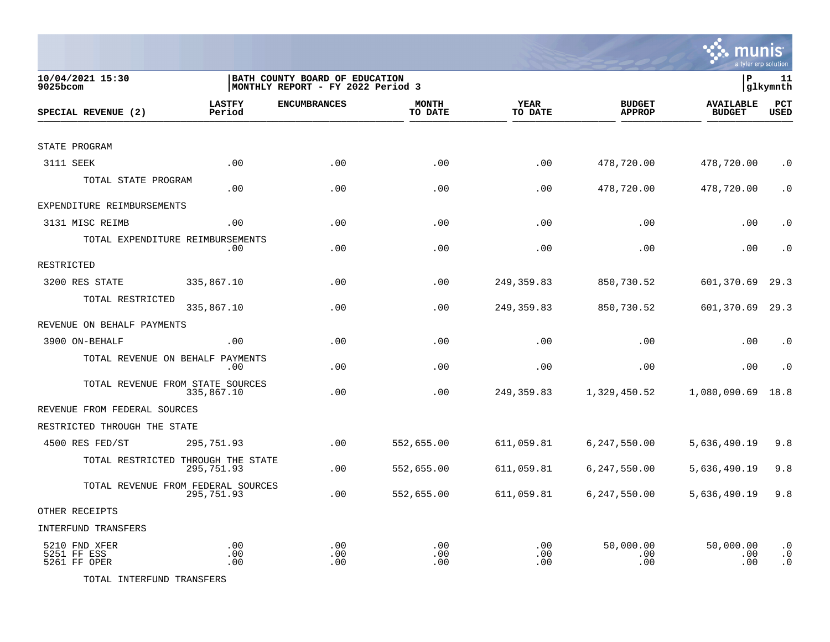

| 10/04/2021 15:30<br>9025bcom                 |                         | BATH COUNTY BOARD OF EDUCATION<br> MONTHLY REPORT - FY 2022 Period 3 |                         |                        |                                | lР                                | 11<br>glkymnth                      |
|----------------------------------------------|-------------------------|----------------------------------------------------------------------|-------------------------|------------------------|--------------------------------|-----------------------------------|-------------------------------------|
| SPECIAL REVENUE (2)                          | <b>LASTFY</b><br>Period | <b>ENCUMBRANCES</b>                                                  | <b>MONTH</b><br>TO DATE | <b>YEAR</b><br>TO DATE | <b>BUDGET</b><br><b>APPROP</b> | <b>AVAILABLE</b><br><b>BUDGET</b> | PCT<br><b>USED</b>                  |
|                                              |                         |                                                                      |                         |                        |                                |                                   |                                     |
| STATE PROGRAM                                |                         |                                                                      |                         |                        |                                |                                   |                                     |
| 3111 SEEK                                    | .00                     | .00                                                                  | .00                     | .00                    | 478,720.00                     | 478,720.00                        | $\cdot$ 0                           |
| TOTAL STATE PROGRAM                          | .00                     | .00                                                                  | .00                     | .00                    | 478,720.00                     | 478,720.00                        | $\cdot$ 0                           |
| EXPENDITURE REIMBURSEMENTS                   |                         |                                                                      |                         |                        |                                |                                   |                                     |
| 3131 MISC REIMB                              | .00                     | .00                                                                  | .00                     | .00                    | .00                            | .00                               | $\cdot$ 0                           |
| TOTAL EXPENDITURE REIMBURSEMENTS             | $.00 \,$                | .00                                                                  | .00                     | .00                    | .00                            | .00                               | $\cdot$ 0                           |
| RESTRICTED                                   |                         |                                                                      |                         |                        |                                |                                   |                                     |
| 3200 RES STATE                               | 335,867.10              | .00                                                                  | .00                     | 249,359.83             | 850,730.52                     | 601,370.69                        | 29.3                                |
| TOTAL RESTRICTED                             | 335,867.10              | .00                                                                  | .00                     | 249, 359.83            | 850,730.52                     | 601,370.69                        | 29.3                                |
| REVENUE ON BEHALF PAYMENTS                   |                         |                                                                      |                         |                        |                                |                                   |                                     |
| 3900 ON-BEHALF                               | .00                     | .00                                                                  | .00                     | .00                    | .00                            | .00                               | $\cdot$ 0                           |
| TOTAL REVENUE ON BEHALF PAYMENTS             | $.00 \,$                | .00                                                                  | .00                     | .00                    | .00                            | .00                               | $\cdot$ 0                           |
| TOTAL REVENUE FROM STATE SOURCES             | 335,867.10              | .00                                                                  | .00                     | 249,359.83             | 1,329,450.52                   | 1,080,090.69                      | 18.8                                |
| REVENUE FROM FEDERAL SOURCES                 |                         |                                                                      |                         |                        |                                |                                   |                                     |
| RESTRICTED THROUGH THE STATE                 |                         |                                                                      |                         |                        |                                |                                   |                                     |
| 4500 RES FED/ST                              | 295,751.93              | .00                                                                  | 552,655.00              | 611,059.81             | 6,247,550.00                   | 5,636,490.19                      | 9.8                                 |
| TOTAL RESTRICTED THROUGH THE STATE           | 295,751.93              | .00                                                                  | 552,655.00              | 611,059.81             | 6,247,550.00                   | 5,636,490.19                      | 9.8                                 |
| TOTAL REVENUE FROM FEDERAL SOURCES           | 295,751.93              | .00                                                                  | 552,655.00              | 611,059.81             | 6,247,550.00                   | 5,636,490.19                      | 9.8                                 |
| OTHER RECEIPTS                               |                         |                                                                      |                         |                        |                                |                                   |                                     |
| <b>INTERFUND TRANSFERS</b>                   |                         |                                                                      |                         |                        |                                |                                   |                                     |
| 5210 FND XFER<br>5251 FF ESS<br>5261 FF OPER | .00<br>.00<br>.00       | .00<br>.00<br>.00                                                    | .00<br>.00<br>.00       | .00<br>.00<br>.00      | 50,000.00<br>.00<br>.00        | 50,000.00<br>.00<br>.00           | $\cdot$ 0<br>$\cdot$ 0<br>$\cdot$ 0 |

TOTAL INTERFUND TRANSFERS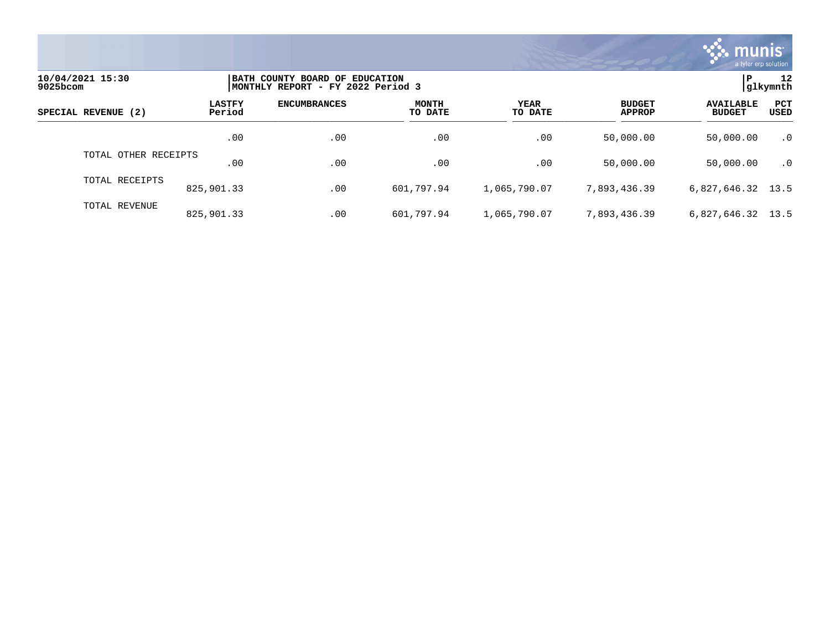

| 10/04/2021 15:30<br>9025bcom |                         | BATH COUNTY BOARD OF EDUCATION<br> MONTHLY REPORT - FY 2022 Period 3 |                         |                 |                                |                                   |                    |  |
|------------------------------|-------------------------|----------------------------------------------------------------------|-------------------------|-----------------|--------------------------------|-----------------------------------|--------------------|--|
| SPECIAL REVENUE (2)          | <b>LASTFY</b><br>Period | <b>ENCUMBRANCES</b>                                                  | <b>MONTH</b><br>TO DATE | YEAR<br>TO DATE | <b>BUDGET</b><br><b>APPROP</b> | <b>AVAILABLE</b><br><b>BUDGET</b> | <b>PCT</b><br>USED |  |
|                              | .00                     | .00                                                                  | .00                     | .00             | 50,000.00                      | 50,000.00                         | $\cdot$ 0          |  |
| TOTAL OTHER RECEIPTS         | .00                     | .00                                                                  | .00                     | .00             | 50,000.00                      | 50,000.00                         | $\cdot$ 0          |  |
| TOTAL RECEIPTS               | 825,901.33              | .00                                                                  | 601,797.94              | 1,065,790.07    | 7,893,436.39                   | 6,827,646.32 13.5                 |                    |  |
| TOTAL REVENUE                | 825,901.33              | .00                                                                  | 601,797.94              | 1,065,790.07    | 7,893,436.39                   | 6,827,646.32 13.5                 |                    |  |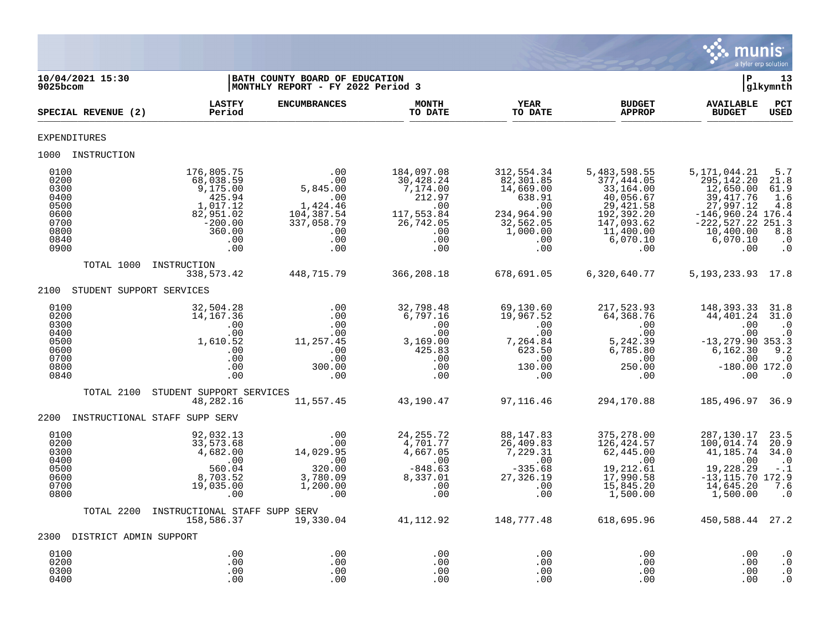

| 10/04/2021 15:30<br>9025bcom                                                 |                                                                                                             | BATH COUNTY BOARD OF EDUCATION<br> MONTHLY REPORT - FY 2022 Period 3                       |                                                                                                        |                                                                                                              |                                                                                                                                | l P                                                                                                                                           | 13<br> glkymnth                                                                                             |
|------------------------------------------------------------------------------|-------------------------------------------------------------------------------------------------------------|--------------------------------------------------------------------------------------------|--------------------------------------------------------------------------------------------------------|--------------------------------------------------------------------------------------------------------------|--------------------------------------------------------------------------------------------------------------------------------|-----------------------------------------------------------------------------------------------------------------------------------------------|-------------------------------------------------------------------------------------------------------------|
| SPECIAL REVENUE (2)                                                          | <b>LASTFY</b><br>Period                                                                                     | <b>ENCUMBRANCES</b>                                                                        | <b>MONTH</b><br>TO DATE                                                                                | <b>YEAR</b><br>TO DATE                                                                                       | <b>BUDGET</b><br><b>APPROP</b>                                                                                                 | <b>AVAILABLE</b><br><b>BUDGET</b>                                                                                                             | PCT<br><b>USED</b>                                                                                          |
| <b>EXPENDITURES</b>                                                          |                                                                                                             |                                                                                            |                                                                                                        |                                                                                                              |                                                                                                                                |                                                                                                                                               |                                                                                                             |
| 1000 INSTRUCTION                                                             |                                                                                                             |                                                                                            |                                                                                                        |                                                                                                              |                                                                                                                                |                                                                                                                                               |                                                                                                             |
| 0100<br>0200<br>0300<br>0400<br>0500<br>0600<br>0700<br>0800<br>0840<br>0900 | 176,805.75<br>68,038.59<br>9,175.00<br>425.94<br>1,017.12<br>82,951.02<br>$-200.00$<br>360.00<br>.00<br>.00 | .00<br>.00<br>5,845.00<br>.00<br>1,424.46<br>104,387.54<br>337,058.79<br>.00<br>.00<br>.00 | 184,097.08<br>30,428.24<br>7,174.00<br>212.97<br>.00<br>117, 553.84<br>26, 742.05<br>.00<br>.00<br>.00 | 312,554.34<br>82,301.85<br>14,669.00<br>638.91<br>.00<br>234,964.90<br>$32,562.05$<br>1,000.00<br>.00<br>.00 | 5,483,598.55<br>377,444.05<br>33,164.00<br>40,056.67<br>29, 421.58<br>192,392.20<br>147,093.62<br>11,400.00<br>6,070.10<br>.00 | 5,171,044.21<br>295, 142. 20<br>12,650.00<br>39, 417.76<br>27,997.12<br>$-146,960.24$ 176.4<br>$-222, 527.22$<br>10,400.00<br>6,070.10<br>.00 | 5.7<br>21.8<br>61.9<br>1.6<br>4.8<br>251.3<br>$\overline{8.8}$<br>$\cdot$ 0<br>$\cdot$ 0                    |
| TOTAL 1000                                                                   | INSTRUCTION<br>338,573.42                                                                                   | 448,715.79                                                                                 | 366,208.18                                                                                             | 678,691.05                                                                                                   | 6,320,640.77                                                                                                                   | 5, 193, 233. 93 17.8                                                                                                                          |                                                                                                             |
| 2100                                                                         | STUDENT SUPPORT SERVICES                                                                                    |                                                                                            |                                                                                                        |                                                                                                              |                                                                                                                                |                                                                                                                                               |                                                                                                             |
| 0100<br>0200<br>0300<br>0400<br>0500<br>0600<br>0700<br>0800<br>0840         | 32,504.28<br>14,167.36<br>.00<br>.00<br>1,610.52<br>.00<br>.00<br>.00<br>.00                                | .00<br>.00<br>.00<br>.00<br>11,257.45<br>.00<br>.00<br>300.00<br>.00                       | 32,798.48<br>6,797.16<br>.00<br>.00<br>3,169.00<br>425.83<br>.00<br>.00<br>.00                         | 69,130.60<br>19,967.52<br>.00<br>.00<br>7,264.84<br>623.50<br>.00<br>130.00<br>.00                           | 217,523.93<br>64,368.76<br>.00<br>.00<br>5,242.39<br>6,785.80<br>.00<br>250.00<br>.00                                          | 148,393.33<br>44,401.24<br>.00<br>.00<br>$-13, 279.90$ 353.3<br>6,162.30<br>.00<br>$-180.00$ 172.0<br>.00                                     | 31.8<br>31.0<br>$\cdot$ 0<br>$\cdot$ 0<br>9.2<br>$\overline{\phantom{0}}$ .0<br>$\overline{\phantom{0}}$ .0 |
| TOTAL 2100                                                                   | STUDENT SUPPORT SERVICES<br>48,282.16                                                                       | 11,557.45                                                                                  | 43,190.47                                                                                              | 97,116.46                                                                                                    | 294,170.88                                                                                                                     | 185, 496. 97 36. 9                                                                                                                            |                                                                                                             |
| 2200                                                                         | INSTRUCTIONAL STAFF SUPP SERV                                                                               |                                                                                            |                                                                                                        |                                                                                                              |                                                                                                                                |                                                                                                                                               |                                                                                                             |
| 0100<br>0200<br>0300<br>0400<br>0500<br>0600<br>0700<br>0800                 | 92,032.13<br>33,573.68<br>4,682.00<br>$\overline{00}$<br>560.04<br>8,703.52<br>19,035.00<br>.00             | .00<br>.00<br>14,029.95<br>.00<br>320.00<br>3,780.09<br>1,200.00<br>.00                    | 24, 255. 72<br>4,701.77<br>4,667.05<br>.00<br>$-848.63$<br>8,337.01<br>.00<br>.00                      | 88, 147.83<br>26,409.83<br>7,229.31<br>.00<br>$-335.68$<br>27,326.19<br>.00<br>.00                           | 375,278.00<br>126,424.57<br>62,445.00<br>.00<br>19,212.61<br>17,990.58<br>15,845.20<br>1,500.00                                | 287,130.17<br>100,014.74<br>41,185.74<br>.00<br>19,228.29<br>$-13, 115.70$ 172.9<br>14,645.20<br>1,500.00                                     | 23.5<br>20.9<br>34.0<br>$\cdot$ .0<br>$-1$<br>7.6<br>$\cdot$ 0                                              |
| TOTAL 2200                                                                   | INSTRUCTIONAL STAFF SUPP SERV<br>158,586.37                                                                 | 19,330.04                                                                                  | 41,112.92                                                                                              | 148,777.48                                                                                                   | 618,695.96                                                                                                                     | 450,588.44 27.2                                                                                                                               |                                                                                                             |
| 2300 DISTRICT ADMIN SUPPORT                                                  |                                                                                                             |                                                                                            |                                                                                                        |                                                                                                              |                                                                                                                                |                                                                                                                                               |                                                                                                             |
| 0100<br>0200<br>0300<br>0400                                                 | .00<br>.00<br>.00<br>.00                                                                                    | .00<br>.00<br>.00<br>.00                                                                   | .00<br>.00<br>.00<br>.00                                                                               | .00<br>.00<br>.00<br>.00                                                                                     | .00<br>.00<br>.00<br>.00                                                                                                       | .00<br>.00<br>.00<br>.00                                                                                                                      | $\cdot$ 0<br>$\cdot$ 0<br>$\cdot$ 0<br>$\cdot$ 0                                                            |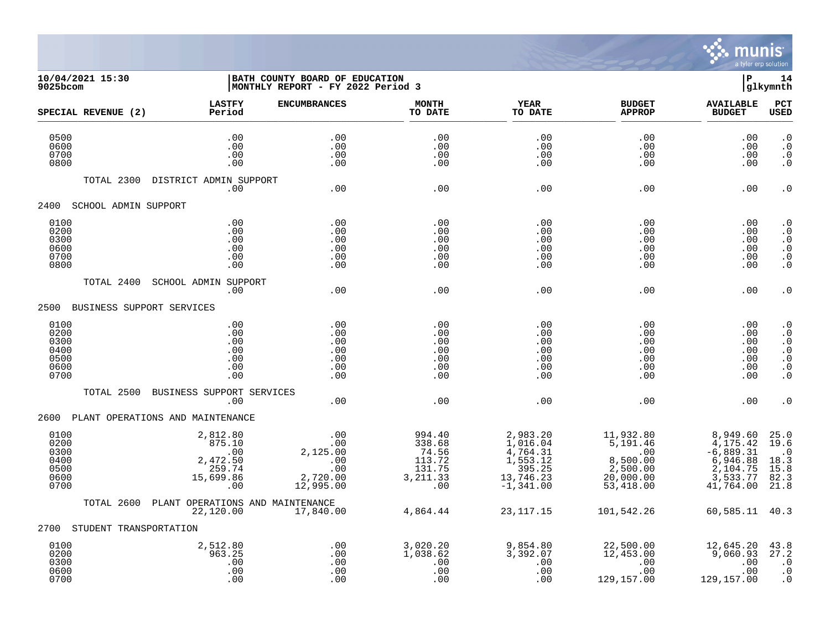

## **10/04/2021 15:30 |BATH COUNTY BOARD OF EDUCATION |P 14 9025bcom |MONTHLY REPORT - FY 2022 Period 3 |glkymnth**

| SPECIAL REVENUE (2)                                  | <b>LASTFY</b><br>Period                                             | <b>ENCUMBRANCES</b>                                           | <b>MONTH</b><br>TO DATE                                           | <b>YEAR</b><br>TO DATE                                                                 | <b>BUDGET</b><br><b>APPROP</b>                                                                           | <b>AVAILABLE</b><br><b>BUDGET</b>                                                      | PCT<br>USED                                                                                                       |
|------------------------------------------------------|---------------------------------------------------------------------|---------------------------------------------------------------|-------------------------------------------------------------------|----------------------------------------------------------------------------------------|----------------------------------------------------------------------------------------------------------|----------------------------------------------------------------------------------------|-------------------------------------------------------------------------------------------------------------------|
| 0500<br>0600<br>0700<br>0800                         | .00<br>.00<br>.00<br>.00                                            | .00<br>.00<br>.00<br>.00                                      | .00<br>.00<br>.00<br>.00                                          | .00<br>.00<br>.00<br>.00                                                               | .00<br>.00<br>.00<br>.00                                                                                 | .00<br>.00<br>.00<br>.00                                                               | $\cdot$ 0<br>$\cdot$ 0<br>$\cdot$ 0<br>$\cdot$ 0                                                                  |
| TOTAL 2300                                           | DISTRICT ADMIN SUPPORT<br>.00                                       | .00                                                           | .00                                                               | .00                                                                                    | .00                                                                                                      | .00                                                                                    | $\cdot$ 0                                                                                                         |
| 2400                                                 | SCHOOL ADMIN SUPPORT                                                |                                                               |                                                                   |                                                                                        |                                                                                                          |                                                                                        |                                                                                                                   |
| 0100<br>0200<br>0300<br>0600<br>0700<br>0800         | .00<br>.00<br>.00<br>.00<br>.00<br>.00                              | .00<br>.00<br>.00<br>.00<br>.00<br>.00                        | .00<br>.00<br>.00<br>.00<br>.00<br>.00                            | .00<br>.00<br>.00<br>.00<br>.00<br>.00                                                 | .00<br>.00<br>.00<br>.00<br>.00<br>.00                                                                   | .00<br>.00<br>.00<br>.00<br>.00<br>.00                                                 | $\cdot$ 0<br>$\cdot$ 0<br>$\cdot$ 0<br>$\cdot$ 0<br>$\cdot$ 0<br>$\boldsymbol{\cdot}$ 0                           |
| TOTAL 2400                                           | SCHOOL ADMIN SUPPORT<br>.00                                         | .00                                                           | .00                                                               | .00                                                                                    | .00                                                                                                      | .00                                                                                    | $\cdot$ 0                                                                                                         |
|                                                      | 2500 BUSINESS SUPPORT SERVICES                                      |                                                               |                                                                   |                                                                                        |                                                                                                          |                                                                                        |                                                                                                                   |
| 0100<br>0200<br>0300<br>0400<br>0500<br>0600<br>0700 | .00<br>.00<br>.00<br>.00<br>.00<br>.00<br>.00                       | .00<br>.00<br>.00<br>.00<br>.00<br>.00<br>.00                 | .00<br>.00<br>.00<br>.00<br>.00<br>.00<br>.00                     | .00<br>.00<br>.00<br>.00<br>.00<br>.00<br>.00                                          | .00<br>.00<br>.00<br>.00<br>.00<br>.00<br>.00                                                            | .00<br>.00<br>.00<br>.00<br>.00<br>.00<br>.00                                          | $\cdot$ 0<br>$\cdot$ 0<br>$\boldsymbol{\cdot}$ 0<br>$\cdot$ 0<br>$\boldsymbol{\cdot}$ 0<br>$\cdot$ 0<br>$\cdot$ 0 |
| TOTAL 2500                                           | BUSINESS SUPPORT SERVICES<br>.00                                    | .00                                                           | .00                                                               | .00                                                                                    | .00                                                                                                      | .00                                                                                    | $\cdot$ 0                                                                                                         |
| 2600                                                 | PLANT OPERATIONS AND MAINTENANCE                                    |                                                               |                                                                   |                                                                                        |                                                                                                          |                                                                                        |                                                                                                                   |
| 0100<br>0200<br>0300<br>0400<br>0500<br>0600<br>0700 | 2,812.80<br>875.10<br>.00<br>2,472.50<br>259.74<br>15,699.86<br>.00 | .00<br>.00<br>2,125.00<br>.00<br>.00<br>2,720.00<br>12,995.00 | 994.40<br>338.68<br>74.56<br>113.72<br>131.75<br>3, 211.33<br>.00 | 2,983.20<br>1,016.04<br>$4,764.31$<br>$1,553.12$<br>395.25<br>13,746.23<br>$-1,341.00$ | 11,932.80<br>$\frac{1}{5}$ , 191.46<br>$\overline{00}$<br>8,500.00<br>2,500.00<br>20,000.00<br>53,418.00 | 8,949.60<br>4,175.42<br>$-6,889.31$<br>6,946.88<br>2,104.75<br>$3,533.77$<br>41,764.00 | 25.0<br>19.6<br>$\cdot$ 0<br>18.3<br>15.8<br>82.3<br>21.8                                                         |
| TOTAL 2600                                           | PLANT OPERATIONS AND MAINTENANCE<br>22,120.00                       | 17,840.00                                                     | 4,864.44                                                          | 23, 117. 15                                                                            | 101,542.26                                                                                               | 60,585.11 40.3                                                                         |                                                                                                                   |
| 2700                                                 | STUDENT TRANSPORTATION                                              |                                                               |                                                                   |                                                                                        |                                                                                                          |                                                                                        |                                                                                                                   |
| 0100<br>0200<br>0300<br>0600<br>0700                 | 2,512.80<br>963.25<br>.00<br>.00<br>.00                             | .00<br>.00<br>.00<br>.00<br>.00                               | 3,020.20<br>1,038.62<br>.00<br>.00<br>.00                         | 9,854.80<br>3,392.07<br>.00<br>.00<br>.00                                              | 22,500.00<br>12,453.00<br>.00<br>.00<br>129,157.00                                                       | 12,645.20<br>9,060.93<br>.00<br>.00<br>129,157.00                                      | 43.8<br>27.2<br>$\cdot$ 0<br>$\cdot$ 0<br>$\cdot$ 0                                                               |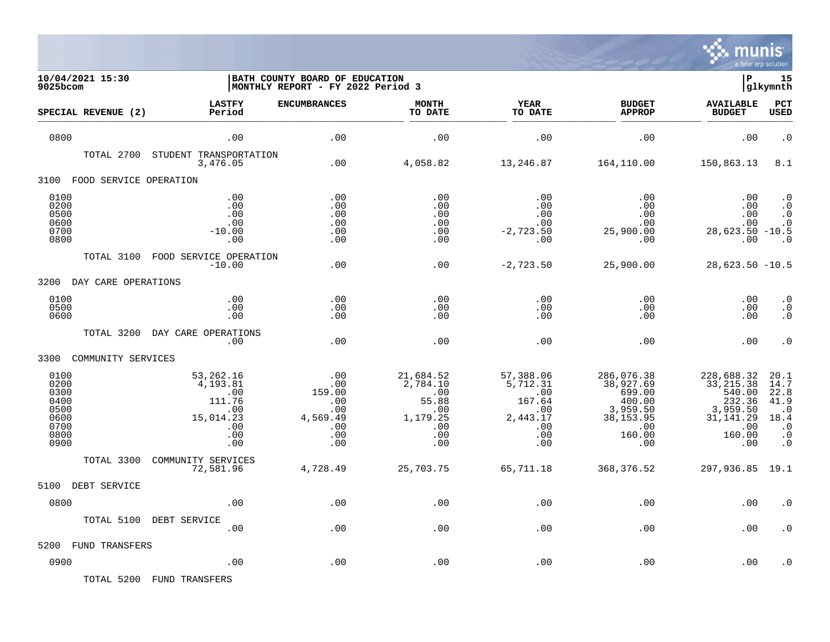

| 10/04/2021 15:30<br>9025bcom                                         |                                                                                 | BATH COUNTY BOARD OF EDUCATION<br>MONTHLY REPORT - FY 2022 Period 3 |                                                                               |                                                                                | ΙP                                                                                            | 15<br>glkymnth                                                                                 |                                                                                          |
|----------------------------------------------------------------------|---------------------------------------------------------------------------------|---------------------------------------------------------------------|-------------------------------------------------------------------------------|--------------------------------------------------------------------------------|-----------------------------------------------------------------------------------------------|------------------------------------------------------------------------------------------------|------------------------------------------------------------------------------------------|
| SPECIAL REVENUE (2)                                                  | <b>LASTFY</b><br>Period                                                         | <b>ENCUMBRANCES</b>                                                 | <b>MONTH</b><br>TO DATE                                                       | <b>YEAR</b><br>TO DATE                                                         | <b>BUDGET</b><br><b>APPROP</b>                                                                | <b>AVAILABLE</b><br><b>BUDGET</b>                                                              | <b>PCT</b><br>USED                                                                       |
| 0800                                                                 | .00                                                                             | .00                                                                 | .00                                                                           | .00                                                                            | .00                                                                                           | .00                                                                                            | $\cdot$ 0                                                                                |
| TOTAL 2700                                                           | STUDENT TRANSPORTATION<br>3,476.05                                              | .00                                                                 | 4,058.82                                                                      | 13,246.87                                                                      | 164,110.00                                                                                    | 150,863.13                                                                                     | 8.1                                                                                      |
| FOOD SERVICE OPERATION<br>3100                                       |                                                                                 |                                                                     |                                                                               |                                                                                |                                                                                               |                                                                                                |                                                                                          |
| 0100<br>0200<br>0500<br>0600<br>0700<br>0800                         | .00<br>.00<br>.00<br>.00<br>$-10.00$<br>.00                                     | .00<br>.00<br>.00<br>.00<br>.00<br>.00                              | .00<br>.00<br>.00<br>.00<br>.00<br>.00                                        | .00<br>.00<br>.00<br>.00<br>$-2,723.50$<br>.00                                 | .00<br>.00<br>.00<br>.00<br>25,900.00<br>.00                                                  | .00<br>.00<br>.00<br>.00<br>$28,623.50 -10.5$<br>.00                                           | $\cdot$ 0<br>$\cdot$ 0<br>$\boldsymbol{\cdot}$ 0<br>$\cdot$ 0<br>$\cdot$ 0               |
| TOTAL 3100                                                           | FOOD SERVICE OPERATION<br>$-10.00$                                              | .00                                                                 | .00                                                                           | $-2,723.50$                                                                    | 25,900.00                                                                                     | $28,623.50 -10.5$                                                                              |                                                                                          |
| 3200<br>DAY CARE OPERATIONS                                          |                                                                                 |                                                                     |                                                                               |                                                                                |                                                                                               |                                                                                                |                                                                                          |
| 0100<br>0500<br>0600                                                 | .00<br>.00<br>.00                                                               | .00<br>.00<br>.00                                                   | .00<br>.00<br>.00                                                             | .00<br>.00<br>.00                                                              | .00<br>.00<br>.00                                                                             | .00<br>.00<br>.00                                                                              | $\cdot$ 0<br>$\cdot$ 0<br>$\overline{0}$                                                 |
| TOTAL 3200                                                           | DAY CARE OPERATIONS<br>.00                                                      | .00                                                                 | .00                                                                           | .00                                                                            | .00                                                                                           | .00                                                                                            | $\cdot$ 0                                                                                |
| 3300<br>COMMUNITY SERVICES                                           |                                                                                 |                                                                     |                                                                               |                                                                                |                                                                                               |                                                                                                |                                                                                          |
| 0100<br>0200<br>0300<br>0400<br>0500<br>0600<br>0700<br>0800<br>0900 | 53,262.16<br>4,193.81<br>.00<br>111.76<br>.00<br>15,014.23<br>.00<br>.00<br>.00 | .00<br>.00<br>159.00<br>.00<br>.00<br>4,569.49<br>.00<br>.00<br>.00 | 21,684.52<br>2,784.10<br>.00<br>55.88<br>.00<br>1,179.25<br>.00<br>.00<br>.00 | 57,388.06<br>5,712.31<br>.00<br>167.64<br>.00<br>2,443.17<br>.00<br>.00<br>.00 | 286,076.38<br>38,927.69<br>699.00<br>400.00<br>3,959.50<br>38, 153.95<br>.00<br>160.00<br>.00 | 228,688.32<br>33, 215.38<br>540.00<br>232.36<br>3,959.50<br>31, 141.29<br>.00<br>160.00<br>.00 | 20.1<br>14.7<br>22.8<br>41.9<br>$\cdot$ 0<br>18.4<br>$\cdot$ 0<br>$\cdot$ 0<br>$\cdot$ 0 |
| TOTAL 3300                                                           | COMMUNITY SERVICES<br>72,581.96                                                 | 4,728.49                                                            | 25,703.75                                                                     | 65,711.18                                                                      | 368, 376.52                                                                                   | 297,936.85 19.1                                                                                |                                                                                          |
| 5100<br>DEBT SERVICE                                                 |                                                                                 |                                                                     |                                                                               |                                                                                |                                                                                               |                                                                                                |                                                                                          |
| 0800                                                                 | .00                                                                             | .00                                                                 | .00                                                                           | .00                                                                            | .00                                                                                           | .00                                                                                            | $\cdot$ 0                                                                                |
| TOTAL 5100                                                           | DEBT SERVICE<br>.00                                                             | .00                                                                 | .00                                                                           | .00                                                                            | .00                                                                                           | .00                                                                                            | . 0                                                                                      |
| 5200<br>FUND TRANSFERS                                               |                                                                                 |                                                                     |                                                                               |                                                                                |                                                                                               |                                                                                                |                                                                                          |
| 0900                                                                 | .00                                                                             | .00                                                                 | .00                                                                           | .00                                                                            | .00                                                                                           | .00                                                                                            | . 0                                                                                      |

TOTAL 5200 FUND TRANSFERS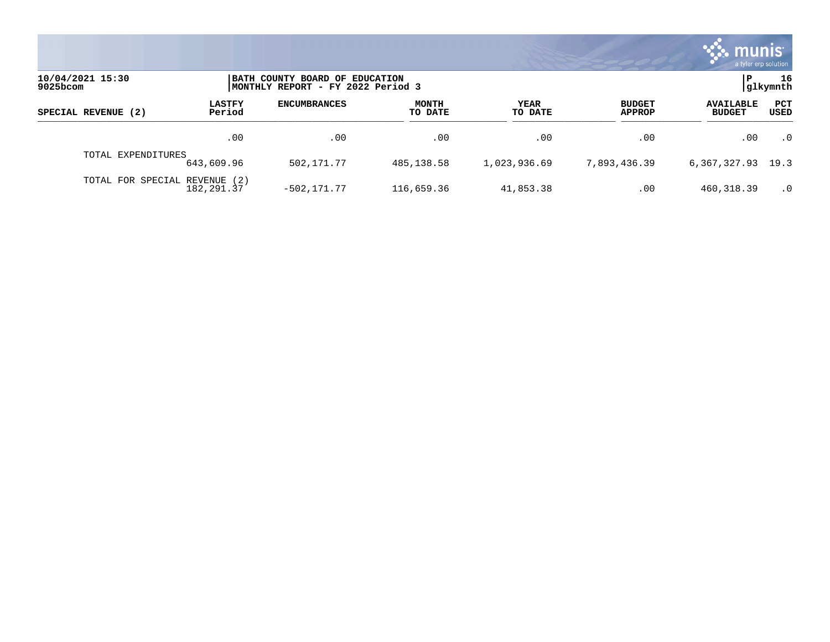

| 10/04/2021 15:30<br>9025bcom |                         | BATH COUNTY BOARD OF EDUCATION<br>MONTHLY REPORT - FY 2022 Period 3 |                         |                 |                                |                                   | 16<br> glkymnth |
|------------------------------|-------------------------|---------------------------------------------------------------------|-------------------------|-----------------|--------------------------------|-----------------------------------|-----------------|
| SPECIAL REVENUE (2)          | <b>LASTFY</b><br>Period | <b>ENCUMBRANCES</b>                                                 | <b>MONTH</b><br>TO DATE | YEAR<br>TO DATE | <b>BUDGET</b><br><b>APPROP</b> | <b>AVAILABLE</b><br><b>BUDGET</b> | PCT<br>USED     |
|                              | .00                     | .00                                                                 | .00                     | .00             | .00                            | .00                               | $\cdot$ 0       |
| TOTAL EXPENDITURES           | 643,609.96              | 502,171.77                                                          | 485,138.58              | 1,023,936.69    | 7.893.436.39                   | 6, 367, 327. 93 19. 3             |                 |
| TOTAL FOR SPECIAL REVENUE    | (2)<br>182,291.37       | $-502.171.77$                                                       | 116,659.36              | 41,853.38       | .00                            | 460, 318.39                       | $\cdot$ 0       |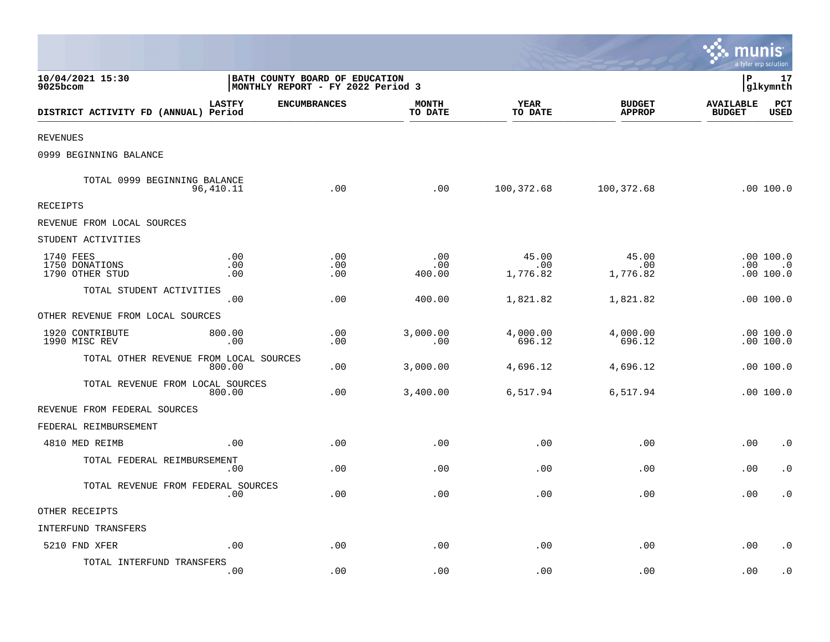|                                                |                                                                     |                   |                         |                          |                                | munis                             | a tyler erp solution                |
|------------------------------------------------|---------------------------------------------------------------------|-------------------|-------------------------|--------------------------|--------------------------------|-----------------------------------|-------------------------------------|
| 10/04/2021 15:30<br>9025bcom                   | BATH COUNTY BOARD OF EDUCATION<br>MONTHLY REPORT - FY 2022 Period 3 |                   |                         |                          |                                | l P                               | 17<br>glkymnth                      |
| DISTRICT ACTIVITY FD (ANNUAL) Period           | <b>LASTFY</b><br><b>ENCUMBRANCES</b>                                |                   | <b>MONTH</b><br>TO DATE | <b>YEAR</b><br>TO DATE   | <b>BUDGET</b><br><b>APPROP</b> | <b>AVAILABLE</b><br><b>BUDGET</b> | PCT<br><b>USED</b>                  |
| <b>REVENUES</b>                                |                                                                     |                   |                         |                          |                                |                                   |                                     |
| 0999 BEGINNING BALANCE                         |                                                                     |                   |                         |                          |                                |                                   |                                     |
| TOTAL 0999 BEGINNING BALANCE<br>96,410.11      |                                                                     | .00               | .00                     | 100,372.68               | 100,372.68                     |                                   | .00 100.0                           |
| <b>RECEIPTS</b>                                |                                                                     |                   |                         |                          |                                |                                   |                                     |
| REVENUE FROM LOCAL SOURCES                     |                                                                     |                   |                         |                          |                                |                                   |                                     |
| STUDENT ACTIVITIES                             |                                                                     |                   |                         |                          |                                |                                   |                                     |
| 1740 FEES<br>1750 DONATIONS<br>1790 OTHER STUD | .00<br>.00<br>.00                                                   | .00<br>.00<br>.00 | .00<br>.00<br>400.00    | 45.00<br>.00<br>1,776.82 | 45.00<br>.00<br>1,776.82       | $.00 \,$                          | .00 100.0<br>$\cdot$ 0<br>.00 100.0 |
| TOTAL STUDENT ACTIVITIES                       | .00                                                                 | .00               | 400.00                  | 1,821.82                 | 1,821.82                       |                                   | .00100.0                            |
| OTHER REVENUE FROM LOCAL SOURCES               |                                                                     |                   |                         |                          |                                |                                   |                                     |
| 1920 CONTRIBUTE<br>1990 MISC REV               | 800.00<br>.00                                                       | .00<br>.00        | 3,000.00<br>.00         | 4,000.00<br>696.12       | 4,000.00<br>696.12             |                                   | .00100.0<br>.00 100.0               |
| TOTAL OTHER REVENUE FROM LOCAL SOURCES         | 800.00                                                              | .00               | 3,000.00                | 4,696.12                 | 4,696.12                       |                                   | .00 100.0                           |
| TOTAL REVENUE FROM LOCAL SOURCES               | 800.00                                                              | .00               | 3,400.00                | 6,517.94                 | 6,517.94                       |                                   | .00100.0                            |
| REVENUE FROM FEDERAL SOURCES                   |                                                                     |                   |                         |                          |                                |                                   |                                     |
| FEDERAL REIMBURSEMENT                          |                                                                     |                   |                         |                          |                                |                                   |                                     |
| 4810 MED REIMB                                 | .00                                                                 | .00               | .00                     | .00                      | .00                            | .00                               | $\cdot$ 0                           |
| TOTAL FEDERAL REIMBURSEMENT                    | .00                                                                 | .00               | .00                     | .00                      | .00                            | .00                               | $\cdot$ 0                           |
| TOTAL REVENUE FROM FEDERAL SOURCES             | .00                                                                 | .00               | .00                     | .00                      | .00                            | .00                               | $\cdot$ 0                           |
| OTHER RECEIPTS                                 |                                                                     |                   |                         |                          |                                |                                   |                                     |
| INTERFUND TRANSFERS                            |                                                                     |                   |                         |                          |                                |                                   |                                     |
| 5210 FND XFER                                  | .00                                                                 | .00               | .00                     | .00                      | .00                            | .00                               | $\cdot$ 0                           |
| TOTAL INTERFUND TRANSFERS                      | .00                                                                 | .00               | .00                     | .00                      | .00                            | .00                               | . 0                                 |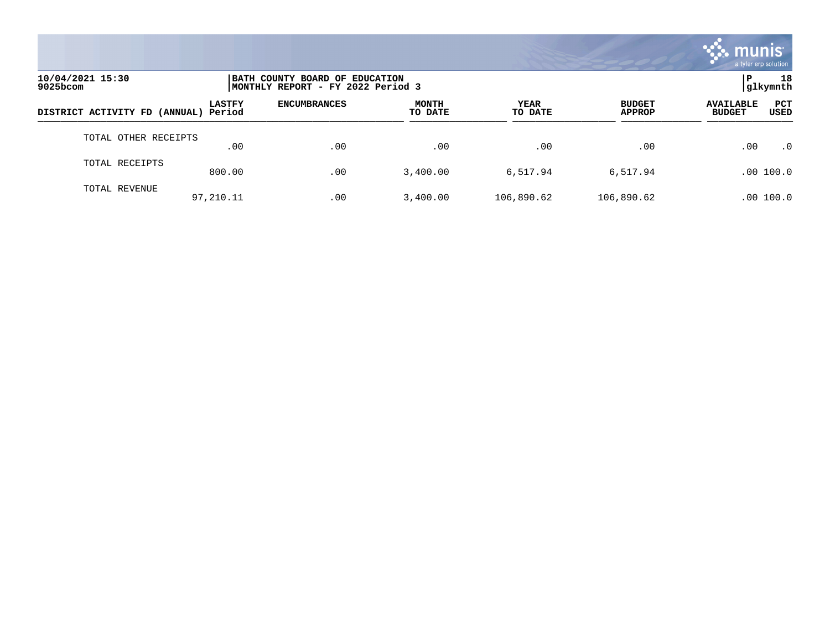

| 10/04/2021 15:30<br>$9025$ bcom      |               | BATH COUNTY BOARD OF EDUCATION<br>MONTHLY REPORT - FY 2022 Period 3 |                         |                 |                                |                                                         |  |  |
|--------------------------------------|---------------|---------------------------------------------------------------------|-------------------------|-----------------|--------------------------------|---------------------------------------------------------|--|--|
| DISTRICT ACTIVITY FD (ANNUAL) Period | <b>LASTFY</b> | <b>ENCUMBRANCES</b>                                                 | <b>MONTH</b><br>TO DATE | YEAR<br>TO DATE | <b>BUDGET</b><br><b>APPROP</b> | <b>PCT</b><br><b>AVAILABLE</b><br><b>BUDGET</b><br>USED |  |  |
| TOTAL OTHER RECEIPTS                 | .00           | .00                                                                 | .00                     | .00             | .00                            | .00<br>$\cdot$ 0                                        |  |  |
| TOTAL RECEIPTS                       | 800.00        | .00                                                                 | 3,400.00                | 6,517.94        | 6,517.94                       | .00 100.0                                               |  |  |
| TOTAL REVENUE                        | 97,210.11     | .00                                                                 | 3,400.00                | 106,890.62      | 106,890.62                     | 100.0<br>.00                                            |  |  |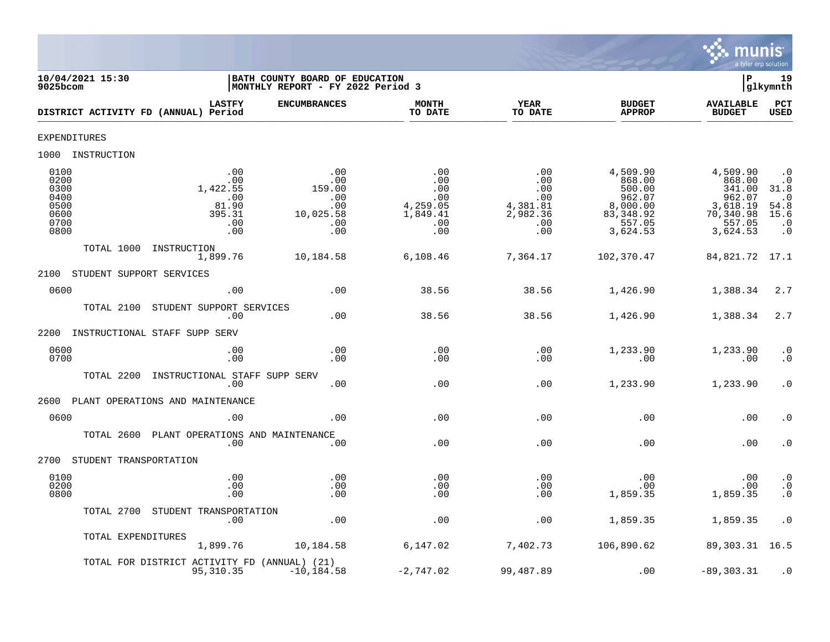

| 10/04/2021 15:30<br>9025bcom                                 |                                                                | BATH COUNTY BOARD OF EDUCATION<br>MONTHLY REPORT - FY 2022 Period 3 |                                                                |                                                                |                                                                                        | ΙP                                                                                    | 19<br>glkymnth                                                                  |
|--------------------------------------------------------------|----------------------------------------------------------------|---------------------------------------------------------------------|----------------------------------------------------------------|----------------------------------------------------------------|----------------------------------------------------------------------------------------|---------------------------------------------------------------------------------------|---------------------------------------------------------------------------------|
|                                                              | <b>LASTFY</b><br>DISTRICT ACTIVITY FD (ANNUAL) Period          | <b>ENCUMBRANCES</b>                                                 | <b>MONTH</b><br>TO DATE                                        | <b>YEAR</b><br>TO DATE                                         | <b>BUDGET</b><br><b>APPROP</b>                                                         | <b>AVAILABLE</b><br><b>BUDGET</b>                                                     | PCT<br>USED                                                                     |
| <b>EXPENDITURES</b>                                          |                                                                |                                                                     |                                                                |                                                                |                                                                                        |                                                                                       |                                                                                 |
| 1000<br>INSTRUCTION                                          |                                                                |                                                                     |                                                                |                                                                |                                                                                        |                                                                                       |                                                                                 |
| 0100<br>0200<br>0300<br>0400<br>0500<br>0600<br>0700<br>0800 | .00<br>.00<br>1,422.55<br>.00<br>81.90<br>395.31<br>.00<br>.00 | .00<br>.00<br>159.00<br>.00<br>.00<br>10,025.58<br>.00<br>.00       | .00<br>.00<br>.00<br>.00<br>4,259.05<br>1,849.41<br>.00<br>.00 | .00<br>.00<br>.00<br>.00<br>4,381.81<br>2,982.36<br>.00<br>.00 | 4,509.90<br>868.00<br>500.00<br>962.07<br>8,000.00<br>83, 348.92<br>557.05<br>3,624.53 | 4,509.90<br>868.00<br>341.00<br>962.07<br>3,618.19<br>70,340.98<br>557.05<br>3,624.53 | $\cdot$ 0<br>. 0<br>31.8<br>$\cdot$ 0<br>54.8<br>15.6<br>$\cdot$ 0<br>$\cdot$ 0 |
|                                                              | TOTAL 1000<br>INSTRUCTION<br>1,899.76                          | 10,184.58                                                           | 6,108.46                                                       | 7,364.17                                                       | 102,370.47                                                                             | 84,821.72                                                                             | 17.1                                                                            |
| 2100                                                         | STUDENT SUPPORT SERVICES                                       |                                                                     |                                                                |                                                                |                                                                                        |                                                                                       |                                                                                 |
| 0600                                                         | .00                                                            | .00                                                                 | 38.56                                                          | 38.56                                                          | 1,426.90                                                                               | 1,388.34                                                                              | 2.7                                                                             |
|                                                              | STUDENT SUPPORT SERVICES<br>TOTAL 2100<br>.00                  | .00                                                                 | 38.56                                                          | 38.56                                                          | 1,426.90                                                                               | 1,388.34                                                                              | 2.7                                                                             |
| 2200                                                         | INSTRUCTIONAL STAFF SUPP SERV                                  |                                                                     |                                                                |                                                                |                                                                                        |                                                                                       |                                                                                 |
| 0600<br>0700                                                 | .00<br>.00                                                     | .00<br>.00                                                          | .00<br>.00                                                     | .00<br>.00                                                     | 1,233.90<br>.00                                                                        | 1,233.90<br>.00                                                                       | $\begin{array}{c} 0 \\ 0 \end{array}$                                           |
|                                                              | TOTAL 2200<br>INSTRUCTIONAL STAFF SUPP SERV<br>.00             | .00                                                                 | .00                                                            | .00                                                            | 1,233.90                                                                               | 1,233.90                                                                              | $\cdot$ 0                                                                       |
| 2600                                                         | PLANT OPERATIONS AND MAINTENANCE                               |                                                                     |                                                                |                                                                |                                                                                        |                                                                                       |                                                                                 |
| 0600                                                         | .00                                                            | .00                                                                 | .00                                                            | .00                                                            | .00                                                                                    | .00                                                                                   | $\cdot$ 0                                                                       |
|                                                              | PLANT OPERATIONS AND MAINTENANCE<br>TOTAL 2600<br>.00          | .00                                                                 | .00                                                            | .00                                                            | .00                                                                                    | .00                                                                                   | $\cdot$ 0                                                                       |
| 2700                                                         | STUDENT TRANSPORTATION                                         |                                                                     |                                                                |                                                                |                                                                                        |                                                                                       |                                                                                 |
| 0100<br>0200<br>0800                                         | .00<br>.00<br>.00                                              | .00<br>.00<br>.00                                                   | .00<br>.00<br>.00                                              | .00<br>.00<br>.00                                              | .00<br>.00<br>1,859.35                                                                 | .00<br>.00<br>1,859.35                                                                | $\cdot$ 0<br>$\cdot$ 0<br>$\cdot$ 0                                             |
|                                                              | TOTAL 2700<br>STUDENT TRANSPORTATION<br>.00                    | .00                                                                 | .00                                                            | .00                                                            | 1,859.35                                                                               | 1,859.35                                                                              | $\cdot$ 0                                                                       |
|                                                              | TOTAL EXPENDITURES<br>1,899.76                                 | 10,184.58                                                           | 6,147.02                                                       | 7,402.73                                                       | 106,890.62                                                                             | 89,303.31                                                                             | 16.5                                                                            |
|                                                              | TOTAL FOR DISTRICT ACTIVITY FD (ANNUAL) (21)<br>95, 310.35     | $-10, 184.58$                                                       | $-2,747.02$                                                    | 99,487.89                                                      | .00                                                                                    | $-89, 303.31$                                                                         | $\cdot$ 0                                                                       |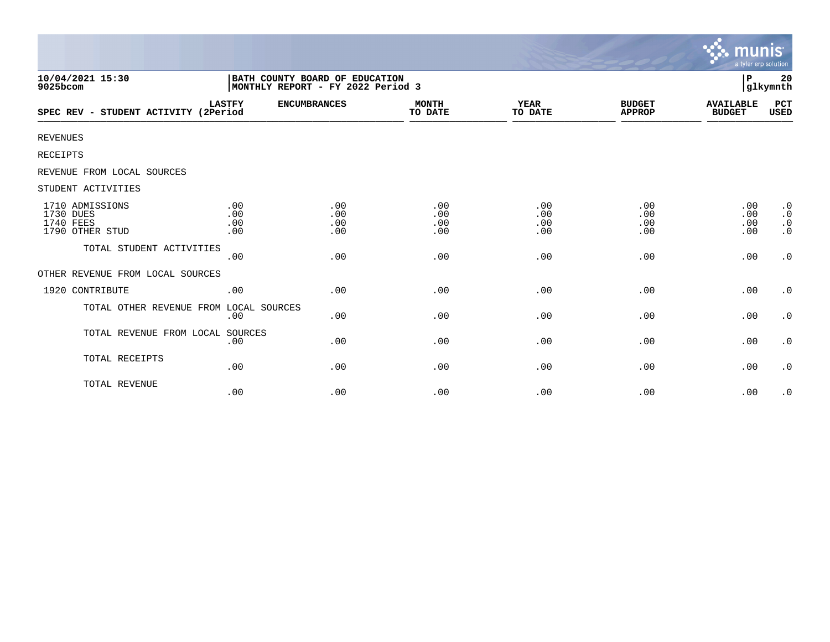|                                                              |                                                                     |                          |                          |                          |                                | <b>munis</b><br>a tyler erp solution |                                                  |
|--------------------------------------------------------------|---------------------------------------------------------------------|--------------------------|--------------------------|--------------------------|--------------------------------|--------------------------------------|--------------------------------------------------|
| 10/04/2021 15:30<br>9025bcom                                 | BATH COUNTY BOARD OF EDUCATION<br>MONTHLY REPORT - FY 2022 Period 3 |                          |                          |                          |                                | P                                    | 20<br>glkymnth                                   |
| SPEC REV - STUDENT ACTIVITY (2Period                         | <b>LASTFY</b>                                                       | <b>ENCUMBRANCES</b>      | <b>MONTH</b><br>TO DATE  | YEAR<br>TO DATE          | <b>BUDGET</b><br><b>APPROP</b> | <b>AVAILABLE</b><br><b>BUDGET</b>    | PCT<br>USED                                      |
| <b>REVENUES</b>                                              |                                                                     |                          |                          |                          |                                |                                      |                                                  |
| RECEIPTS                                                     |                                                                     |                          |                          |                          |                                |                                      |                                                  |
| REVENUE FROM LOCAL SOURCES                                   |                                                                     |                          |                          |                          |                                |                                      |                                                  |
| STUDENT ACTIVITIES                                           |                                                                     |                          |                          |                          |                                |                                      |                                                  |
| 1710 ADMISSIONS<br>1730 DUES<br>1740 FEES<br>1790 OTHER STUD | .00<br>.00<br>.00<br>.00                                            | .00<br>.00<br>.00<br>.00 | .00<br>.00<br>.00<br>.00 | .00<br>.00<br>.00<br>.00 | .00<br>.00<br>.00<br>.00       | .00<br>.00<br>.00<br>.00             | $\cdot$ 0<br>$\cdot$ 0<br>$\cdot$ 0<br>$\cdot$ 0 |
| TOTAL STUDENT ACTIVITIES                                     | .00                                                                 | .00                      | .00                      | .00                      | .00                            | .00                                  | $\boldsymbol{\cdot}$ 0                           |
| OTHER REVENUE FROM LOCAL SOURCES                             |                                                                     |                          |                          |                          |                                |                                      |                                                  |
| 1920 CONTRIBUTE                                              | .00                                                                 | .00                      | .00                      | .00                      | .00                            | .00                                  | $\cdot$ 0                                        |
| TOTAL OTHER REVENUE FROM LOCAL SOURCES                       | .00                                                                 | .00                      | .00                      | .00                      | .00                            | .00                                  | $\cdot$ 0                                        |
| TOTAL REVENUE FROM LOCAL SOURCES                             | .00                                                                 | .00                      | .00                      | .00                      | .00                            | .00                                  | $\cdot$ 0                                        |
| TOTAL RECEIPTS                                               | .00                                                                 | .00                      | .00                      | .00                      | .00                            | .00                                  | $\cdot$ 0                                        |
| TOTAL REVENUE                                                | .00                                                                 | .00                      | .00                      | .00                      | .00                            | .00                                  | $\cdot$ 0                                        |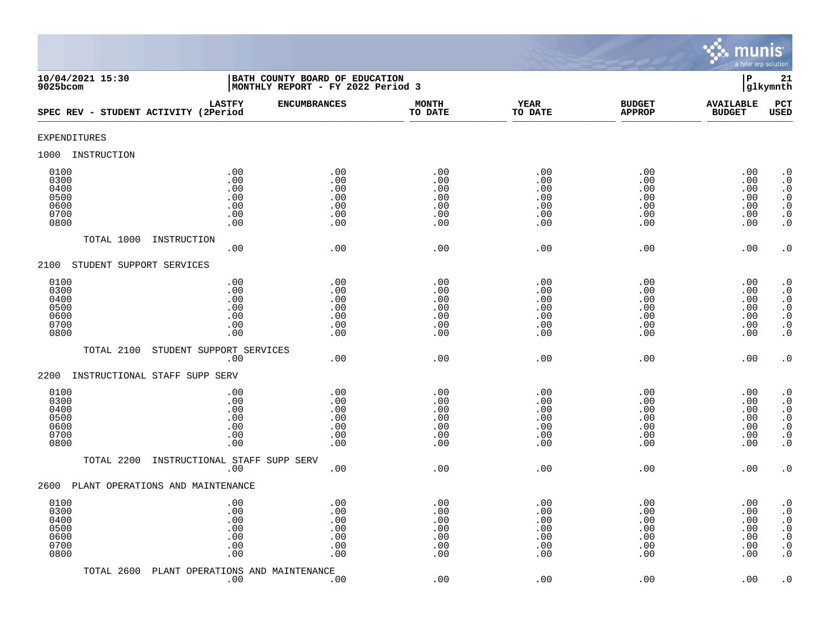

| 10/04/2021 15:30<br>9025bcom                         |                                               | BATH COUNTY BOARD OF EDUCATION<br>MONTHLY REPORT - FY 2022 Period 3 |                                               |                                               |                                               | $\, {\bf P}$                                  | 21<br>glkymnth                                                                                                                                |
|------------------------------------------------------|-----------------------------------------------|---------------------------------------------------------------------|-----------------------------------------------|-----------------------------------------------|-----------------------------------------------|-----------------------------------------------|-----------------------------------------------------------------------------------------------------------------------------------------------|
| SPEC REV - STUDENT ACTIVITY (2Period                 | <b>LASTFY</b>                                 | <b>ENCUMBRANCES</b>                                                 | <b>MONTH</b><br>TO DATE                       | <b>YEAR</b><br>TO DATE                        | <b>BUDGET</b><br><b>APPROP</b>                | <b>AVAILABLE</b><br><b>BUDGET</b>             | PCT<br><b>USED</b>                                                                                                                            |
| EXPENDITURES                                         |                                               |                                                                     |                                               |                                               |                                               |                                               |                                                                                                                                               |
| INSTRUCTION<br>1000                                  |                                               |                                                                     |                                               |                                               |                                               |                                               |                                                                                                                                               |
| 0100<br>0300<br>0400<br>0500<br>0600<br>0700<br>0800 | .00<br>.00<br>.00<br>.00<br>.00<br>.00<br>.00 | .00<br>.00<br>.00<br>.00<br>.00<br>.00<br>.00                       | .00<br>.00<br>.00<br>.00<br>.00<br>.00<br>.00 | .00<br>.00<br>.00<br>.00<br>.00<br>.00<br>.00 | .00<br>.00<br>.00<br>.00<br>.00<br>.00<br>.00 | .00<br>.00<br>.00<br>.00<br>.00<br>.00<br>.00 | $\cdot$ 0<br>$\boldsymbol{\cdot}$ 0<br>$\cdot$ 0<br>$\begin{smallmatrix} 0.1 \\ 0.1 \end{smallmatrix}$<br>$\boldsymbol{\cdot}$ 0<br>$\cdot$ 0 |
| TOTAL 1000                                           | INSTRUCTION<br>.00                            | .00                                                                 | .00                                           | .00                                           | .00                                           | .00                                           | $\cdot$ 0                                                                                                                                     |
| 2100<br>STUDENT SUPPORT SERVICES                     |                                               |                                                                     |                                               |                                               |                                               |                                               |                                                                                                                                               |
| 0100<br>0300<br>0400<br>0500<br>0600<br>0700<br>0800 | .00<br>.00<br>.00<br>.00<br>.00<br>.00<br>.00 | .00<br>.00<br>.00<br>.00<br>.00<br>.00<br>.00                       | .00<br>.00<br>.00<br>.00<br>.00<br>.00<br>.00 | .00<br>.00<br>.00<br>.00<br>.00<br>.00<br>.00 | .00<br>.00<br>.00<br>.00<br>.00<br>.00<br>.00 | .00<br>.00<br>.00<br>.00<br>.00<br>.00<br>.00 | $\begin{smallmatrix} 0.1 \\ 0.1 \end{smallmatrix}$<br>$\cdot$ 0<br>$\begin{array}{c} 0.0 \\ 0.0 \\ 0.0 \end{array}$<br>$\cdot$ 0              |
| TOTAL 2100                                           | STUDENT SUPPORT SERVICES<br>.00               | .00                                                                 | .00                                           | .00                                           | .00                                           | .00                                           | $\cdot$ 0                                                                                                                                     |
| INSTRUCTIONAL STAFF SUPP SERV<br>2200                |                                               |                                                                     |                                               |                                               |                                               |                                               |                                                                                                                                               |
| 0100<br>0300<br>0400<br>0500<br>0600<br>0700<br>0800 | .00<br>.00<br>.00<br>.00<br>.00<br>.00<br>.00 | .00<br>.00<br>.00<br>.00<br>.00<br>.00<br>.00                       | .00<br>.00<br>.00<br>.00<br>.00<br>.00<br>.00 | .00<br>.00<br>.00<br>.00<br>.00<br>.00<br>.00 | .00<br>.00<br>.00<br>.00<br>.00<br>.00<br>.00 | .00<br>.00<br>.00<br>.00<br>.00<br>.00<br>.00 | $\cdot$ 0<br>$\ddot{0}$<br>$\boldsymbol{\cdot}$ 0<br>$\overline{0}$<br>$\ddot{\theta}$<br>$\cdot$ 0<br>$\overline{0}$ .                       |
| TOTAL 2200                                           | INSTRUCTIONAL STAFF SUPP SERV<br>.00          | .00                                                                 | .00                                           | .00                                           | .00                                           | .00                                           | $\cdot$ 0                                                                                                                                     |
| 2600<br>PLANT OPERATIONS AND MAINTENANCE             |                                               |                                                                     |                                               |                                               |                                               |                                               |                                                                                                                                               |
| 0100<br>0300<br>0400<br>0500<br>0600<br>0700<br>0800 | .00<br>.00<br>.00<br>.00<br>.00<br>.00<br>.00 | .00<br>.00<br>.00<br>.00<br>.00<br>.00<br>.00                       | .00<br>.00<br>.00<br>.00<br>.00<br>.00<br>.00 | .00<br>.00<br>.00<br>.00<br>.00<br>.00<br>.00 | .00<br>.00<br>.00<br>.00<br>.00<br>.00<br>.00 | .00<br>.00<br>.00<br>.00<br>.00<br>.00<br>.00 | $\cdot$ 0<br>$\cdot$ 0<br>$\boldsymbol{\cdot}$ 0<br>$\ddot{0}$<br>$\boldsymbol{\cdot}$ 0<br>$\boldsymbol{\cdot}$ 0<br>$\cdot$ 0               |
| TOTAL 2600                                           | PLANT OPERATIONS AND MAINTENANCE<br>.00       | .00                                                                 | .00                                           | .00                                           | .00                                           | .00                                           | $\cdot$ 0                                                                                                                                     |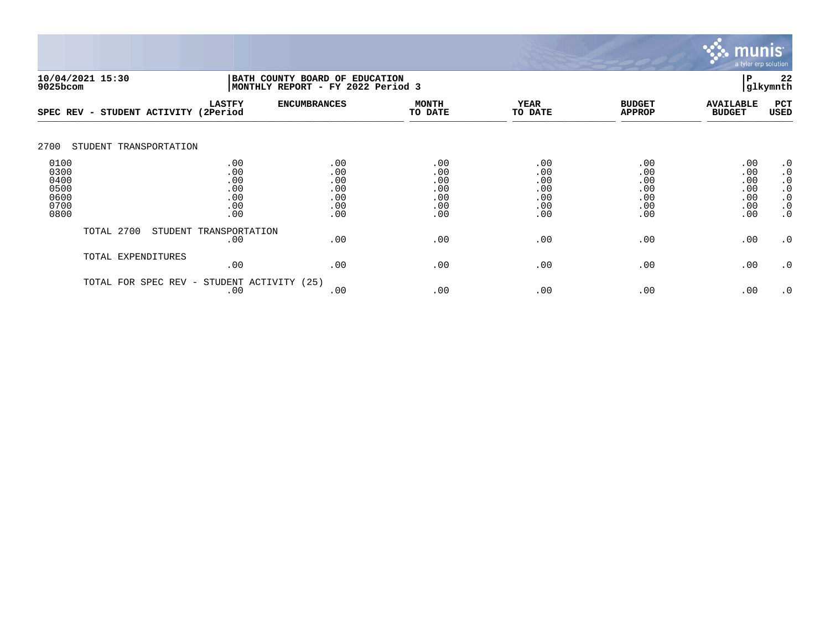

|                                                      | 10/04/2021 15:30<br>BATH COUNTY BOARD OF EDUCATION<br>9025bcom<br>MONTHLY REPORT - FY 2022 Period 3 |                                               |                                               |                                               | 22<br>P<br>glkymnth                           |                                               |                                               |                                                                                         |
|------------------------------------------------------|-----------------------------------------------------------------------------------------------------|-----------------------------------------------|-----------------------------------------------|-----------------------------------------------|-----------------------------------------------|-----------------------------------------------|-----------------------------------------------|-----------------------------------------------------------------------------------------|
| SPEC REV -                                           | STUDENT ACTIVITY (2Period                                                                           | <b>LASTFY</b>                                 | <b>ENCUMBRANCES</b>                           | <b>MONTH</b><br>TO DATE                       | <b>YEAR</b><br>TO DATE                        | <b>BUDGET</b><br><b>APPROP</b>                | <b>AVAILABLE</b><br><b>BUDGET</b>             | PCT<br><b>USED</b>                                                                      |
| 2700                                                 | STUDENT TRANSPORTATION                                                                              |                                               |                                               |                                               |                                               |                                               |                                               |                                                                                         |
| 0100<br>0300<br>0400<br>0500<br>0600<br>0700<br>0800 |                                                                                                     | .00<br>.00<br>.00<br>.00<br>.00<br>.00<br>.00 | .00<br>.00<br>.00<br>.00<br>.00<br>.00<br>.00 | .00<br>.00<br>.00<br>.00<br>.00<br>.00<br>.00 | .00<br>.00<br>.00<br>.00<br>.00<br>.00<br>.00 | .00<br>.00<br>.00<br>.00<br>.00<br>.00<br>.00 | .00<br>.00<br>.00<br>.00<br>.00<br>.00<br>.00 | $\cdot$ 0<br>$\cdot$ 0<br>$\cdot$ 0<br>$\cdot$ 0<br>$\cdot$ 0<br>$\cdot$ 0<br>$\cdot$ 0 |
|                                                      | TOTAL 2700                                                                                          | STUDENT TRANSPORTATION<br>.00                 | .00                                           | .00                                           | .00                                           | .00                                           | .00                                           | $\cdot$ 0                                                                               |
|                                                      | TOTAL EXPENDITURES                                                                                  | .00                                           | .00                                           | .00                                           | .00                                           | .00                                           | .00                                           | $\cdot$ 0                                                                               |
|                                                      | TOTAL FOR SPEC REV -                                                                                | STUDENT ACTIVITY (25)<br>.00                  | .00                                           | .00                                           | .00                                           | .00                                           | .00                                           | $\cdot$ 0                                                                               |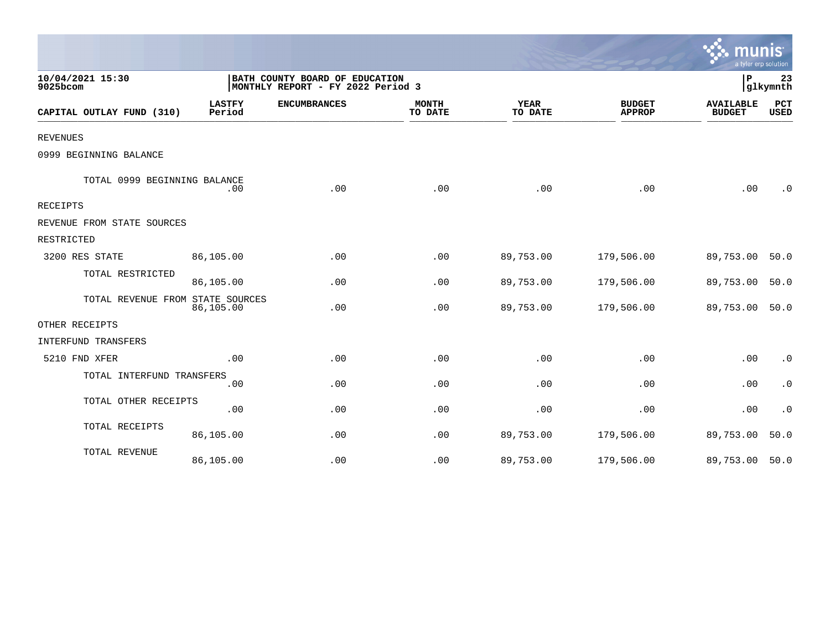|                                  |                         |                                                                     |                         |                        |                                | mun<br>a tyler erp solution       |                    |
|----------------------------------|-------------------------|---------------------------------------------------------------------|-------------------------|------------------------|--------------------------------|-----------------------------------|--------------------|
| 10/04/2021 15:30<br>9025bcom     |                         | BATH COUNTY BOARD OF EDUCATION<br>MONTHLY REPORT - FY 2022 Period 3 |                         |                        |                                | ΙP                                | 23<br>glkymnth     |
| CAPITAL OUTLAY FUND (310)        | <b>LASTFY</b><br>Period | <b>ENCUMBRANCES</b>                                                 | <b>MONTH</b><br>TO DATE | <b>YEAR</b><br>TO DATE | <b>BUDGET</b><br><b>APPROP</b> | <b>AVAILABLE</b><br><b>BUDGET</b> | PCT<br><b>USED</b> |
| <b>REVENUES</b>                  |                         |                                                                     |                         |                        |                                |                                   |                    |
| 0999 BEGINNING BALANCE           |                         |                                                                     |                         |                        |                                |                                   |                    |
| TOTAL 0999 BEGINNING BALANCE     | .00                     | .00                                                                 | .00                     | .00                    | .00                            | .00                               | . 0                |
| <b>RECEIPTS</b>                  |                         |                                                                     |                         |                        |                                |                                   |                    |
| REVENUE FROM STATE SOURCES       |                         |                                                                     |                         |                        |                                |                                   |                    |
| RESTRICTED                       |                         |                                                                     |                         |                        |                                |                                   |                    |
| 3200 RES STATE                   | 86,105.00               | .00                                                                 | .00                     | 89,753.00              | 179,506.00                     | 89,753.00                         | 50.0               |
| TOTAL RESTRICTED                 | 86,105.00               | .00                                                                 | .00                     | 89,753.00              | 179,506.00                     | 89,753.00                         | 50.0               |
| TOTAL REVENUE FROM STATE SOURCES | 86,105.00               | .00                                                                 | .00                     | 89,753.00              | 179,506.00                     | 89,753.00                         | 50.0               |
| OTHER RECEIPTS                   |                         |                                                                     |                         |                        |                                |                                   |                    |
| <b>INTERFUND TRANSFERS</b>       |                         |                                                                     |                         |                        |                                |                                   |                    |
| 5210 FND XFER                    | .00                     | .00                                                                 | .00                     | .00                    | .00                            | .00                               | $\cdot$ 0          |
| TOTAL INTERFUND TRANSFERS        | .00                     | .00                                                                 | .00                     | .00                    | .00                            | .00                               | $\cdot$ 0          |
| TOTAL OTHER RECEIPTS             | .00                     | .00                                                                 | .00                     | .00                    | .00                            | .00                               | $\cdot$ 0          |
| TOTAL RECEIPTS                   | 86,105.00               | .00                                                                 | .00                     | 89,753.00              | 179,506.00                     | 89,753.00                         | 50.0               |
| TOTAL REVENUE                    | 86,105.00               | .00                                                                 | .00                     | 89,753.00              | 179,506.00                     | 89,753.00                         | 50.0               |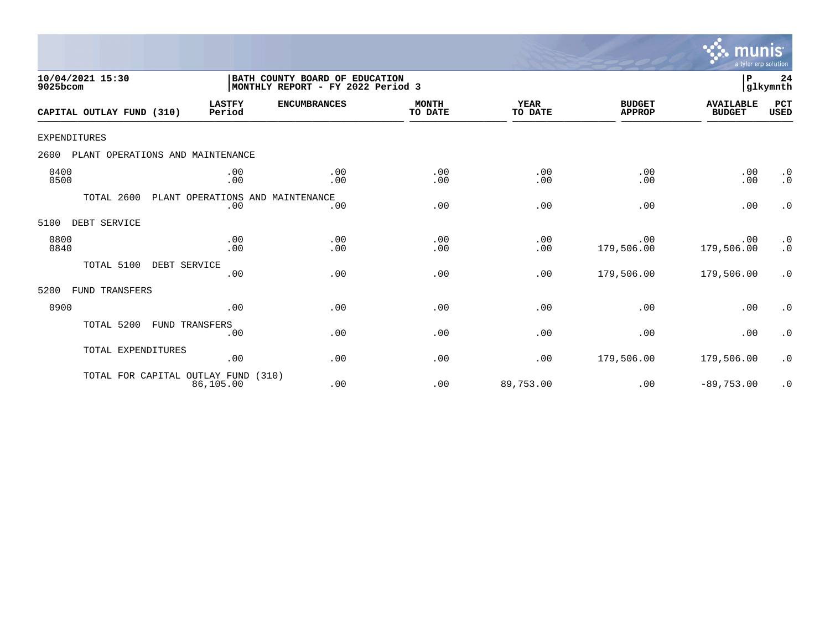

| 10/04/2021 15:30<br>9025bcom             |                         | BATH COUNTY BOARD OF EDUCATION<br>MONTHLY REPORT - FY 2022 Period 3 |                         |                 |                                | ${\bf P}$                         | 24<br>glkymnth                                    |
|------------------------------------------|-------------------------|---------------------------------------------------------------------|-------------------------|-----------------|--------------------------------|-----------------------------------|---------------------------------------------------|
| CAPITAL OUTLAY FUND (310)                | <b>LASTFY</b><br>Period | <b>ENCUMBRANCES</b>                                                 | <b>MONTH</b><br>TO DATE | YEAR<br>TO DATE | <b>BUDGET</b><br><b>APPROP</b> | <b>AVAILABLE</b><br><b>BUDGET</b> | PCT<br><b>USED</b>                                |
| <b>EXPENDITURES</b>                      |                         |                                                                     |                         |                 |                                |                                   |                                                   |
| PLANT OPERATIONS AND MAINTENANCE<br>2600 |                         |                                                                     |                         |                 |                                |                                   |                                                   |
| 0400<br>0500                             | .00<br>.00              | .00<br>.00                                                          | .00<br>.00              | .00<br>.00      | .00<br>.00                     | .00<br>.00                        | $\cdot$ 0<br>$\cdot$ 0                            |
| TOTAL 2600                               | .00                     | PLANT OPERATIONS AND MAINTENANCE<br>.00                             | .00                     | .00             | .00                            | .00                               | $\cdot$ 0                                         |
| DEBT SERVICE<br>5100                     |                         |                                                                     |                         |                 |                                |                                   |                                                   |
| 0800<br>0840                             | .00<br>.00              | .00<br>.00                                                          | .00<br>.00              | .00<br>.00      | .00<br>179,506.00              | .00<br>179,506.00                 | $\begin{smallmatrix} 0.1 \ 0.1 \end{smallmatrix}$ |
| TOTAL 5100<br>DEBT SERVICE               | .00                     | .00                                                                 | .00                     | .00             | 179,506.00                     | 179,506.00                        | .0                                                |
| FUND TRANSFERS<br>5200                   |                         |                                                                     |                         |                 |                                |                                   |                                                   |
| 0900                                     | .00                     | .00                                                                 | .00                     | .00             | .00                            | .00                               | $\cdot$ 0                                         |
| TOTAL 5200                               | FUND TRANSFERS<br>.00   | .00                                                                 | .00                     | .00             | .00                            | .00                               | $\cdot$ 0                                         |
| TOTAL EXPENDITURES                       | .00                     | .00                                                                 | .00                     | .00             | 179,506.00                     | 179,506.00                        | $\cdot$ 0                                         |
| TOTAL FOR CAPITAL OUTLAY FUND            | 86,105.00               | (310)<br>.00                                                        | .00                     | 89,753.00       | .00                            | $-89,753.00$                      | $\cdot$ 0                                         |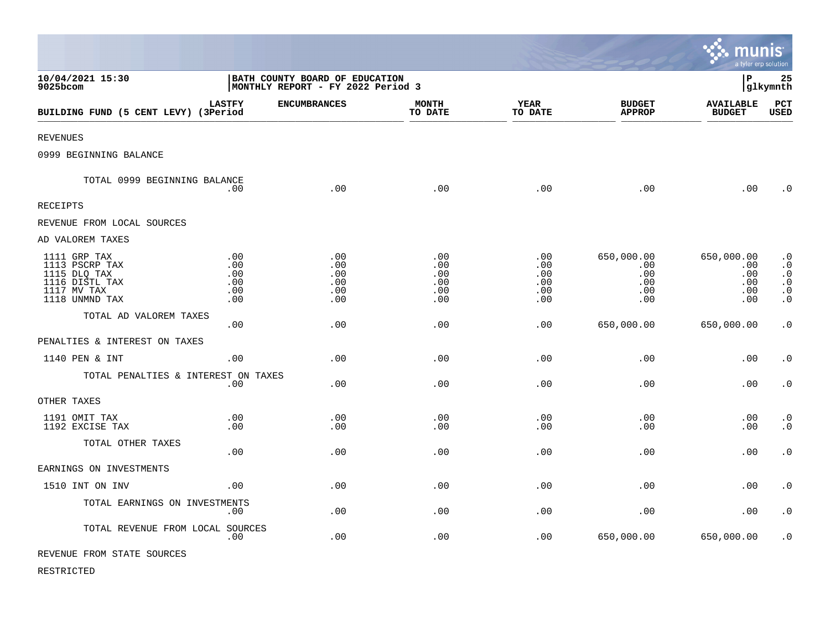|                                                                                                   |                                                                     |                                        |                                        |                                             |                                               | munis<br>a tyler erp solution                 |                                                                            |
|---------------------------------------------------------------------------------------------------|---------------------------------------------------------------------|----------------------------------------|----------------------------------------|---------------------------------------------|-----------------------------------------------|-----------------------------------------------|----------------------------------------------------------------------------|
| 10/04/2021 15:30<br>9025bcom                                                                      | BATH COUNTY BOARD OF EDUCATION<br>MONTHLY REPORT - FY 2022 Period 3 |                                        |                                        |                                             |                                               | l P                                           | 25<br> glkymnth                                                            |
| BUILDING FUND (5 CENT LEVY) (3Period                                                              | <b>LASTFY</b>                                                       | <b>ENCUMBRANCES</b>                    | <b>MONTH</b><br>TO DATE                | <b>YEAR</b><br>TO DATE                      | <b>BUDGET</b><br><b>APPROP</b>                | <b>AVAILABLE</b><br><b>BUDGET</b>             | PCT<br>USED                                                                |
| <b>REVENUES</b>                                                                                   |                                                                     |                                        |                                        |                                             |                                               |                                               |                                                                            |
| 0999 BEGINNING BALANCE                                                                            |                                                                     |                                        |                                        |                                             |                                               |                                               |                                                                            |
| TOTAL 0999 BEGINNING BALANCE                                                                      | .00                                                                 | .00                                    | .00                                    | .00                                         | .00                                           | .00                                           | $\cdot$ 0                                                                  |
| <b>RECEIPTS</b>                                                                                   |                                                                     |                                        |                                        |                                             |                                               |                                               |                                                                            |
| REVENUE FROM LOCAL SOURCES                                                                        |                                                                     |                                        |                                        |                                             |                                               |                                               |                                                                            |
| AD VALOREM TAXES                                                                                  |                                                                     |                                        |                                        |                                             |                                               |                                               |                                                                            |
| 1111 GRP TAX<br>1113 PSCRP TAX<br>1115 DLQ TAX<br>1116 DISTL TAX<br>1117 MV TAX<br>1118 UNMND TAX | .00<br>.00<br>.00<br>.00<br>.00<br>.00                              | .00<br>.00<br>.00<br>.00<br>.00<br>.00 | .00<br>.00<br>.00<br>.00<br>.00<br>.00 | $.00 \,$<br>.00<br>.00<br>.00<br>.00<br>.00 | 650,000.00<br>.00<br>.00<br>.00<br>.00<br>.00 | 650,000.00<br>.00<br>.00<br>.00<br>.00<br>.00 | $\cdot$ 0<br>$\cdot$ 0<br>$\cdot$ 0<br>$\cdot$ 0<br>$\cdot$ 0<br>$\cdot$ 0 |
| TOTAL AD VALOREM TAXES                                                                            | .00                                                                 | .00                                    | .00                                    | .00                                         | 650,000.00                                    | 650,000.00                                    | $\cdot$ 0                                                                  |
| PENALTIES & INTEREST ON TAXES                                                                     |                                                                     |                                        |                                        |                                             |                                               |                                               |                                                                            |
| 1140 PEN & INT                                                                                    | .00                                                                 | .00                                    | .00                                    | .00                                         | .00                                           | .00                                           | $\cdot$ 0                                                                  |
| TOTAL PENALTIES & INTEREST ON TAXES                                                               | .00                                                                 | .00                                    | .00                                    | .00                                         | .00                                           | .00                                           | $\boldsymbol{\cdot}$ 0                                                     |
| OTHER TAXES                                                                                       |                                                                     |                                        |                                        |                                             |                                               |                                               |                                                                            |
| 1191 OMIT TAX<br>1192 EXCISE TAX                                                                  | .00<br>.00                                                          | .00<br>.00                             | .00<br>.00                             | .00<br>.00                                  | .00<br>.00                                    | .00<br>.00                                    | $\cdot$ 0<br>$\cdot$ 0                                                     |
| TOTAL OTHER TAXES                                                                                 | .00                                                                 | .00                                    | .00                                    | .00                                         | .00                                           | .00                                           | $\boldsymbol{\cdot}$ 0                                                     |
| EARNINGS ON INVESTMENTS                                                                           |                                                                     |                                        |                                        |                                             |                                               |                                               |                                                                            |
| 1510 INT ON INV                                                                                   | .00                                                                 | .00                                    | .00                                    | .00                                         | .00                                           | .00                                           | $\cdot$ 0                                                                  |
| TOTAL EARNINGS ON INVESTMENTS                                                                     | .00                                                                 | .00.                                   | .00                                    | .00                                         | .00                                           | .00                                           | $\cdot$ 0                                                                  |
| TOTAL REVENUE FROM LOCAL SOURCES                                                                  | .00                                                                 | .00                                    | .00                                    | .00                                         | 650,000.00                                    | 650,000.00                                    | $\cdot$ 0                                                                  |
| REVENUE FROM STATE SOURCES                                                                        |                                                                     |                                        |                                        |                                             |                                               |                                               |                                                                            |

 $\mathcal{L}$ 

RESTRICTED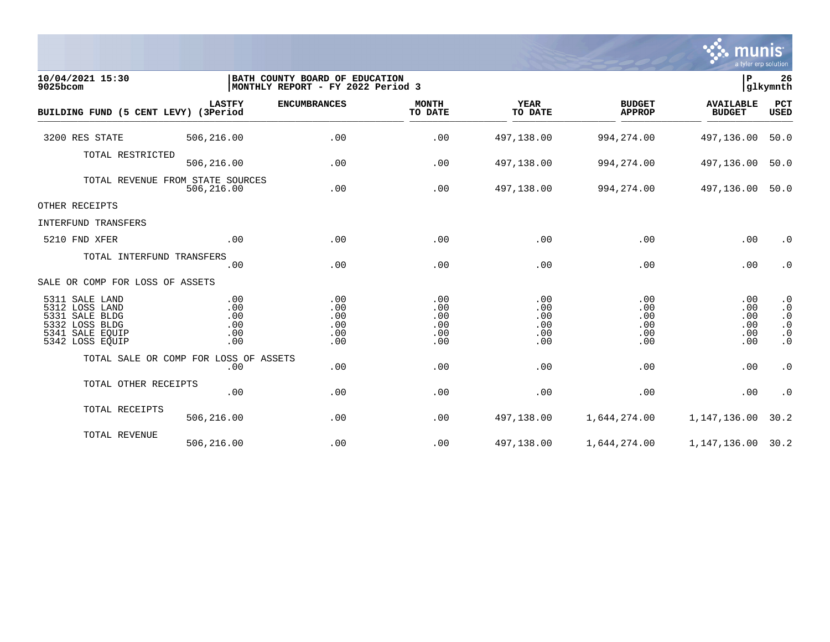

| 10/04/2021 15:30<br>9025bcom                                                                                  |                                        | BATH COUNTY BOARD OF EDUCATION<br> MONTHLY REPORT - FY 2022 Period 3 |                                        |                                        |                                        |                                        |                                                                            |  |
|---------------------------------------------------------------------------------------------------------------|----------------------------------------|----------------------------------------------------------------------|----------------------------------------|----------------------------------------|----------------------------------------|----------------------------------------|----------------------------------------------------------------------------|--|
| BUILDING FUND (5 CENT LEVY) (3Period                                                                          | <b>LASTFY</b>                          | <b>ENCUMBRANCES</b>                                                  | <b>MONTH</b><br>TO DATE                | <b>YEAR</b><br>TO DATE                 | <b>BUDGET</b><br><b>APPROP</b>         | <b>AVAILABLE</b><br><b>BUDGET</b>      | <b>PCT</b><br>USED                                                         |  |
| 3200 RES STATE                                                                                                | 506,216.00                             | .00                                                                  | .00                                    | 497,138.00                             | 994, 274.00                            | 497,136.00                             | 50.0                                                                       |  |
| TOTAL RESTRICTED                                                                                              | 506,216.00                             | .00                                                                  | .00                                    | 497,138.00                             | 994, 274.00                            | 497,136.00                             | 50.0                                                                       |  |
| TOTAL REVENUE FROM STATE SOURCES                                                                              | 506,216.00                             | .00                                                                  | .00                                    | 497,138.00                             | 994,274.00                             | 497,136.00                             | 50.0                                                                       |  |
| OTHER RECEIPTS                                                                                                |                                        |                                                                      |                                        |                                        |                                        |                                        |                                                                            |  |
| INTERFUND TRANSFERS                                                                                           |                                        |                                                                      |                                        |                                        |                                        |                                        |                                                                            |  |
| 5210 FND XFER                                                                                                 | .00                                    | .00                                                                  | .00                                    | .00                                    | .00                                    | .00                                    | $\cdot$ 0                                                                  |  |
| TOTAL INTERFUND TRANSFERS                                                                                     | .00                                    | .00                                                                  | .00                                    | .00                                    | .00                                    | .00                                    | $\cdot$ 0                                                                  |  |
| SALE OR COMP FOR LOSS OF ASSETS                                                                               |                                        |                                                                      |                                        |                                        |                                        |                                        |                                                                            |  |
| 5311 SALE LAND<br>5312 LOSS LAND<br>5331 SALE BLDG<br>5332 LOSS BLDG<br>5341<br>SALE EQUIP<br>5342 LOSS EQUIP | .00<br>.00<br>.00<br>.00<br>.00<br>.00 | .00<br>.00<br>.00<br>.00<br>.00<br>.00                               | .00<br>.00<br>.00<br>.00<br>.00<br>.00 | .00<br>.00<br>.00<br>.00<br>.00<br>.00 | .00<br>.00<br>.00<br>.00<br>.00<br>.00 | .00<br>.00<br>.00<br>.00<br>.00<br>.00 | $\cdot$ 0<br>$\cdot$ 0<br>$\cdot$ 0<br>$\cdot$ 0<br>$\cdot$ 0<br>$\cdot$ 0 |  |
| TOTAL SALE OR COMP FOR LOSS OF ASSETS                                                                         | .00                                    | .00                                                                  | .00                                    | .00                                    | .00                                    | .00                                    | $\cdot$ 0                                                                  |  |
| TOTAL OTHER RECEIPTS                                                                                          | .00                                    | .00                                                                  | .00                                    | .00                                    | .00                                    | .00                                    | $\cdot$ 0                                                                  |  |
| TOTAL RECEIPTS                                                                                                | 506,216.00                             | .00                                                                  | .00                                    | 497,138.00                             | 1,644,274.00                           | 1,147,136.00                           | 30.2                                                                       |  |
| TOTAL REVENUE                                                                                                 | 506,216.00                             | .00                                                                  | .00                                    | 497,138.00                             | 1,644,274.00                           | 1,147,136.00                           | 30.2                                                                       |  |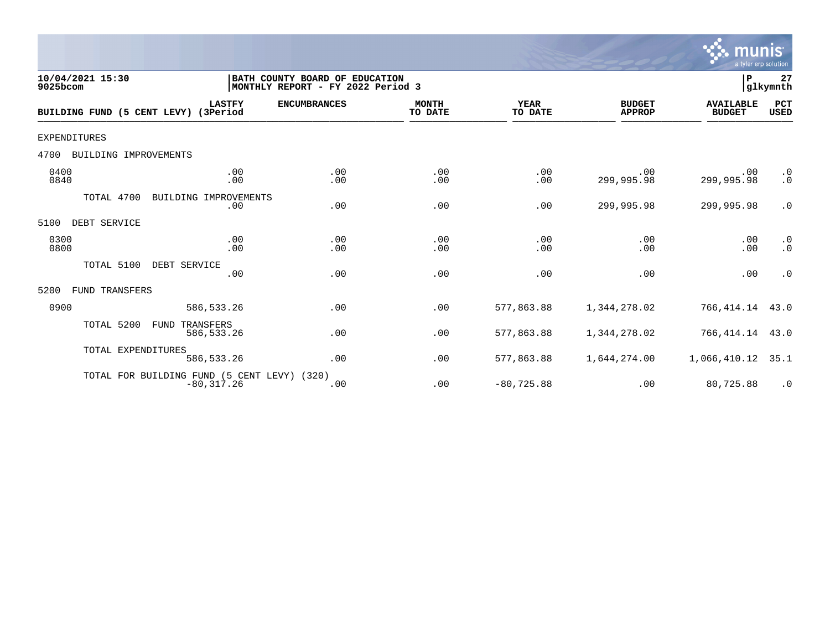

| 10/04/2021 15:30<br>9025bcom  |                                                        | BATH COUNTY BOARD OF EDUCATION<br> MONTHLY REPORT - FY 2022 Period 3 |                         |                        |                                | P                                 | 27<br>glkymnth         |
|-------------------------------|--------------------------------------------------------|----------------------------------------------------------------------|-------------------------|------------------------|--------------------------------|-----------------------------------|------------------------|
| BUILDING FUND (5 CENT LEVY)   | <b>LASTFY</b><br>(3Period                              | <b>ENCUMBRANCES</b>                                                  | <b>MONTH</b><br>TO DATE | <b>YEAR</b><br>TO DATE | <b>BUDGET</b><br><b>APPROP</b> | <b>AVAILABLE</b><br><b>BUDGET</b> | PCT<br><b>USED</b>     |
| <b>EXPENDITURES</b>           |                                                        |                                                                      |                         |                        |                                |                                   |                        |
| BUILDING IMPROVEMENTS<br>4700 |                                                        |                                                                      |                         |                        |                                |                                   |                        |
| 0400<br>0840                  | .00<br>.00                                             | .00<br>.00                                                           | .00<br>.00              | .00<br>.00             | .00<br>299,995.98              | .00<br>299,995.98                 | $\cdot$ 0<br>$\cdot$ 0 |
| TOTAL 4700                    | BUILDING IMPROVEMENTS<br>.00                           | .00                                                                  | .00                     | .00                    | 299,995.98                     | 299,995.98                        | $\cdot$ 0              |
| 5100<br>DEBT SERVICE          |                                                        |                                                                      |                         |                        |                                |                                   |                        |
| 0300<br>0800                  | .00<br>.00                                             | .00<br>.00                                                           | .00<br>.00              | .00<br>.00             | .00<br>.00                     | .00<br>.00                        | $\cdot$ 0<br>$\cdot$ 0 |
| TOTAL 5100                    | DEBT SERVICE<br>.00                                    | .00                                                                  | .00                     | .00                    | .00                            | .00                               | $\cdot$ 0              |
| FUND TRANSFERS<br>5200        |                                                        |                                                                      |                         |                        |                                |                                   |                        |
| 0900                          | 586, 533.26                                            | .00                                                                  | .00                     | 577,863.88             | 1,344,278.02                   | 766,414.14                        | 43.0                   |
| TOTAL 5200                    | FUND<br>TRANSFERS<br>586,533.26                        | .00                                                                  | .00                     | 577,863.88             | 1,344,278.02                   | 766, 414. 14 43. 0                |                        |
| TOTAL EXPENDITURES            | 586, 533.26                                            | .00                                                                  | .00                     | 577,863.88             | 1,644,274.00                   | 1,066,410.12                      | 35.1                   |
|                               | TOTAL FOR BUILDING FUND (5 CENT LEVY)<br>$-80, 317.26$ | (320)<br>.00                                                         | .00                     | $-80, 725.88$          | .00                            | 80,725.88                         | $\cdot$ 0              |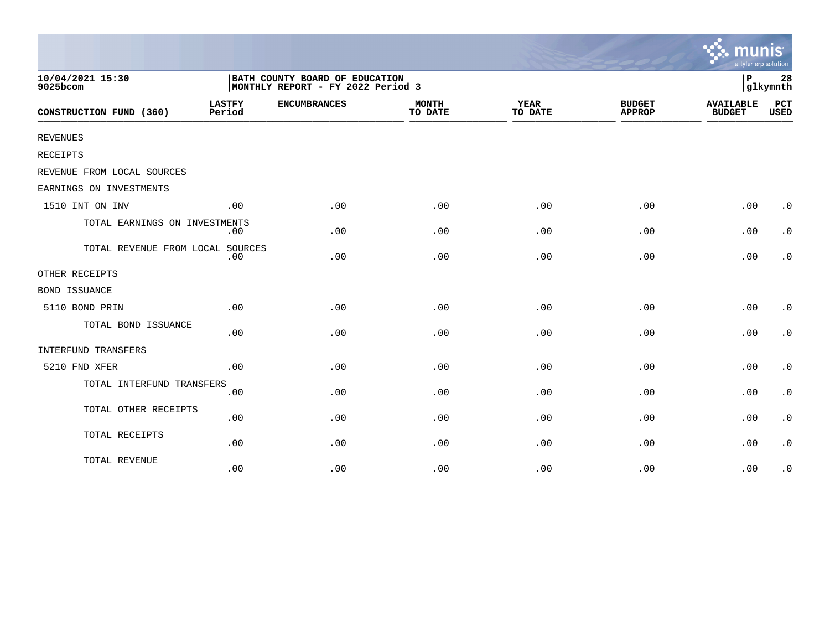|                                  |                                                                     |                     |                         |                        |                                | a tyler erp solution              |                        |
|----------------------------------|---------------------------------------------------------------------|---------------------|-------------------------|------------------------|--------------------------------|-----------------------------------|------------------------|
| 10/04/2021 15:30<br>9025bcom     | BATH COUNTY BOARD OF EDUCATION<br>MONTHLY REPORT - FY 2022 Period 3 |                     |                         |                        |                                |                                   | 28<br>glkymnth         |
| CONSTRUCTION FUND (360)          | <b>LASTFY</b><br>Period                                             | <b>ENCUMBRANCES</b> | <b>MONTH</b><br>TO DATE | <b>YEAR</b><br>TO DATE | <b>BUDGET</b><br><b>APPROP</b> | <b>AVAILABLE</b><br><b>BUDGET</b> | PCT<br><b>USED</b>     |
| REVENUES                         |                                                                     |                     |                         |                        |                                |                                   |                        |
| RECEIPTS                         |                                                                     |                     |                         |                        |                                |                                   |                        |
| REVENUE FROM LOCAL SOURCES       |                                                                     |                     |                         |                        |                                |                                   |                        |
| EARNINGS ON INVESTMENTS          |                                                                     |                     |                         |                        |                                |                                   |                        |
| 1510 INT ON INV                  | .00                                                                 | .00                 | .00                     | .00                    | .00                            | .00                               | $\cdot$ 0              |
| TOTAL EARNINGS ON INVESTMENTS    | $.00 \,$                                                            | .00                 | .00                     | .00                    | .00                            | .00                               | $\cdot$ 0              |
| TOTAL REVENUE FROM LOCAL SOURCES | .00                                                                 | .00                 | .00                     | .00                    | .00                            | .00                               | $\cdot$ 0              |
| OTHER RECEIPTS                   |                                                                     |                     |                         |                        |                                |                                   |                        |
| BOND ISSUANCE                    |                                                                     |                     |                         |                        |                                |                                   |                        |
| 5110 BOND PRIN                   | .00                                                                 | .00                 | .00                     | .00                    | .00                            | .00                               | $\cdot$ 0              |
| TOTAL BOND ISSUANCE              | .00                                                                 | .00                 | .00                     | .00                    | .00                            | .00                               | $\cdot$ 0              |
| INTERFUND TRANSFERS              |                                                                     |                     |                         |                        |                                |                                   |                        |
| 5210 FND XFER                    | .00                                                                 | .00                 | .00                     | .00                    | .00                            | .00                               | $\cdot$ 0              |
| TOTAL INTERFUND TRANSFERS        | .00                                                                 | .00                 | .00                     | .00                    | .00                            | .00                               | $\cdot$ 0              |
| TOTAL OTHER RECEIPTS             | .00                                                                 | .00                 | .00                     | .00                    | .00                            | .00                               | $\boldsymbol{\cdot}$ 0 |
| TOTAL RECEIPTS                   | .00                                                                 | .00                 | .00                     | .00                    | .00                            | .00                               | $\cdot$ 0              |
| TOTAL REVENUE                    | .00                                                                 | .00                 | .00                     | .00                    | .00                            | .00                               | $\cdot$ 0              |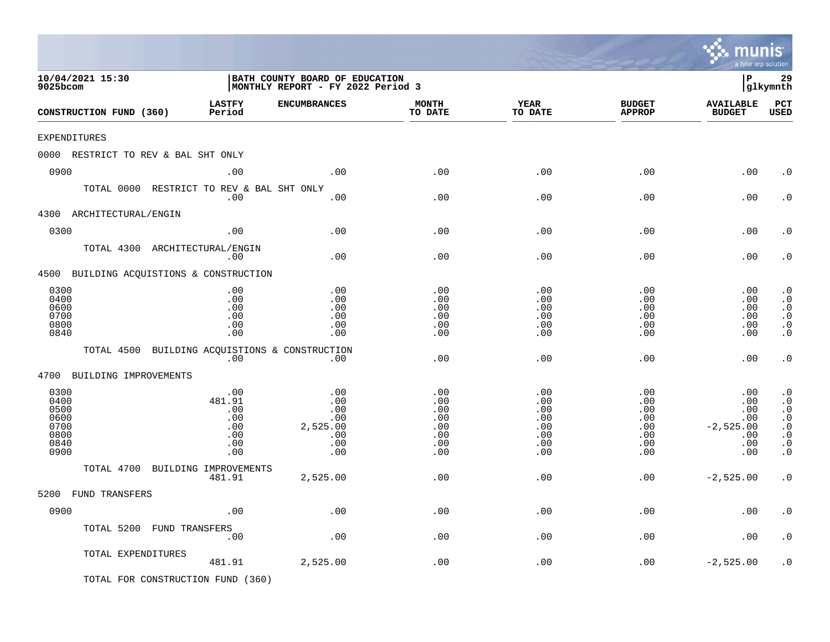|                                                              |                                                         |                                                                     |                                                      |                                                      |                                                           | mu<br>a tyler erp solution                                   | nıs                                                                                                               |
|--------------------------------------------------------------|---------------------------------------------------------|---------------------------------------------------------------------|------------------------------------------------------|------------------------------------------------------|-----------------------------------------------------------|--------------------------------------------------------------|-------------------------------------------------------------------------------------------------------------------|
| 10/04/2021 15:30<br>9025bcom                                 |                                                         | BATH COUNTY BOARD OF EDUCATION<br>MONTHLY REPORT - FY 2022 Period 3 |                                                      |                                                      |                                                           | l P                                                          | 29<br> glkymnth                                                                                                   |
| CONSTRUCTION FUND (360)                                      | <b>LASTFY</b><br>Period                                 | <b>ENCUMBRANCES</b>                                                 | <b>MONTH</b><br>TO DATE                              | YEAR<br>TO DATE                                      | <b>BUDGET</b><br><b>APPROP</b>                            | <b>AVAILABLE</b><br><b>BUDGET</b>                            | <b>PCT</b><br>USED                                                                                                |
| EXPENDITURES                                                 |                                                         |                                                                     |                                                      |                                                      |                                                           |                                                              |                                                                                                                   |
| 0000 RESTRICT TO REV & BAL SHT ONLY                          |                                                         |                                                                     |                                                      |                                                      |                                                           |                                                              |                                                                                                                   |
| 0900                                                         | .00                                                     | .00                                                                 | .00                                                  | .00                                                  | .00                                                       | .00                                                          | . 0                                                                                                               |
| TOTAL 0000 RESTRICT TO REV & BAL SHT ONLY                    | .00                                                     | .00                                                                 | .00                                                  | .00                                                  | .00                                                       | .00                                                          | $\cdot$ 0                                                                                                         |
| 4300 ARCHITECTURAL/ENGIN                                     |                                                         |                                                                     |                                                      |                                                      |                                                           |                                                              |                                                                                                                   |
| 0300                                                         | .00                                                     | .00                                                                 | .00                                                  | .00                                                  | .00                                                       | .00                                                          | $\cdot$ 0                                                                                                         |
| TOTAL 4300 ARCHITECTURAL/ENGIN                               | .00                                                     | .00                                                                 | .00                                                  | .00                                                  | .00                                                       | .00                                                          | . 0                                                                                                               |
| 4500 BUILDING ACQUISTIONS & CONSTRUCTION                     |                                                         |                                                                     |                                                      |                                                      |                                                           |                                                              |                                                                                                                   |
| 0300<br>0400<br>0600<br>0700<br>0800<br>0840                 | .00<br>.00<br>.00<br>.00<br>.00<br>.00                  | .00<br>.00<br>.00<br>.00<br>.00<br>.00                              | .00<br>.00<br>.00<br>.00<br>.00<br>.00               | .00<br>.00<br>.00<br>.00<br>.00<br>.00               | .00<br>.00<br>.00<br>.00<br>.00<br>.00                    | .00<br>.00<br>.00<br>.00<br>.00<br>.00                       | $\cdot$ 0<br>$\cdot$ 0<br>$\cdot$ 0<br>$\cdot$ 0<br>$\cdot$ 0<br>$\cdot$ 0                                        |
| TOTAL 4500                                                   | .00                                                     | BUILDING ACQUISTIONS & CONSTRUCTION<br>.00                          | .00                                                  | .00                                                  | .00                                                       | .00                                                          | $\cdot$ 0                                                                                                         |
| 4700<br>BUILDING IMPROVEMENTS                                |                                                         |                                                                     |                                                      |                                                      |                                                           |                                                              |                                                                                                                   |
| 0300<br>0400<br>0500<br>0600<br>0700<br>0800<br>0840<br>0900 | .00<br>481.91<br>.00<br>.00<br>.00<br>.00<br>.00<br>.00 | .00<br>.00<br>.00<br>.00<br>2,525.00<br>.00<br>.00<br>.00           | .00<br>.00<br>.00<br>.00<br>.00<br>.00<br>.00<br>.00 | .00<br>.00<br>.00<br>.00<br>.00<br>.00<br>.00<br>.00 | .00<br>.00<br>.00<br>.00<br>.00<br>.00<br>$.00 \,$<br>.00 | .00<br>.00<br>.00<br>.00<br>$-2,525.00$<br>.00<br>.00<br>.00 | $\cdot$ 0<br>$\cdot$ 0<br>$\cdot$ 0<br>$\cdot$ 0<br>$\cdot$ 0<br>$\cdot$ 0<br>$\boldsymbol{\cdot}$ 0<br>$\cdot$ 0 |
| TOTAL 4700 BUILDING IMPROVEMENTS                             |                                                         |                                                                     |                                                      |                                                      |                                                           |                                                              |                                                                                                                   |
|                                                              | 481.91                                                  | 2,525.00                                                            | .00                                                  | .00                                                  | .00                                                       | $-2,525.00$                                                  | $\cdot$ 0                                                                                                         |
| 5200 FUND TRANSFERS                                          |                                                         |                                                                     |                                                      |                                                      |                                                           |                                                              |                                                                                                                   |
| 0900                                                         | .00                                                     | $\boldsymbol{\mathsf{.00}}$                                         | .00                                                  | .00                                                  | .00                                                       | .00                                                          | $\boldsymbol{\cdot}$ 0                                                                                            |
| TOTAL 5200 FUND TRANSFERS                                    | .00                                                     | $.00$                                                               | .00                                                  | .00                                                  | .00                                                       | .00                                                          | $\cdot$ 0                                                                                                         |
| TOTAL EXPENDITURES                                           | 481.91                                                  | 2,525.00                                                            | .00                                                  | .00                                                  | .00                                                       | $-2,525.00$                                                  | $\cdot$ 0                                                                                                         |
| TOTAL FOR CONSTRUCTION FUND (360)                            |                                                         |                                                                     |                                                      |                                                      |                                                           |                                                              |                                                                                                                   |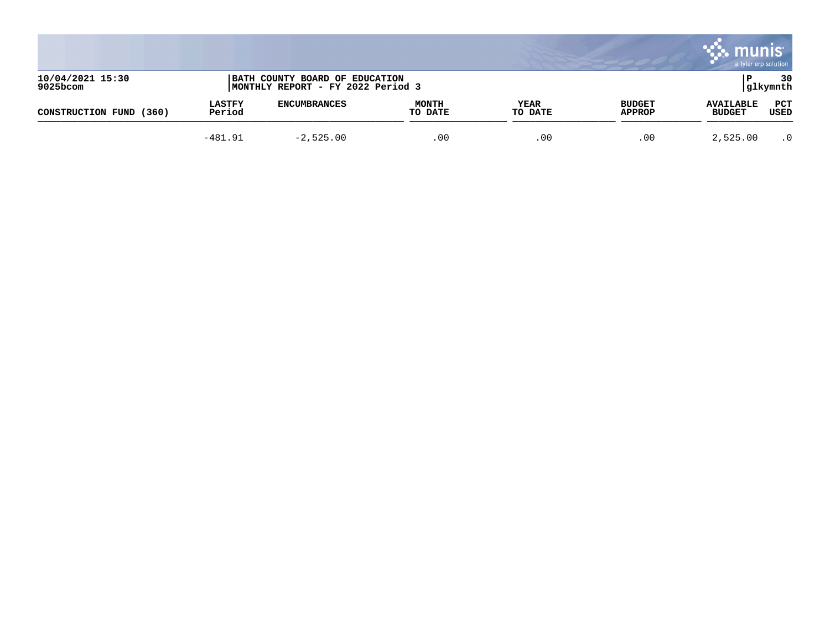|                              |                         |                                                                     |                         |                 |                                | munis                             | a tyler erp solution |
|------------------------------|-------------------------|---------------------------------------------------------------------|-------------------------|-----------------|--------------------------------|-----------------------------------|----------------------|
| 10/04/2021 15:30<br>9025bcom |                         | BATH COUNTY BOARD OF EDUCATION<br>MONTHLY REPORT - FY 2022 Period 3 |                         |                 |                                |                                   | 30<br> glkymnth      |
| (360)<br>CONSTRUCTION FUND   | <b>LASTFY</b><br>Period | <b>ENCUMBRANCES</b>                                                 | <b>MONTH</b><br>TO DATE | YEAR<br>TO DATE | <b>BUDGET</b><br><b>APPROP</b> | <b>AVAILABLE</b><br><b>BUDGET</b> | PCT<br>USED          |
|                              | $-481.91$               | $-2,525.00$                                                         | .00                     | .00             | .00                            | 2,525.00                          | $\cdot$ 0            |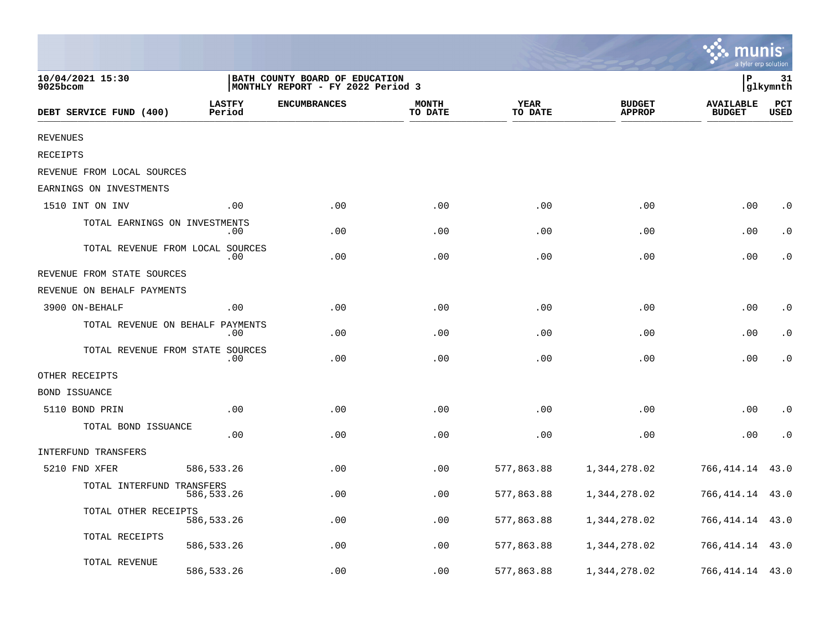|                                  |                         |                                                                      |                         |                        |                                | a tyler erp solutior              |                    |
|----------------------------------|-------------------------|----------------------------------------------------------------------|-------------------------|------------------------|--------------------------------|-----------------------------------|--------------------|
| 10/04/2021 15:30<br>9025bcom     |                         | BATH COUNTY BOARD OF EDUCATION<br> MONTHLY REPORT - FY 2022 Period 3 |                         |                        |                                | P                                 | 31<br>glkymnth     |
| DEBT SERVICE FUND (400)          | <b>LASTFY</b><br>Period | <b>ENCUMBRANCES</b>                                                  | <b>MONTH</b><br>TO DATE | <b>YEAR</b><br>TO DATE | <b>BUDGET</b><br><b>APPROP</b> | <b>AVAILABLE</b><br><b>BUDGET</b> | PCT<br><b>USED</b> |
| <b>REVENUES</b>                  |                         |                                                                      |                         |                        |                                |                                   |                    |
| <b>RECEIPTS</b>                  |                         |                                                                      |                         |                        |                                |                                   |                    |
| REVENUE FROM LOCAL SOURCES       |                         |                                                                      |                         |                        |                                |                                   |                    |
| EARNINGS ON INVESTMENTS          |                         |                                                                      |                         |                        |                                |                                   |                    |
| 1510 INT ON INV                  | .00                     | .00                                                                  | .00                     | .00                    | .00                            | .00                               | $\cdot$ 0          |
| TOTAL EARNINGS ON INVESTMENTS    | $.00 \,$                | .00                                                                  | .00                     | .00                    | .00                            | .00                               | $\cdot$ 0          |
| TOTAL REVENUE FROM LOCAL SOURCES | .00                     | .00                                                                  | .00                     | .00                    | .00                            | .00                               | $\cdot$ 0          |
| REVENUE FROM STATE SOURCES       |                         |                                                                      |                         |                        |                                |                                   |                    |
| REVENUE ON BEHALF PAYMENTS       |                         |                                                                      |                         |                        |                                |                                   |                    |
| 3900 ON-BEHALF                   | .00                     | .00                                                                  | .00                     | .00                    | .00                            | .00                               | $\cdot$ 0          |
| TOTAL REVENUE ON BEHALF PAYMENTS | .00                     | .00                                                                  | .00                     | .00                    | .00                            | .00                               | $\cdot$ 0          |
| TOTAL REVENUE FROM STATE SOURCES | .00                     | .00                                                                  | .00                     | .00                    | .00                            | .00                               | $\cdot$ 0          |
| OTHER RECEIPTS                   |                         |                                                                      |                         |                        |                                |                                   |                    |
| <b>BOND ISSUANCE</b>             |                         |                                                                      |                         |                        |                                |                                   |                    |
| 5110 BOND PRIN                   | .00                     | .00                                                                  | .00                     | .00                    | .00                            | .00                               | $\cdot$ 0          |
| TOTAL BOND ISSUANCE              | .00                     | .00                                                                  | .00                     | .00                    | .00                            | .00                               | $\cdot$ 0          |
| INTERFUND TRANSFERS              |                         |                                                                      |                         |                        |                                |                                   |                    |
| 5210 FND XFER                    | 586, 533.26             | .00                                                                  | .00                     | 577,863.88             | 1,344,278.02                   | 766,414.14                        | 43.0               |
| TOTAL INTERFUND TRANSFERS        | 586, 533. 26            | .00                                                                  | .00                     | 577,863.88             | 1,344,278.02                   | 766,414.14                        | 43.0               |
| TOTAL OTHER RECEIPTS             | 586, 533.26             | .00                                                                  | .00                     | 577,863.88             | 1,344,278.02                   | 766,414.14                        | 43.0               |
| TOTAL RECEIPTS                   | 586, 533.26             | .00                                                                  | .00                     | 577,863.88             | 1,344,278.02                   | 766,414.14                        | 43.0               |
| TOTAL REVENUE                    | 586, 533.26             | .00                                                                  | .00                     | 577,863.88             | 1,344,278.02                   | 766, 414. 14 43. 0                |                    |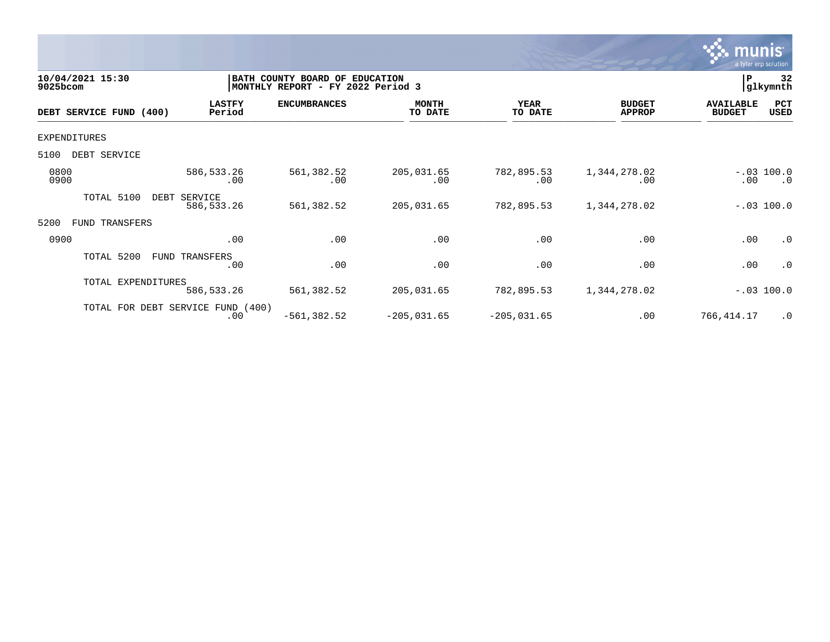

| 10/04/2021 15:30<br>9025bcom |                                          | BATH COUNTY BOARD OF<br><b>EDUCATION</b><br>MONTHLY REPORT - FY 2022 Period 3 |                         |                        |                                |                                   |                                             |  |
|------------------------------|------------------------------------------|-------------------------------------------------------------------------------|-------------------------|------------------------|--------------------------------|-----------------------------------|---------------------------------------------|--|
| DEBT SERVICE FUND (400)      | <b>LASTFY</b><br>Period                  | <b>ENCUMBRANCES</b>                                                           | <b>MONTH</b><br>TO DATE | <b>YEAR</b><br>TO DATE | <b>BUDGET</b><br><b>APPROP</b> | <b>AVAILABLE</b><br><b>BUDGET</b> | PCT<br>USED                                 |  |
| EXPENDITURES                 |                                          |                                                                               |                         |                        |                                |                                   |                                             |  |
| 5100<br>DEBT SERVICE         |                                          |                                                                               |                         |                        |                                |                                   |                                             |  |
| 0800<br>0900                 | 586,533.26<br>.00                        | 561,382.52<br>.00                                                             | 205,031.65<br>.00       | 782,895.53<br>.00      | 1,344,278.02<br>.00            | .00                               | $-.03$ 100.0<br>$\overline{\phantom{0}}$ .0 |  |
| TOTAL 5100                   | DEBT SERVICE<br>586,533.26               | 561,382.52                                                                    | 205,031.65              | 782,895.53             | 1,344,278.02                   |                                   | $-.03$ 100.0                                |  |
| 5200<br>TRANSFERS<br>FUND    |                                          |                                                                               |                         |                        |                                |                                   |                                             |  |
| 0900                         | .00                                      | .00                                                                           | .00                     | .00                    | .00                            | .00                               | .0                                          |  |
| TOTAL 5200                   | FUND TRANSFERS<br>.00                    | .00                                                                           | .00                     | .00                    | .00                            | .00                               | .0                                          |  |
| TOTAL EXPENDITURES           | 586,533.26                               | 561,382.52                                                                    | 205,031.65              | 782,895.53             | 1,344,278.02                   |                                   | $-.03$ 100.0                                |  |
|                              | TOTAL FOR DEBT SERVICE FUND (400)<br>.00 | $-561, 382.52$                                                                | $-205,031.65$           | $-205,031.65$          | .00                            | 766,414.17                        | $\cdot$ 0                                   |  |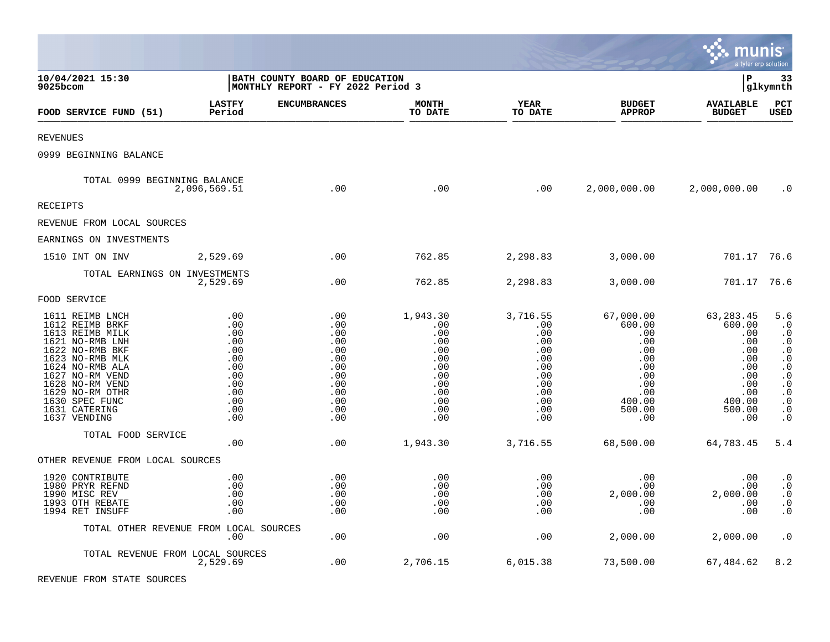|                                                                                                                                                                                                                                               |                                                                                         |                                                                                         |                                                                                              |                                                                                              |                                                                                                             | munis                                                                                                    | a tyler erp solution                                                                                                                                                         |
|-----------------------------------------------------------------------------------------------------------------------------------------------------------------------------------------------------------------------------------------------|-----------------------------------------------------------------------------------------|-----------------------------------------------------------------------------------------|----------------------------------------------------------------------------------------------|----------------------------------------------------------------------------------------------|-------------------------------------------------------------------------------------------------------------|----------------------------------------------------------------------------------------------------------|------------------------------------------------------------------------------------------------------------------------------------------------------------------------------|
| 10/04/2021 15:30<br>9025bcom                                                                                                                                                                                                                  |                                                                                         | BATH COUNTY BOARD OF EDUCATION<br>MONTHLY REPORT - FY 2022 Period 3                     |                                                                                              |                                                                                              |                                                                                                             | l P                                                                                                      | 33<br> glkymnth                                                                                                                                                              |
| FOOD SERVICE FUND (51)                                                                                                                                                                                                                        | <b>LASTFY</b><br>Period                                                                 | <b>ENCUMBRANCES</b>                                                                     | <b>MONTH</b><br>TO DATE                                                                      | YEAR<br>TO DATE                                                                              | <b>BUDGET</b><br><b>APPROP</b>                                                                              | <b>AVAILABLE</b><br><b>BUDGET</b>                                                                        | PCT<br>USED                                                                                                                                                                  |
| <b>REVENUES</b>                                                                                                                                                                                                                               |                                                                                         |                                                                                         |                                                                                              |                                                                                              |                                                                                                             |                                                                                                          |                                                                                                                                                                              |
| 0999 BEGINNING BALANCE                                                                                                                                                                                                                        |                                                                                         |                                                                                         |                                                                                              |                                                                                              |                                                                                                             |                                                                                                          |                                                                                                                                                                              |
| TOTAL 0999 BEGINNING BALANCE                                                                                                                                                                                                                  | 2,096,569.51                                                                            | .00                                                                                     | .00                                                                                          | .00                                                                                          | 2,000,000.00                                                                                                | 2,000,000.00                                                                                             | $\cdot$ 0                                                                                                                                                                    |
| <b>RECEIPTS</b>                                                                                                                                                                                                                               |                                                                                         |                                                                                         |                                                                                              |                                                                                              |                                                                                                             |                                                                                                          |                                                                                                                                                                              |
| REVENUE FROM LOCAL SOURCES                                                                                                                                                                                                                    |                                                                                         |                                                                                         |                                                                                              |                                                                                              |                                                                                                             |                                                                                                          |                                                                                                                                                                              |
| EARNINGS ON INVESTMENTS                                                                                                                                                                                                                       |                                                                                         |                                                                                         |                                                                                              |                                                                                              |                                                                                                             |                                                                                                          |                                                                                                                                                                              |
| 1510 INT ON INV                                                                                                                                                                                                                               | 2,529.69                                                                                | .00                                                                                     | 762.85                                                                                       | 2,298.83                                                                                     | 3,000.00                                                                                                    | 701.17 76.6                                                                                              |                                                                                                                                                                              |
| TOTAL EARNINGS ON INVESTMENTS                                                                                                                                                                                                                 | 2,529.69                                                                                | .00                                                                                     | 762.85                                                                                       | 2,298.83                                                                                     | 3,000.00                                                                                                    | 701.17 76.6                                                                                              |                                                                                                                                                                              |
| FOOD SERVICE                                                                                                                                                                                                                                  |                                                                                         |                                                                                         |                                                                                              |                                                                                              |                                                                                                             |                                                                                                          |                                                                                                                                                                              |
| 1611 REIMB LNCH<br>1612 REIMB BRKF<br>1613 REIMB MILK<br>1621 NO-RMB LNH<br>1622 NO-RMB BKF<br>1623 NO-RMB MLK<br>1624 NO-RMB ALA<br>1627 NO-RM VEND<br>1628 NO-RM VEND<br>1629 NO-RM OTHR<br>1630 SPEC FUNC<br>1631 CATERING<br>1637 VENDING | .00<br>.00<br>.00<br>.00<br>.00<br>.00<br>.00<br>.00<br>.00<br>.00<br>.00<br>.00<br>.00 | .00<br>.00<br>.00<br>.00<br>.00<br>.00<br>.00<br>.00<br>.00<br>.00<br>.00<br>.00<br>.00 | 1,943.30<br>.00<br>.00<br>.00<br>.00<br>.00<br>.00<br>.00<br>.00<br>.00<br>.00<br>.00<br>.00 | 3,716.55<br>.00<br>.00<br>.00<br>.00<br>.00<br>.00<br>.00<br>.00<br>.00<br>.00<br>.00<br>.00 | 67,000.00<br>600.00<br>.00<br>.00<br>.00<br>$.00 \,$<br>.00<br>.00<br>.00<br>.00<br>400.00<br>500.00<br>.00 | 63, 283. 45<br>600.00<br>.00<br>.00<br>.00<br>.00<br>.00<br>.00<br>.00<br>.00<br>400.00<br>500.00<br>.00 | 5.6<br>$\cdot$ 0<br>$\cdot$ 0<br>$\cdot 0$<br>$\cdot$ 0<br>$\cdot$ 0<br>$\cdot$ 0<br>$\cdot$ 0<br>$\cdot$ 0<br>$\cdot$ 0<br>$\cdot$ 0<br>$\boldsymbol{\cdot}$ 0<br>$\cdot$ 0 |
| TOTAL FOOD SERVICE                                                                                                                                                                                                                            | .00                                                                                     | .00                                                                                     | 1,943.30                                                                                     | 3,716.55                                                                                     | 68,500.00                                                                                                   | 64,783.45                                                                                                | 5.4                                                                                                                                                                          |
| OTHER REVENUE FROM LOCAL SOURCES                                                                                                                                                                                                              |                                                                                         |                                                                                         |                                                                                              |                                                                                              |                                                                                                             |                                                                                                          |                                                                                                                                                                              |
| 1920 CONTRIBUTE<br>1980 PRYR REFND<br>1990 MISC REV<br>1993 OTH REBATE<br>1994 RET INSUFF                                                                                                                                                     | .00<br>.00<br>.00<br>.00<br>.00                                                         | .00<br>.00<br>.00<br>.00<br>.00                                                         | .00<br>.00<br>.00<br>.00<br>.00                                                              | .00<br>.00<br>.00<br>.00<br>.00                                                              | .00<br>.00<br>2,000.00<br>.00<br>.00                                                                        | .00<br>.00<br>2,000.00<br>.00<br>.00                                                                     | $\boldsymbol{\cdot}$ 0<br>$\cdot$ 0<br>$\cdot$ 0<br>$\cdot$ 0<br>$\cdot$ 0                                                                                                   |
| TOTAL OTHER REVENUE FROM LOCAL SOURCES                                                                                                                                                                                                        | .00                                                                                     | .00                                                                                     | .00                                                                                          | .00                                                                                          | 2,000.00                                                                                                    | 2,000.00                                                                                                 | $\cdot$ 0                                                                                                                                                                    |
| TOTAL REVENUE FROM LOCAL SOURCES                                                                                                                                                                                                              | 2,529.69                                                                                | .00                                                                                     | 2,706.15                                                                                     | 6,015.38                                                                                     | 73,500.00                                                                                                   | 67,484.62                                                                                                | 8.2                                                                                                                                                                          |

 $\mathcal{L}$ 

REVENUE FROM STATE SOURCES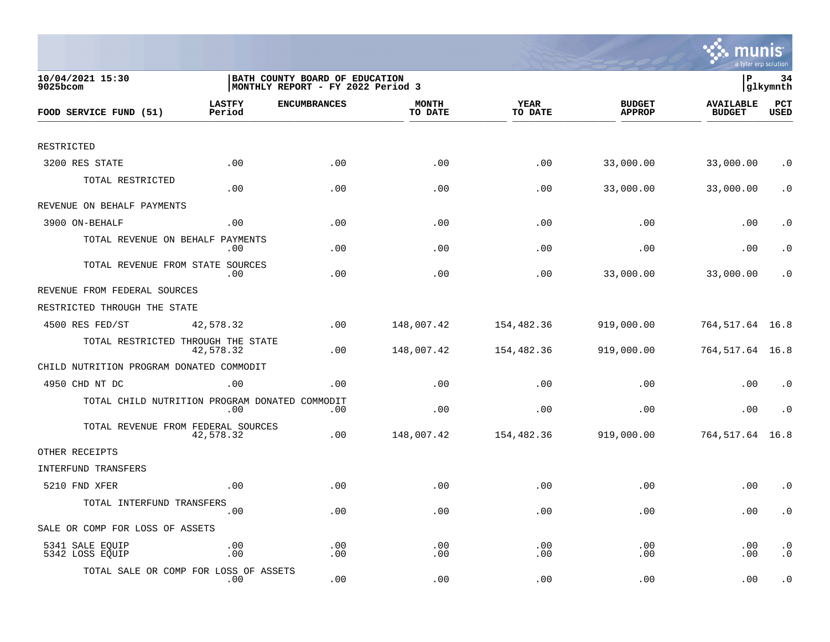

| 10/04/2021 15:30<br>9025bcom                   | BATH COUNTY BOARD OF EDUCATION<br> MONTHLY REPORT - FY 2022 Period 3 |                     |                         |                 |                                | lР                                | 34<br> glkymnth        |  |
|------------------------------------------------|----------------------------------------------------------------------|---------------------|-------------------------|-----------------|--------------------------------|-----------------------------------|------------------------|--|
| FOOD SERVICE FUND (51)                         | <b>LASTFY</b><br>Period                                              | <b>ENCUMBRANCES</b> | <b>MONTH</b><br>TO DATE | YEAR<br>TO DATE | <b>BUDGET</b><br><b>APPROP</b> | <b>AVAILABLE</b><br><b>BUDGET</b> | PCT<br><b>USED</b>     |  |
|                                                |                                                                      |                     |                         |                 |                                |                                   |                        |  |
| RESTRICTED                                     |                                                                      |                     |                         |                 |                                |                                   |                        |  |
| 3200 RES STATE                                 | .00                                                                  | .00                 | .00                     | .00             | 33,000.00                      | 33,000.00                         | $\cdot$ 0              |  |
| TOTAL RESTRICTED                               | .00                                                                  | .00                 | .00                     | .00             | 33,000.00                      | 33,000.00                         | $\cdot$ 0              |  |
| REVENUE ON BEHALF PAYMENTS                     |                                                                      |                     |                         |                 |                                |                                   |                        |  |
| 3900 ON-BEHALF                                 | .00                                                                  | .00                 | .00                     | .00             | .00                            | .00                               | $\cdot$ 0              |  |
| TOTAL REVENUE ON BEHALF                        | PAYMENTS<br>.00                                                      | .00                 | .00                     | .00             | .00                            | .00                               | $\cdot$ 0              |  |
| TOTAL REVENUE FROM STATE SOURCES               | .00                                                                  | .00                 | .00                     | .00             | 33,000.00                      | 33,000.00                         | . 0                    |  |
| REVENUE FROM FEDERAL SOURCES                   |                                                                      |                     |                         |                 |                                |                                   |                        |  |
| RESTRICTED THROUGH THE STATE                   |                                                                      |                     |                         |                 |                                |                                   |                        |  |
| 4500 RES FED/ST                                | 42,578.32                                                            | .00                 | 148,007.42              | 154,482.36      | 919,000.00                     | 764, 517.64 16.8                  |                        |  |
| TOTAL RESTRICTED THROUGH THE STATE             | 42,578.32                                                            | .00                 | 148,007.42              | 154,482.36      | 919,000.00                     | 764,517.64 16.8                   |                        |  |
| CHILD NUTRITION PROGRAM DONATED COMMODIT       |                                                                      |                     |                         |                 |                                |                                   |                        |  |
| 4950 CHD NT DC                                 | .00                                                                  | .00                 | .00                     | .00             | .00                            | .00                               | $\cdot$ 0              |  |
| TOTAL CHILD NUTRITION PROGRAM DONATED COMMODIT | .00                                                                  | .00                 | .00                     | .00             | .00                            | .00                               | $\cdot$ 0              |  |
| TOTAL REVENUE FROM FEDERAL SOURCES             | 42,578.32                                                            | .00                 | 148,007.42              | 154,482.36      | 919,000.00                     | 764, 517.64 16.8                  |                        |  |
| OTHER RECEIPTS                                 |                                                                      |                     |                         |                 |                                |                                   |                        |  |
| INTERFUND TRANSFERS                            |                                                                      |                     |                         |                 |                                |                                   |                        |  |
| 5210 FND XFER                                  | .00                                                                  | .00                 | .00                     | .00             | .00                            | .00                               | $\cdot$ 0              |  |
| TOTAL INTERFUND TRANSFERS                      | .00                                                                  | .00                 | .00                     | .00             | .00                            | .00                               | $\cdot$ 0              |  |
| SALE OR COMP FOR LOSS OF ASSETS                |                                                                      |                     |                         |                 |                                |                                   |                        |  |
| 5341 SALE EQUIP<br>5342 LOSS EQUIP             | .00<br>.00                                                           | .00<br>.00          | .00<br>.00              | .00<br>.00      | .00<br>.00                     | .00<br>.00                        | $\cdot$ 0<br>$\cdot$ 0 |  |
| TOTAL SALE OR COMP FOR LOSS OF ASSETS          | $.00 \,$                                                             | .00                 | .00                     | .00             | .00                            | .00                               | $\cdot$ 0              |  |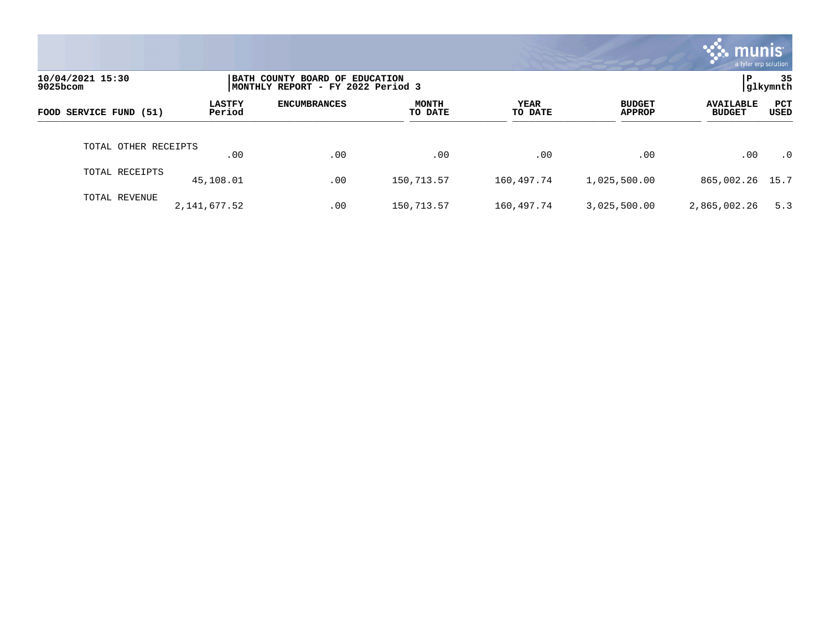|                              |                         |                                                                     |                         |                 |                                | munis l<br>a tyler erp solution   |                |
|------------------------------|-------------------------|---------------------------------------------------------------------|-------------------------|-----------------|--------------------------------|-----------------------------------|----------------|
| 10/04/2021 15:30<br>9025bcom |                         | BATH COUNTY BOARD OF EDUCATION<br>MONTHLY REPORT - FY 2022 Period 3 |                         |                 |                                | ΙP.                               | 35<br>glkymnth |
| FOOD SERVICE FUND (51)       | <b>LASTFY</b><br>Period | <b>ENCUMBRANCES</b>                                                 | <b>MONTH</b><br>TO DATE | YEAR<br>TO DATE | <b>BUDGET</b><br><b>APPROP</b> | <b>AVAILABLE</b><br><b>BUDGET</b> | PCT<br>USED    |
| TOTAL OTHER RECEIPTS         | .00                     | .00                                                                 | .00                     | .00             | .00                            | .00                               | $\cdot$ 0      |
| TOTAL RECEIPTS               | 45,108.01               | .00                                                                 | 150,713.57              | 160,497.74      | 1,025,500.00                   | 865,002.26 15.7                   |                |
| TOTAL REVENUE                | 2, 141, 677.52          | .00                                                                 | 150,713.57              | 160,497.74      | 3,025,500.00                   | 2,865,002.26                      | 5.3            |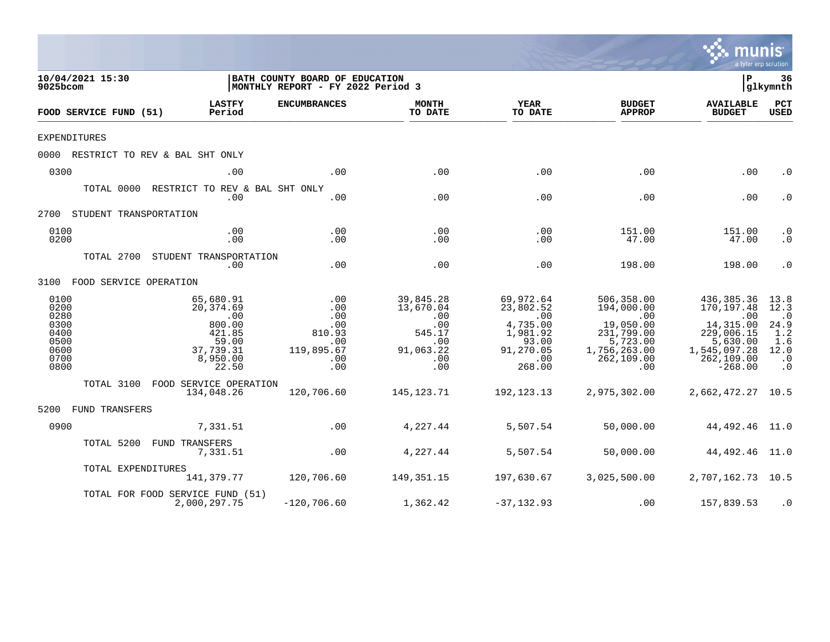|                                                                      |                                                                                                                       |                                                                       |                                                                                  |                                                                                                                       |                                                                                                              | mu<br>a tyler erp solution                                                                                                                   | <b>nıs</b>                                                                        |
|----------------------------------------------------------------------|-----------------------------------------------------------------------------------------------------------------------|-----------------------------------------------------------------------|----------------------------------------------------------------------------------|-----------------------------------------------------------------------------------------------------------------------|--------------------------------------------------------------------------------------------------------------|----------------------------------------------------------------------------------------------------------------------------------------------|-----------------------------------------------------------------------------------|
| 10/04/2021 15:30<br>9025bcom                                         |                                                                                                                       | BATH COUNTY BOARD OF EDUCATION<br>MONTHLY REPORT - FY 2022 Period 3   |                                                                                  |                                                                                                                       |                                                                                                              | l P                                                                                                                                          | 36<br> glkymnth                                                                   |
| FOOD SERVICE FUND (51)                                               | <b>LASTFY</b><br>Period                                                                                               | <b>ENCUMBRANCES</b>                                                   | <b>MONTH</b><br>TO DATE                                                          | YEAR<br>TO DATE                                                                                                       | <b>BUDGET</b><br><b>APPROP</b>                                                                               | <b>AVAILABLE</b><br><b>BUDGET</b>                                                                                                            | PCT<br><b>USED</b>                                                                |
| <b>EXPENDITURES</b>                                                  |                                                                                                                       |                                                                       |                                                                                  |                                                                                                                       |                                                                                                              |                                                                                                                                              |                                                                                   |
|                                                                      | 0000 RESTRICT TO REV & BAL SHT ONLY                                                                                   |                                                                       |                                                                                  |                                                                                                                       |                                                                                                              |                                                                                                                                              |                                                                                   |
| 0300                                                                 | .00                                                                                                                   | .00                                                                   | .00                                                                              | .00                                                                                                                   | .00                                                                                                          | .00                                                                                                                                          | $\cdot$ 0                                                                         |
|                                                                      | TOTAL 0000 RESTRICT TO REV & BAL SHT ONLY<br>.00                                                                      | .00                                                                   | .00                                                                              | .00                                                                                                                   | .00                                                                                                          | .00                                                                                                                                          | $\cdot$ 0                                                                         |
| 2700 STUDENT TRANSPORTATION                                          |                                                                                                                       |                                                                       |                                                                                  |                                                                                                                       |                                                                                                              |                                                                                                                                              |                                                                                   |
| 0100<br>0200                                                         | .00<br>.00                                                                                                            | .00<br>.00                                                            | .00<br>.00                                                                       | .00<br>.00                                                                                                            | 151.00<br>47.00                                                                                              | 151.00<br>47.00                                                                                                                              | $\cdot$ 0<br>$\cdot$ 0                                                            |
|                                                                      | TOTAL 2700 STUDENT TRANSPORTATION<br>.00                                                                              | .00                                                                   | .00                                                                              | .00                                                                                                                   | 198.00                                                                                                       | 198.00                                                                                                                                       | $\cdot$ 0                                                                         |
| 3100 FOOD SERVICE OPERATION                                          |                                                                                                                       |                                                                       |                                                                                  |                                                                                                                       |                                                                                                              |                                                                                                                                              |                                                                                   |
| 0100<br>0200<br>0280<br>0300<br>0400<br>0500<br>0600<br>0700<br>0800 | 65,680.91<br>20,374.69<br>$\overline{\phantom{0}}$ .00<br>800.00<br>421.85<br>59.00<br>37,739.31<br>8,950.00<br>22.50 | .00<br>.00<br>.00<br>.00<br>810.93<br>.00<br>119,895.67<br>.00<br>.00 | 39,845.28<br>13,670.04<br>.00<br>.00<br>545.17<br>.00<br>91,063.22<br>.00<br>.00 | 69,972.64<br>23,802.52<br>.00<br>4,735.00<br>1,981.92<br>93.00<br>91,270.05<br>$\overline{\phantom{0}}$ .00<br>268.00 | 506,358.00<br>194,000.00<br>.00<br>19,050.00<br>231,799.00<br>5,723.00<br>1,756,263.00<br>262, 109.00<br>.00 | 436,385.36<br>170, 197.48<br>$\overline{\phantom{0}}$ .00<br>14,315.00<br>229,006.15<br>5,630.00<br>1,545,097.28<br>262, 109.00<br>$-268.00$ | 13.8<br>12.3<br>$\cdot$ 0<br>24.9<br>1.2<br>1.6<br>12.0<br>$\cdot$ 0<br>$\cdot$ 0 |
|                                                                      | TOTAL 3100 FOOD SERVICE OPERATION<br>134,048.26                                                                       | 120,706.60                                                            | 145,123.71                                                                       | 192,123.13                                                                                                            | 2,975,302.00                                                                                                 | 2,662,472.27 10.5                                                                                                                            |                                                                                   |
| 5200 FUND TRANSFERS                                                  |                                                                                                                       |                                                                       |                                                                                  |                                                                                                                       |                                                                                                              |                                                                                                                                              |                                                                                   |
| 0900                                                                 | 7,331.51                                                                                                              | .00                                                                   | 4,227.44                                                                         | 5,507.54                                                                                                              | 50,000.00                                                                                                    | 44, 492. 46 11.0                                                                                                                             |                                                                                   |
| TOTAL 5200                                                           | FUND TRANSFERS<br>7,331.51                                                                                            | $\overline{00}$                                                       | 4,227.44                                                                         | 5,507.54                                                                                                              | 50,000.00                                                                                                    | 44,492.46 11.0                                                                                                                               |                                                                                   |
|                                                                      | TOTAL EXPENDITURES<br>141,379.77                                                                                      | 120,706.60                                                            | 149,351.15                                                                       | 197,630.67                                                                                                            | 3,025,500.00                                                                                                 | 2,707,162.73 10.5                                                                                                                            |                                                                                   |
|                                                                      | TOTAL FOR FOOD SERVICE FUND (51)<br>2,000,297.75                                                                      | $-120,706.60$                                                         | 1,362.42                                                                         | $-37, 132.93$                                                                                                         | .00                                                                                                          | 157,839.53                                                                                                                                   | $\cdot$ 0                                                                         |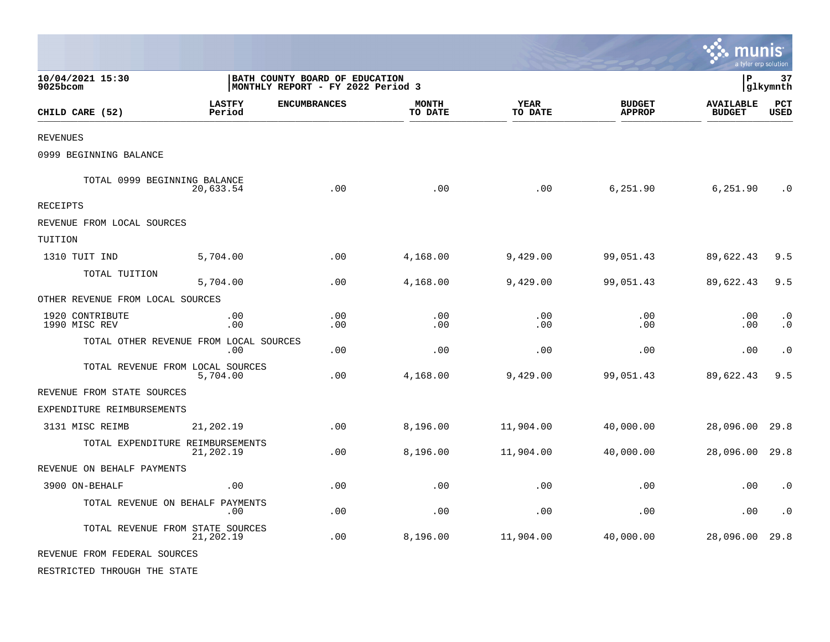|                                        |                         |                                                                     |                         |                        |                                | <b>. .</b> munis<br>a tyler erp solution |                        |
|----------------------------------------|-------------------------|---------------------------------------------------------------------|-------------------------|------------------------|--------------------------------|------------------------------------------|------------------------|
| 10/04/2021 15:30<br>9025bcom           |                         | BATH COUNTY BOARD OF EDUCATION<br>MONTHLY REPORT - FY 2022 Period 3 |                         |                        |                                | P                                        | 37<br>glkymnth         |
| CHILD CARE (52)                        | <b>LASTFY</b><br>Period | <b>ENCUMBRANCES</b>                                                 | <b>MONTH</b><br>TO DATE | <b>YEAR</b><br>TO DATE | <b>BUDGET</b><br><b>APPROP</b> | <b>AVAILABLE</b><br><b>BUDGET</b>        | PCT<br><b>USED</b>     |
| <b>REVENUES</b>                        |                         |                                                                     |                         |                        |                                |                                          |                        |
| 0999 BEGINNING BALANCE                 |                         |                                                                     |                         |                        |                                |                                          |                        |
| TOTAL 0999 BEGINNING BALANCE           | 20,633.54               | .00                                                                 | .00                     | .00                    | 6,251.90                       | 6,251.90                                 | $\cdot$ 0              |
| <b>RECEIPTS</b>                        |                         |                                                                     |                         |                        |                                |                                          |                        |
| REVENUE FROM LOCAL SOURCES             |                         |                                                                     |                         |                        |                                |                                          |                        |
| TUITION                                |                         |                                                                     |                         |                        |                                |                                          |                        |
| 1310 TUIT IND                          | 5,704.00                | .00                                                                 | 4,168.00                | 9,429.00               | 99,051.43                      | 89,622.43                                | 9.5                    |
| TOTAL TUITION                          | 5,704.00                | .00                                                                 | 4,168.00                | 9,429.00               | 99,051.43                      | 89,622.43                                | 9.5                    |
| OTHER REVENUE FROM LOCAL SOURCES       |                         |                                                                     |                         |                        |                                |                                          |                        |
| 1920 CONTRIBUTE<br>1990 MISC REV       | .00<br>.00              | .00<br>.00                                                          | .00<br>.00              | .00<br>.00             | .00<br>.00                     | .00<br>.00                               | $\cdot$ 0<br>$\cdot$ 0 |
| TOTAL OTHER REVENUE FROM LOCAL SOURCES | .00.                    | .00                                                                 | .00                     | .00                    | .00                            | .00                                      | $\cdot$ 0              |
| TOTAL REVENUE FROM LOCAL SOURCES       | 5,704.00                | .00                                                                 | 4,168.00                | 9,429.00               | 99,051.43                      | 89,622.43                                | 9.5                    |
| REVENUE FROM STATE SOURCES             |                         |                                                                     |                         |                        |                                |                                          |                        |
| EXPENDITURE REIMBURSEMENTS             |                         |                                                                     |                         |                        |                                |                                          |                        |
| 3131 MISC REIMB                        | 21,202.19               | .00                                                                 | 8,196.00                | 11,904.00              | 40,000.00                      | 28,096.00                                | 29.8                   |
| TOTAL EXPENDITURE REIMBURSEMENTS       | 21,202.19               | .00                                                                 | 8,196.00                | 11,904.00              | 40,000.00                      | 28,096.00                                | 29.8                   |
| REVENUE ON BEHALF PAYMENTS             |                         |                                                                     |                         |                        |                                |                                          |                        |
| 3900 ON-BEHALF                         | .00                     | .00                                                                 | .00                     | .00                    | .00                            | .00                                      | $\cdot$ 0              |
| TOTAL REVENUE ON BEHALF PAYMENTS       | .00                     | .00                                                                 | .00                     | .00                    | .00                            | .00                                      | $\cdot$ 0              |
| TOTAL REVENUE FROM STATE SOURCES       | 21,202.19               | .00                                                                 | 8,196.00                | 11,904.00              | 40,000.00                      | 28,096.00                                | 29.8                   |
| REVENUE FROM FEDERAL SOURCES           |                         |                                                                     |                         |                        |                                |                                          |                        |
| RESTRICTED THROUGH THE STATE           |                         |                                                                     |                         |                        |                                |                                          |                        |

 $\mathcal{L}$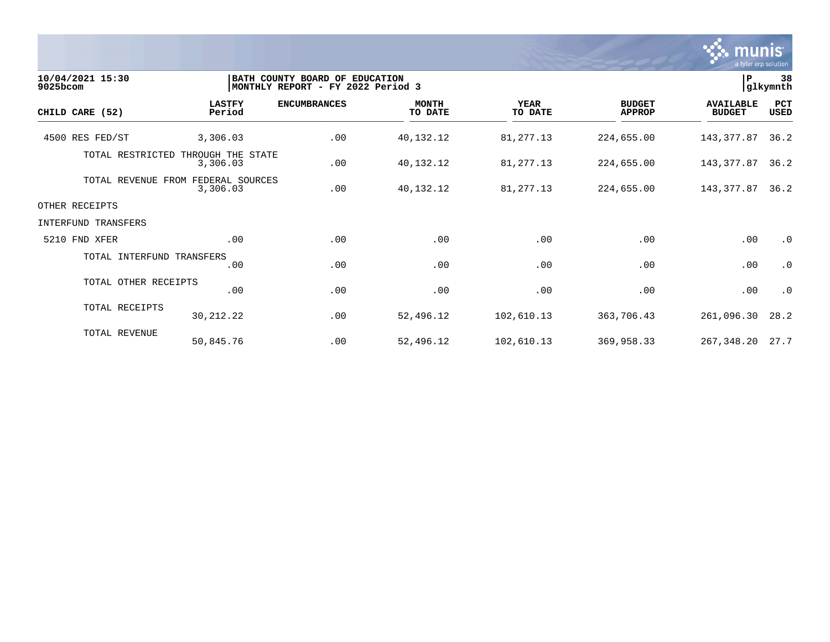

| 10/04/2021 15:30<br>9025bcom |                               | BATH COUNTY BOARD OF EDUCATION<br>MONTHLY REPORT - FY 2022 Period 3 |                         |                        |                                |                                   | 38<br> P<br>glkymnth |  |
|------------------------------|-------------------------------|---------------------------------------------------------------------|-------------------------|------------------------|--------------------------------|-----------------------------------|----------------------|--|
| CHILD CARE (52)              | <b>LASTFY</b><br>Period       | <b>ENCUMBRANCES</b>                                                 | <b>MONTH</b><br>TO DATE | <b>YEAR</b><br>TO DATE | <b>BUDGET</b><br><b>APPROP</b> | <b>AVAILABLE</b><br><b>BUDGET</b> | PCT<br><b>USED</b>   |  |
| 4500 RES FED/ST              | 3,306.03                      | .00                                                                 | 40,132.12               | 81,277.13              | 224,655.00                     | 143,377.87                        | 36.2                 |  |
| TOTAL RESTRICTED             | THROUGH THE STATE<br>3,306.03 | .00                                                                 | 40,132.12               | 81,277.13              | 224,655.00                     | 143,377.87                        | 36.2                 |  |
| TOTAL REVENUE FROM           | FEDERAL SOURCES<br>3,306.03   | .00                                                                 | 40,132.12               | 81,277.13              | 224,655.00                     | 143,377.87                        | 36.2                 |  |
| OTHER RECEIPTS               |                               |                                                                     |                         |                        |                                |                                   |                      |  |
| INTERFUND TRANSFERS          |                               |                                                                     |                         |                        |                                |                                   |                      |  |
| 5210 FND XFER                | .00                           | .00                                                                 | .00                     | .00                    | .00                            | .00                               | $\cdot$ 0            |  |
| TOTAL INTERFUND TRANSFERS    | .00                           | .00                                                                 | .00                     | .00                    | .00                            | .00                               | $\cdot$ 0            |  |
| TOTAL OTHER RECEIPTS         | .00                           | .00                                                                 | .00                     | .00                    | .00                            | .00                               | $\cdot$ 0            |  |
| TOTAL RECEIPTS               | 30, 212. 22                   | .00                                                                 | 52,496.12               | 102,610.13             | 363,706.43                     | 261,096.30                        | 28.2                 |  |
| TOTAL REVENUE                | 50,845.76                     | .00                                                                 | 52,496.12               | 102,610.13             | 369,958.33                     | 267, 348. 20 27. 7                |                      |  |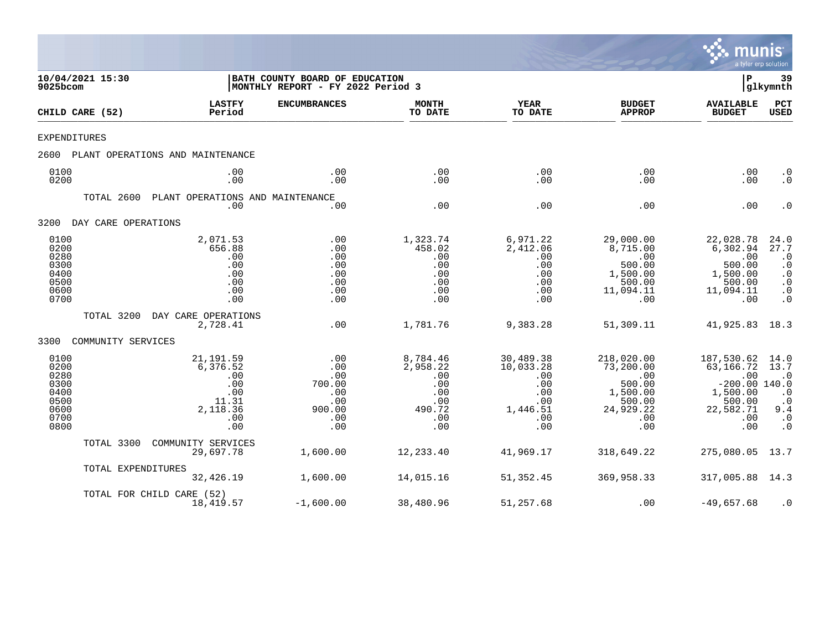

| 9025bcom                                                             | 10/04/2021 15:30    |                                                                                | BATH COUNTY BOARD OF EDUCATION<br>MONTHLY REPORT - FY 2022 Period 3 |                                                                          |                                                                              |                                                                                           | ΙP                                                                                                 | 39<br> glkymnth                                                                                   |
|----------------------------------------------------------------------|---------------------|--------------------------------------------------------------------------------|---------------------------------------------------------------------|--------------------------------------------------------------------------|------------------------------------------------------------------------------|-------------------------------------------------------------------------------------------|----------------------------------------------------------------------------------------------------|---------------------------------------------------------------------------------------------------|
|                                                                      | CHILD CARE (52)     | <b>LASTFY</b><br>Period                                                        | <b>ENCUMBRANCES</b>                                                 | <b>MONTH</b><br>TO DATE                                                  | <b>YEAR</b><br>TO DATE                                                       | <b>BUDGET</b><br><b>APPROP</b>                                                            | <b>AVAILABLE</b><br><b>BUDGET</b>                                                                  | <b>PCT</b><br>USED                                                                                |
| <b>EXPENDITURES</b>                                                  |                     |                                                                                |                                                                     |                                                                          |                                                                              |                                                                                           |                                                                                                    |                                                                                                   |
| 2600                                                                 |                     | PLANT OPERATIONS AND MAINTENANCE                                               |                                                                     |                                                                          |                                                                              |                                                                                           |                                                                                                    |                                                                                                   |
| 0100<br>0200                                                         |                     | .00<br>.00                                                                     | .00<br>.00                                                          | .00<br>.00                                                               | .00<br>.00                                                                   | .00<br>.00                                                                                | .00<br>.00                                                                                         | $\cdot$ 0<br>$\cdot$ 0                                                                            |
|                                                                      | TOTAL 2600          | PLANT OPERATIONS AND MAINTENANCE<br>.00                                        | .00                                                                 | .00                                                                      | .00                                                                          | .00                                                                                       | .00                                                                                                | $\cdot$ 0                                                                                         |
| 3200                                                                 | DAY CARE OPERATIONS |                                                                                |                                                                     |                                                                          |                                                                              |                                                                                           |                                                                                                    |                                                                                                   |
| 0100<br>0200<br>0280<br>0300<br>0400<br>0500<br>0600<br>0700         |                     | 2,071.53<br>656.88<br>.00<br>.00<br>.00<br>.00<br>.00<br>.00                   | .00<br>.00<br>.00<br>.00<br>.00<br>.00<br>.00<br>.00                | 1,323.74<br>458.02<br>.00<br>.00<br>.00<br>.00<br>.00<br>.00             | 6,971.22<br>2,412.06<br>.00<br>.00<br>.00<br>.00<br>.00<br>.00               | 29,000.00<br>8,715.00<br>.00<br>500.00<br>1,500.00<br>500.00<br>11,094.11<br>.00          | 22,028.78<br>6,302.94<br>.00<br>500.00<br>1,500.00<br>500.00<br>11,094.11<br>.00                   | 24.0<br>27.7<br>$\cdot$ 0<br>$\cdot$ 0<br>$\cdot$ 0<br>$\cdot$ 0<br>$\cdot$ 0<br>$\cdot$ 0        |
|                                                                      | TOTAL 3200          | DAY CARE OPERATIONS<br>2,728.41                                                | .00                                                                 | 1,781.76                                                                 | 9,383.28                                                                     | 51,309.11                                                                                 | 41,925.83                                                                                          | 18.3                                                                                              |
| 3300                                                                 | COMMUNITY SERVICES  |                                                                                |                                                                     |                                                                          |                                                                              |                                                                                           |                                                                                                    |                                                                                                   |
| 0100<br>0200<br>0280<br>0300<br>0400<br>0500<br>0600<br>0700<br>0800 |                     | 21, 191.59<br>6,376.52<br>.00<br>.00<br>.00<br>11.31<br>2,118.36<br>.00<br>.00 | .00<br>.00<br>.00<br>700.00<br>.00<br>.00<br>900.00<br>.00<br>.00   | 8,784.46<br>2,958.22<br>.00<br>.00<br>.00<br>.00<br>490.72<br>.00<br>.00 | 30,489.38<br>10,033.28<br>.00<br>.00<br>.00<br>.00<br>1,446.51<br>.00<br>.00 | 218,020.00<br>73,200.00<br>.00<br>500.00<br>1,500.00<br>500.00<br>24,929.22<br>.00<br>.00 | 187,530.62<br>63,166.72<br>.00<br>$-200.00$ 140.0<br>1,500.00<br>500.00<br>22,582.71<br>.00<br>.00 | 14.0<br>13.7<br>$\cdot$ 0<br>$\cdot$ 0<br>$\cdot$ 0<br>9.4<br>$\boldsymbol{\cdot}$ 0<br>$\cdot$ 0 |
|                                                                      | TOTAL 3300          | COMMUNITY SERVICES<br>29,697.78                                                | 1,600.00                                                            | 12,233.40                                                                | 41,969.17                                                                    | 318,649.22                                                                                | 275,080.05                                                                                         | 13.7                                                                                              |
|                                                                      | TOTAL EXPENDITURES  | 32,426.19                                                                      | 1,600.00                                                            | 14,015.16                                                                | 51,352.45                                                                    | 369,958.33                                                                                | 317,005.88                                                                                         | 14.3                                                                                              |
|                                                                      |                     | TOTAL FOR CHILD CARE (52)<br>18,419.57                                         | $-1,600.00$                                                         | 38,480.96                                                                | 51,257.68                                                                    | .00                                                                                       | $-49,657.68$                                                                                       | $\cdot$ 0                                                                                         |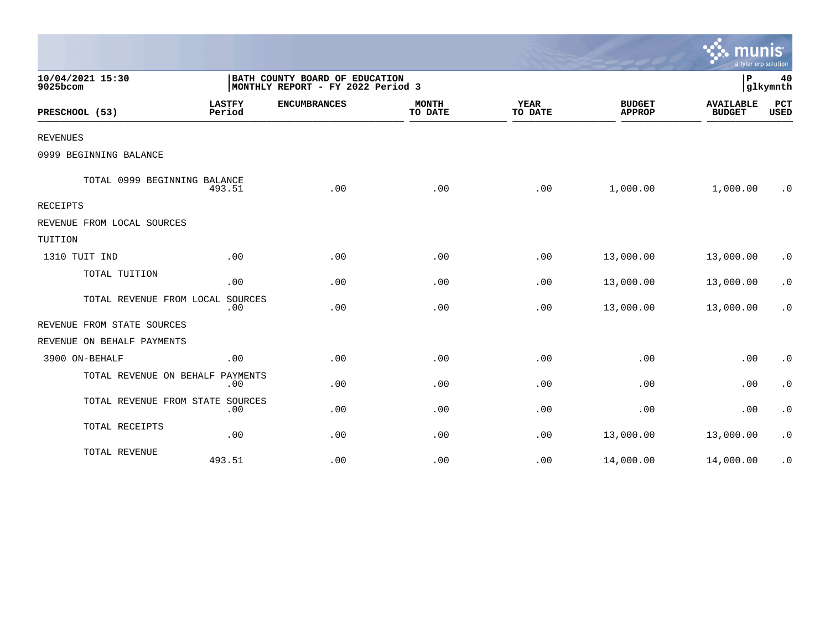|                                  |                         |                                                                     |                         |                        |                                | mun<br>a tyler erp solution       |                    |
|----------------------------------|-------------------------|---------------------------------------------------------------------|-------------------------|------------------------|--------------------------------|-----------------------------------|--------------------|
| 10/04/2021 15:30<br>9025bcom     |                         | BATH COUNTY BOARD OF EDUCATION<br>MONTHLY REPORT - FY 2022 Period 3 |                         |                        |                                | P                                 | 40<br>glkymnth     |
| PRESCHOOL (53)                   | <b>LASTFY</b><br>Period | <b>ENCUMBRANCES</b>                                                 | <b>MONTH</b><br>TO DATE | <b>YEAR</b><br>TO DATE | <b>BUDGET</b><br><b>APPROP</b> | <b>AVAILABLE</b><br><b>BUDGET</b> | PCT<br><b>USED</b> |
| <b>REVENUES</b>                  |                         |                                                                     |                         |                        |                                |                                   |                    |
| 0999 BEGINNING BALANCE           |                         |                                                                     |                         |                        |                                |                                   |                    |
| TOTAL 0999 BEGINNING BALANCE     | 493.51                  | .00                                                                 | .00                     | .00                    | 1,000.00                       | 1,000.00                          | $\cdot$ 0          |
| RECEIPTS                         |                         |                                                                     |                         |                        |                                |                                   |                    |
| REVENUE FROM LOCAL SOURCES       |                         |                                                                     |                         |                        |                                |                                   |                    |
| TUITION                          |                         |                                                                     |                         |                        |                                |                                   |                    |
| 1310 TUIT IND                    | .00                     | .00                                                                 | .00                     | .00                    | 13,000.00                      | 13,000.00                         | $\cdot$ 0          |
| TOTAL TUITION                    | .00                     | .00                                                                 | .00                     | .00                    | 13,000.00                      | 13,000.00                         | $\cdot$ 0          |
| TOTAL REVENUE FROM LOCAL SOURCES | .00                     | .00                                                                 | .00                     | .00                    | 13,000.00                      | 13,000.00                         | $\cdot$ 0          |
| REVENUE FROM STATE SOURCES       |                         |                                                                     |                         |                        |                                |                                   |                    |
| REVENUE ON BEHALF PAYMENTS       |                         |                                                                     |                         |                        |                                |                                   |                    |
| 3900 ON-BEHALF                   | .00                     | .00                                                                 | .00                     | .00                    | .00                            | .00                               | $\cdot$ 0          |
| TOTAL REVENUE ON BEHALF PAYMENTS | .00                     | .00                                                                 | .00                     | .00                    | .00                            | .00                               | $\cdot$ 0          |
| TOTAL REVENUE FROM STATE SOURCES | .00                     | .00                                                                 | .00                     | .00                    | .00                            | .00                               | $\cdot$ 0          |
| TOTAL RECEIPTS                   | .00                     | .00                                                                 | .00                     | .00                    | 13,000.00                      | 13,000.00                         | $\cdot$ 0          |
| TOTAL REVENUE                    | 493.51                  | .00                                                                 | .00                     | .00                    | 14,000.00                      | 14,000.00                         | $\cdot$ 0          |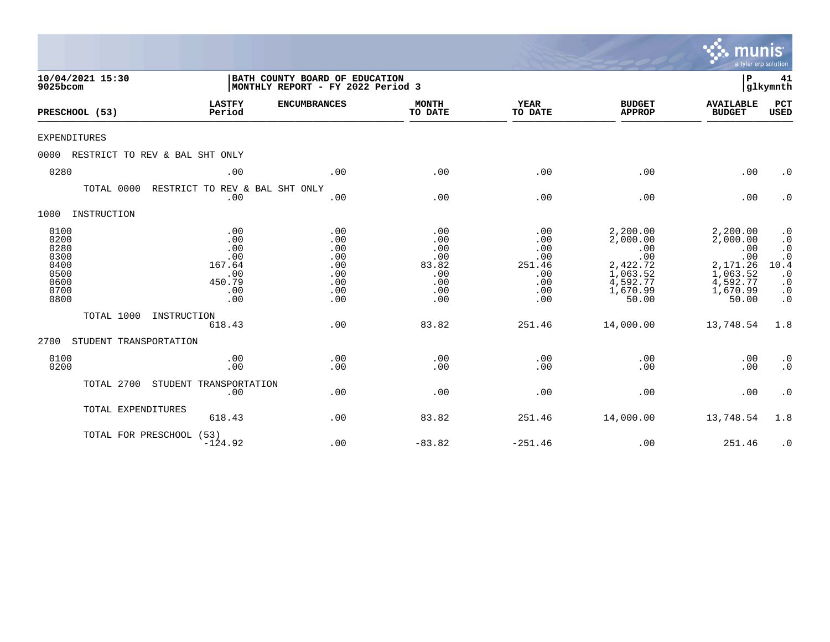|                                                                      |                                                                   |                                                                     |                                                               |                                                                |                                                                                             | munis<br>a tyler erp solution                                                               |                                                                                                              |
|----------------------------------------------------------------------|-------------------------------------------------------------------|---------------------------------------------------------------------|---------------------------------------------------------------|----------------------------------------------------------------|---------------------------------------------------------------------------------------------|---------------------------------------------------------------------------------------------|--------------------------------------------------------------------------------------------------------------|
| 10/04/2021 15:30<br>9025bcom                                         |                                                                   | BATH COUNTY BOARD OF EDUCATION<br>MONTHLY REPORT - FY 2022 Period 3 |                                                               |                                                                |                                                                                             | P                                                                                           | 41<br> glkymnth                                                                                              |
| PRESCHOOL (53)                                                       | <b>LASTFY</b><br>Period                                           | <b>ENCUMBRANCES</b>                                                 | <b>MONTH</b><br>TO DATE                                       | <b>YEAR</b><br>TO DATE                                         | <b>BUDGET</b><br><b>APPROP</b>                                                              | <b>AVAILABLE</b><br><b>BUDGET</b>                                                           | PCT<br><b>USED</b>                                                                                           |
| <b>EXPENDITURES</b>                                                  |                                                                   |                                                                     |                                                               |                                                                |                                                                                             |                                                                                             |                                                                                                              |
| 0000                                                                 | RESTRICT TO REV & BAL SHT ONLY                                    |                                                                     |                                                               |                                                                |                                                                                             |                                                                                             |                                                                                                              |
| 0280                                                                 | .00                                                               | .00                                                                 | .00                                                           | .00                                                            | .00                                                                                         | .00                                                                                         | $\cdot$ 0                                                                                                    |
| TOTAL 0000                                                           | RESTRICT TO REV & BAL SHT ONLY<br>.00                             | .00                                                                 | .00                                                           | .00                                                            | .00                                                                                         | .00                                                                                         | $\cdot$ 0                                                                                                    |
| 1000<br>INSTRUCTION                                                  |                                                                   |                                                                     |                                                               |                                                                |                                                                                             |                                                                                             |                                                                                                              |
| 0100<br>0200<br>0280<br>0300<br>0400<br>0500<br>0600<br>0700<br>0800 | .00<br>.00<br>.00<br>.00<br>167.64<br>.00<br>450.79<br>.00<br>.00 | .00<br>.00<br>.00<br>.00<br>.00<br>.00<br>.00<br>.00<br>.00         | .00<br>.00<br>.00<br>.00<br>83.82<br>.00<br>.00<br>.00<br>.00 | .00<br>.00<br>.00<br>.00<br>251.46<br>.00<br>.00<br>.00<br>.00 | 2,200.00<br>2,000.00<br>.00<br>.00<br>2,422.72<br>1,063.52<br>4,592.77<br>1,670.99<br>50.00 | 2,200.00<br>2,000.00<br>.00<br>.00<br>2,171.26<br>1,063.52<br>4,592.77<br>1,670.99<br>50.00 | $\cdot$ 0<br>$\cdot$ 0<br>$\cdot$ 0<br>$\cdot$ 0<br>10.4<br>$\cdot$ 0<br>$\cdot$ 0<br>$\cdot$ 0<br>$\cdot$ 0 |
| TOTAL 1000                                                           | INSTRUCTION<br>618.43                                             | .00                                                                 | 83.82                                                         | 251.46                                                         | 14,000.00                                                                                   | 13,748.54                                                                                   | 1.8                                                                                                          |
| 2700                                                                 | STUDENT TRANSPORTATION                                            |                                                                     |                                                               |                                                                |                                                                                             |                                                                                             |                                                                                                              |
| 0100<br>0200                                                         | .00<br>.00                                                        | .00<br>.00                                                          | .00<br>.00                                                    | .00<br>.00                                                     | .00<br>.00                                                                                  | .00<br>.00                                                                                  | $\cdot$ 0<br>$\cdot$ 0                                                                                       |
| TOTAL 2700                                                           | STUDENT TRANSPORTATION<br>.00                                     | .00                                                                 | .00                                                           | .00                                                            | .00                                                                                         | .00                                                                                         | $\cdot$ 0                                                                                                    |
|                                                                      | TOTAL EXPENDITURES<br>618.43                                      | .00                                                                 | 83.82                                                         | 251.46                                                         | 14,000.00                                                                                   | 13,748.54                                                                                   | 1.8                                                                                                          |
|                                                                      | TOTAL FOR PRESCHOOL (53)<br>$-124.92$                             | .00                                                                 | $-83.82$                                                      | $-251.46$                                                      | .00                                                                                         | 251.46                                                                                      | $\cdot$ 0                                                                                                    |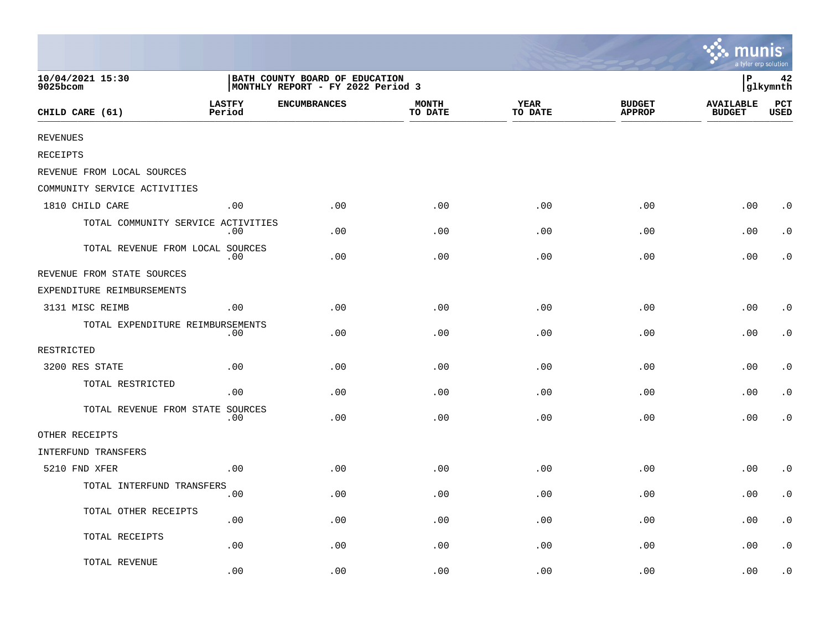|                                    |                         |                                                                     |                         |                 |                                | mıın<br>a tyler erp solution      | IS                     |
|------------------------------------|-------------------------|---------------------------------------------------------------------|-------------------------|-----------------|--------------------------------|-----------------------------------|------------------------|
| 10/04/2021 15:30<br>9025bcom       |                         | BATH COUNTY BOARD OF EDUCATION<br>MONTHLY REPORT - FY 2022 Period 3 |                         |                 |                                | ∣P                                | 42<br>glkymnth         |
| CHILD CARE (61)                    | <b>LASTFY</b><br>Period | <b>ENCUMBRANCES</b>                                                 | <b>MONTH</b><br>TO DATE | YEAR<br>TO DATE | <b>BUDGET</b><br><b>APPROP</b> | <b>AVAILABLE</b><br><b>BUDGET</b> | $_{\rm PCT}$<br>USED   |
| <b>REVENUES</b>                    |                         |                                                                     |                         |                 |                                |                                   |                        |
| <b>RECEIPTS</b>                    |                         |                                                                     |                         |                 |                                |                                   |                        |
| REVENUE FROM LOCAL SOURCES         |                         |                                                                     |                         |                 |                                |                                   |                        |
| COMMUNITY SERVICE ACTIVITIES       |                         |                                                                     |                         |                 |                                |                                   |                        |
| 1810 CHILD CARE                    | .00                     | .00                                                                 | .00                     | .00             | .00                            | .00                               | $\cdot$ 0              |
| TOTAL COMMUNITY SERVICE ACTIVITIES | .00                     | .00                                                                 | .00                     | .00             | .00                            | .00                               | $\cdot$ 0              |
| TOTAL REVENUE FROM LOCAL SOURCES   | .00                     | .00                                                                 | .00                     | .00             | .00                            | .00                               | $\cdot$ 0              |
| REVENUE FROM STATE SOURCES         |                         |                                                                     |                         |                 |                                |                                   |                        |
| EXPENDITURE REIMBURSEMENTS         |                         |                                                                     |                         |                 |                                |                                   |                        |
| 3131 MISC REIMB                    | .00                     | .00                                                                 | .00                     | .00             | .00                            | .00                               | $\cdot$ 0              |
| TOTAL EXPENDITURE REIMBURSEMENTS   | .00                     | .00                                                                 | .00                     | .00             | .00                            | .00                               | $\cdot$ 0              |
| RESTRICTED                         |                         |                                                                     |                         |                 |                                |                                   |                        |
| 3200 RES STATE                     | .00                     | .00                                                                 | .00                     | .00             | .00                            | .00                               | $\cdot$ 0              |
| TOTAL RESTRICTED                   | .00                     | .00                                                                 | .00                     | .00             | .00                            | .00                               | $\cdot$ 0              |
| TOTAL REVENUE FROM STATE SOURCES   | .00                     | .00                                                                 | .00                     | .00             | .00                            | .00                               | $\cdot$ 0              |
| OTHER RECEIPTS                     |                         |                                                                     |                         |                 |                                |                                   |                        |
| INTERFUND TRANSFERS                |                         |                                                                     |                         |                 |                                |                                   |                        |
| 5210 FND XFER                      | .00                     | .00                                                                 | .00                     | .00             | .00                            | .00                               | $\cdot$ 0              |
| TOTAL INTERFUND TRANSFERS          | .00                     | .00                                                                 | .00                     | .00             | .00                            | .00                               | $\cdot$ 0              |
| TOTAL OTHER RECEIPTS               | .00                     | .00                                                                 | .00                     | .00             | .00                            | .00                               | $\cdot$ 0              |
| TOTAL RECEIPTS                     | .00                     | .00                                                                 | .00                     | .00             | .00                            | .00                               | $\boldsymbol{\cdot}$ 0 |
| TOTAL REVENUE                      | .00                     | .00                                                                 | .00                     | .00             | .00                            | .00                               | . 0                    |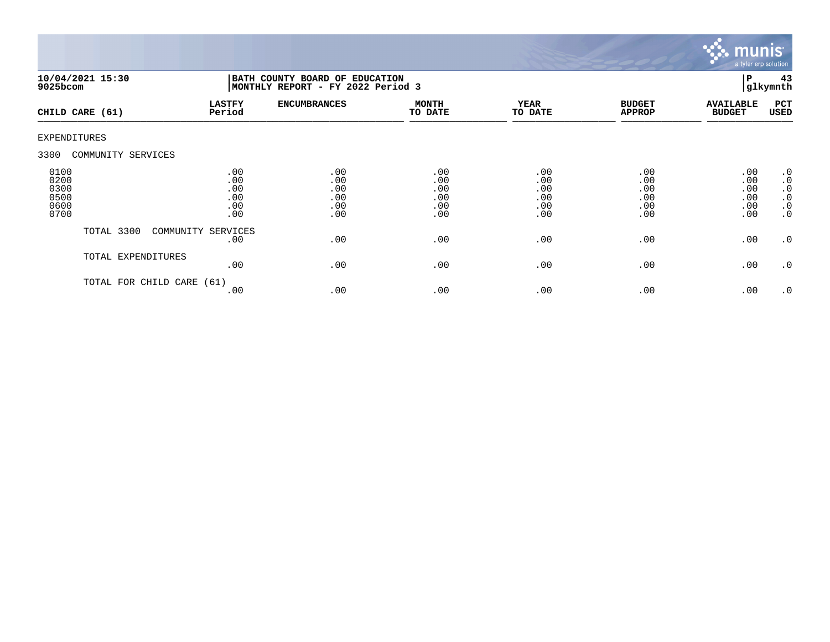

| 9025bcom                                     | 10/04/2021 15:30     | BATH COUNTY BOARD OF EDUCATION<br>MONTHLY REPORT - FY 2022 Period 3 |                                        |                                        |                                        |                                        |                                        | 43<br>glkymnth                                                             |
|----------------------------------------------|----------------------|---------------------------------------------------------------------|----------------------------------------|----------------------------------------|----------------------------------------|----------------------------------------|----------------------------------------|----------------------------------------------------------------------------|
|                                              | CHILD CARE (61)      | <b>LASTFY</b><br>Period                                             | <b>ENCUMBRANCES</b>                    | <b>MONTH</b><br>TO DATE                | <b>YEAR</b><br>TO DATE                 | <b>BUDGET</b><br><b>APPROP</b>         | <b>AVAILABLE</b><br><b>BUDGET</b>      | PCT<br><b>USED</b>                                                         |
| <b>EXPENDITURES</b>                          |                      |                                                                     |                                        |                                        |                                        |                                        |                                        |                                                                            |
| 3300                                         | COMMUNITY SERVICES   |                                                                     |                                        |                                        |                                        |                                        |                                        |                                                                            |
| 0100<br>0200<br>0300<br>0500<br>0600<br>0700 |                      | .00<br>.00<br>.00<br>.00<br>.00<br>.00                              | .00<br>.00<br>.00<br>.00<br>.00<br>.00 | .00<br>.00<br>.00<br>.00<br>.00<br>.00 | .00<br>.00<br>.00<br>.00<br>.00<br>.00 | .00<br>.00<br>.00<br>.00<br>.00<br>.00 | .00<br>.00<br>.00<br>.00<br>.00<br>.00 | $\cdot$ 0<br>$\cdot$ 0<br>$\cdot$ 0<br>$\cdot$ 0<br>$\cdot$ 0<br>$\cdot$ 0 |
|                                              | TOTAL 3300           | COMMUNITY SERVICES<br>.00                                           | .00                                    | .00                                    | .00                                    | .00                                    | .00                                    | $\cdot$ 0                                                                  |
|                                              | TOTAL EXPENDITURES   | .00                                                                 | .00                                    | .00                                    | .00                                    | .00                                    | .00                                    | $\cdot$ 0                                                                  |
|                                              | TOTAL FOR CHILD CARE | (61)<br>.00                                                         | .00                                    | .00                                    | .00                                    | .00                                    | .00                                    | $\cdot$ 0                                                                  |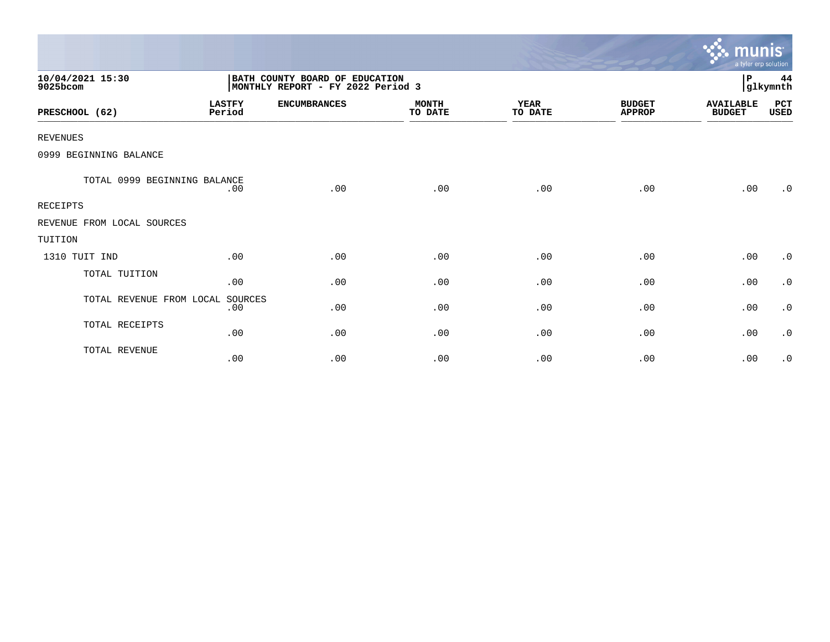|                              |                         |                                                                     |                         |                        |                                | munis <sup>.</sup><br>a tyler erp solution |                |
|------------------------------|-------------------------|---------------------------------------------------------------------|-------------------------|------------------------|--------------------------------|--------------------------------------------|----------------|
| 10/04/2021 15:30<br>9025bcom |                         | BATH COUNTY BOARD OF EDUCATION<br>MONTHLY REPORT - FY 2022 Period 3 |                         |                        |                                | P                                          | 44<br>glkymnth |
| PRESCHOOL (62)               | <b>LASTFY</b><br>Period | <b>ENCUMBRANCES</b>                                                 | <b>MONTH</b><br>TO DATE | <b>YEAR</b><br>TO DATE | <b>BUDGET</b><br><b>APPROP</b> | <b>AVAILABLE</b><br><b>BUDGET</b>          | PCT<br>USED    |
| <b>REVENUES</b>              |                         |                                                                     |                         |                        |                                |                                            |                |
| 0999 BEGINNING BALANCE       |                         |                                                                     |                         |                        |                                |                                            |                |
| TOTAL 0999 BEGINNING BALANCE | .00                     | .00                                                                 | .00                     | .00                    | .00                            | .00                                        | .0             |
| <b>RECEIPTS</b>              |                         |                                                                     |                         |                        |                                |                                            |                |
| REVENUE FROM LOCAL SOURCES   |                         |                                                                     |                         |                        |                                |                                            |                |
| TUITION                      |                         |                                                                     |                         |                        |                                |                                            |                |
| 1310 TUIT IND                | .00                     | .00                                                                 | .00                     | .00                    | .00                            | .00                                        | $\cdot$ 0      |
| TOTAL TUITION                | .00                     | .00                                                                 | .00                     | .00                    | .00                            | .00                                        | $\cdot$ 0      |
| TOTAL REVENUE FROM LOCAL     | SOURCES<br>.00          | .00                                                                 | .00                     | .00                    | .00                            | .00                                        | $\cdot$ 0      |
| TOTAL RECEIPTS               | .00                     | .00                                                                 | .00                     | .00                    | .00                            | .00                                        | $\cdot$ 0      |
| TOTAL REVENUE                | .00                     | .00                                                                 | .00                     | .00                    | .00                            | .00                                        | $\cdot$ 0      |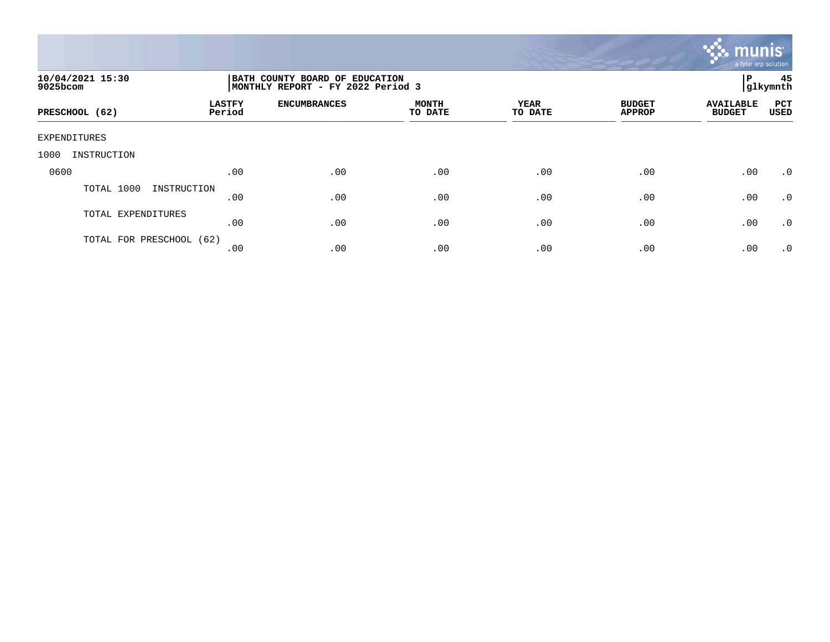

| 10/04/2021 15:30<br>9025bcom |                         | BATH COUNTY BOARD OF EDUCATION<br>MONTHLY REPORT - FY 2022 Period 3 |                         |                        |                                |                                   |             |  |
|------------------------------|-------------------------|---------------------------------------------------------------------|-------------------------|------------------------|--------------------------------|-----------------------------------|-------------|--|
| PRESCHOOL (62)               | <b>LASTFY</b><br>Period | <b>ENCUMBRANCES</b>                                                 | <b>MONTH</b><br>TO DATE | <b>YEAR</b><br>TO DATE | <b>BUDGET</b><br><b>APPROP</b> | <b>AVAILABLE</b><br><b>BUDGET</b> | PCT<br>USED |  |
| EXPENDITURES                 |                         |                                                                     |                         |                        |                                |                                   |             |  |
| 1000<br>INSTRUCTION          |                         |                                                                     |                         |                        |                                |                                   |             |  |
| 0600                         | .00                     | .00                                                                 | .00                     | .00                    | .00                            | .00                               | $\cdot$ 0   |  |
| TOTAL 1000<br>INSTRUCTION    | .00                     | .00                                                                 | .00                     | .00                    | .00                            | .00                               | $\cdot$ 0   |  |
| TOTAL EXPENDITURES           | .00                     | .00                                                                 | .00                     | .00                    | .00                            | .00                               | $\cdot$ 0   |  |
| TOTAL FOR PRESCHOOL (62)     | .00                     | .00                                                                 | .00                     | .00                    | .00                            | .00                               | .0          |  |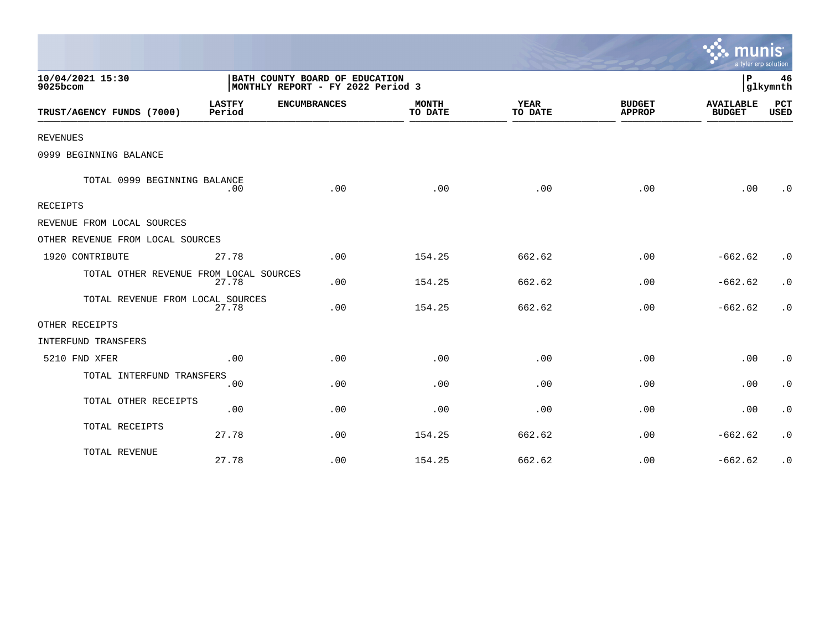|                                        |                                                                     |                     |                         |                        |                                | a tyler erp solution              |                        |
|----------------------------------------|---------------------------------------------------------------------|---------------------|-------------------------|------------------------|--------------------------------|-----------------------------------|------------------------|
| 10/04/2021 15:30<br>9025bcom           | BATH COUNTY BOARD OF EDUCATION<br>MONTHLY REPORT - FY 2022 Period 3 |                     |                         |                        |                                | P<br>46<br>glkymnth               |                        |
| TRUST/AGENCY FUNDS (7000)              | <b>LASTFY</b><br>Period                                             | <b>ENCUMBRANCES</b> | <b>MONTH</b><br>TO DATE | <b>YEAR</b><br>TO DATE | <b>BUDGET</b><br><b>APPROP</b> | <b>AVAILABLE</b><br><b>BUDGET</b> | PCT<br><b>USED</b>     |
| <b>REVENUES</b>                        |                                                                     |                     |                         |                        |                                |                                   |                        |
| 0999 BEGINNING BALANCE                 |                                                                     |                     |                         |                        |                                |                                   |                        |
| TOTAL 0999 BEGINNING BALANCE           | .00                                                                 | .00                 | .00                     | .00                    | .00                            | .00                               | $\cdot$ 0              |
| RECEIPTS                               |                                                                     |                     |                         |                        |                                |                                   |                        |
| REVENUE FROM LOCAL SOURCES             |                                                                     |                     |                         |                        |                                |                                   |                        |
| OTHER REVENUE FROM LOCAL SOURCES       |                                                                     |                     |                         |                        |                                |                                   |                        |
| 1920 CONTRIBUTE                        | 27.78                                                               | .00                 | 154.25                  | 662.62                 | .00                            | $-662.62$                         | $\cdot$ 0              |
| TOTAL OTHER REVENUE FROM LOCAL SOURCES | 27.78                                                               | .00                 | 154.25                  | 662.62                 | .00                            | $-662.62$                         | $\cdot$ 0              |
| TOTAL REVENUE FROM LOCAL SOURCES       | 27.78                                                               | .00                 | 154.25                  | 662.62                 | .00                            | $-662.62$                         | $\cdot$ 0              |
| OTHER RECEIPTS                         |                                                                     |                     |                         |                        |                                |                                   |                        |
| <b>INTERFUND TRANSFERS</b>             |                                                                     |                     |                         |                        |                                |                                   |                        |
| 5210 FND XFER                          | .00                                                                 | .00                 | .00                     | .00                    | .00                            | .00                               | $\cdot$ 0              |
| TOTAL INTERFUND TRANSFERS              | .00                                                                 | .00                 | .00                     | .00                    | .00                            | .00                               | $\cdot$ 0              |
| TOTAL OTHER RECEIPTS                   | .00                                                                 | .00                 | .00                     | .00                    | .00                            | .00                               | $\cdot$ 0              |
| TOTAL RECEIPTS                         | 27.78                                                               | .00                 | 154.25                  | 662.62                 | .00                            | $-662.62$                         | $\cdot$ 0              |
| TOTAL REVENUE                          | 27.78                                                               | .00                 | 154.25                  | 662.62                 | .00                            | $-662.62$                         | $\boldsymbol{\cdot}$ 0 |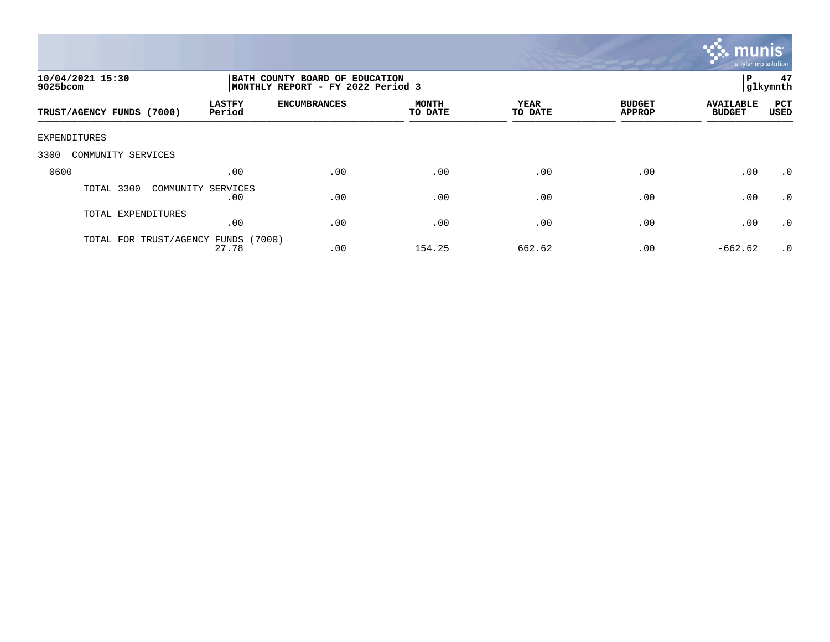

| 10/04/2021 15:30<br>9025bcom |                           | BATH COUNTY BOARD OF EDUCATION<br>MONTHLY REPORT - FY 2022 Period 3 |                         |                 |                                |                                   |             |
|------------------------------|---------------------------|---------------------------------------------------------------------|-------------------------|-----------------|--------------------------------|-----------------------------------|-------------|
| TRUST/AGENCY FUNDS (7000)    | <b>LASTFY</b><br>Period   | <b>ENCUMBRANCES</b>                                                 | <b>MONTH</b><br>TO DATE | YEAR<br>TO DATE | <b>BUDGET</b><br><b>APPROP</b> | <b>AVAILABLE</b><br><b>BUDGET</b> | PCT<br>USED |
| EXPENDITURES                 |                           |                                                                     |                         |                 |                                |                                   |             |
| 3300<br>COMMUNITY SERVICES   |                           |                                                                     |                         |                 |                                |                                   |             |
| 0600                         | .00                       | .00                                                                 | .00                     | .00             | .00                            | .00                               | $\cdot$ 0   |
| TOTAL 3300                   | COMMUNITY SERVICES<br>.00 | .00                                                                 | .00                     | .00             | .00                            | .00                               | $\cdot$ 0   |
| TOTAL EXPENDITURES           | .00                       | .00                                                                 | .00                     | .00             | .00                            | .00                               | $\cdot$ 0   |
| TOTAL FOR TRUST/AGENCY       | (7000)<br>FUNDS<br>27.78  | .00                                                                 | 154.25                  | 662.62          | .00                            | $-662.62$                         | $\cdot$ 0   |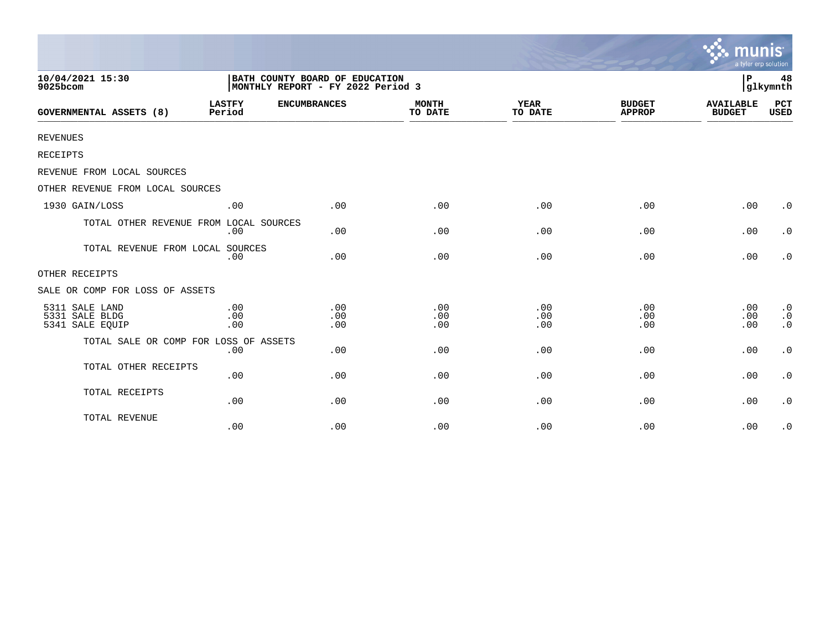|                                                     |                         |                                                                     |                         |                        |                                | munis<br>a tyler erp solution     |                                     |
|-----------------------------------------------------|-------------------------|---------------------------------------------------------------------|-------------------------|------------------------|--------------------------------|-----------------------------------|-------------------------------------|
| 10/04/2021 15:30<br>9025bcom                        |                         | BATH COUNTY BOARD OF EDUCATION<br>MONTHLY REPORT - FY 2022 Period 3 |                         |                        |                                | l P                               | 48<br>glkymnth                      |
| <b>GOVERNMENTAL ASSETS (8)</b>                      | <b>LASTFY</b><br>Period | <b>ENCUMBRANCES</b>                                                 | <b>MONTH</b><br>TO DATE | <b>YEAR</b><br>TO DATE | <b>BUDGET</b><br><b>APPROP</b> | <b>AVAILABLE</b><br><b>BUDGET</b> | <b>PCT</b><br><b>USED</b>           |
| <b>REVENUES</b>                                     |                         |                                                                     |                         |                        |                                |                                   |                                     |
| RECEIPTS                                            |                         |                                                                     |                         |                        |                                |                                   |                                     |
| REVENUE FROM LOCAL SOURCES                          |                         |                                                                     |                         |                        |                                |                                   |                                     |
| OTHER REVENUE FROM LOCAL SOURCES                    |                         |                                                                     |                         |                        |                                |                                   |                                     |
| 1930 GAIN/LOSS                                      | .00                     | .00                                                                 | .00                     | .00                    | .00                            | .00                               | $\cdot$ 0                           |
| TOTAL OTHER REVENUE FROM LOCAL SOURCES              | .00                     | .00                                                                 | .00                     | .00                    | .00                            | .00                               | $\cdot$ 0                           |
| TOTAL REVENUE FROM LOCAL SOURCES                    | .00                     | .00                                                                 | .00                     | .00                    | .00                            | .00                               | $\cdot$ 0                           |
| OTHER RECEIPTS                                      |                         |                                                                     |                         |                        |                                |                                   |                                     |
| SALE OR COMP FOR LOSS OF ASSETS                     |                         |                                                                     |                         |                        |                                |                                   |                                     |
| 5311 SALE LAND<br>5331 SALE BLDG<br>5341 SALE EQUIP | .00<br>.00<br>.00       | .00<br>.00<br>.00                                                   | .00<br>.00<br>.00       | .00<br>.00<br>.00      | .00<br>.00<br>.00              | .00<br>.00<br>.00                 | $\cdot$ 0<br>$\cdot$ 0<br>$\cdot$ 0 |
| TOTAL SALE OR COMP FOR LOSS OF ASSETS               | .00                     | .00                                                                 | .00                     | .00                    | .00                            | .00                               | $\cdot$ 0                           |
| TOTAL OTHER RECEIPTS                                | .00                     | .00                                                                 | .00                     | .00                    | .00                            | .00                               | $\cdot$ 0                           |
| TOTAL RECEIPTS                                      | .00                     | .00                                                                 | .00                     | .00                    | .00                            | .00                               | $\cdot$ 0                           |
| TOTAL REVENUE                                       | .00                     | .00                                                                 | .00                     | .00                    | .00                            | .00                               | $\cdot$ 0                           |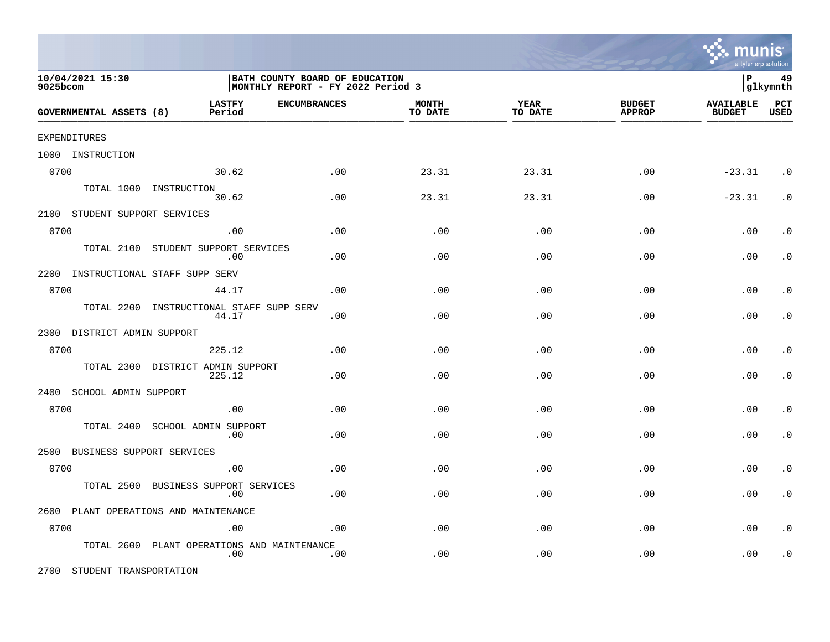

| 10/04/2021 15:30<br>9025bcom  |                                             | BATH COUNTY BOARD OF EDUCATION<br>MONTHLY REPORT - FY 2022 Period 3 |                         |                        |                                |                                   |                    |
|-------------------------------|---------------------------------------------|---------------------------------------------------------------------|-------------------------|------------------------|--------------------------------|-----------------------------------|--------------------|
| GOVERNMENTAL ASSETS (8)       | <b>LASTFY</b><br>Period                     | <b>ENCUMBRANCES</b>                                                 | <b>MONTH</b><br>TO DATE | <b>YEAR</b><br>TO DATE | <b>BUDGET</b><br><b>APPROP</b> | <b>AVAILABLE</b><br><b>BUDGET</b> | PCT<br><b>USED</b> |
| EXPENDITURES                  |                                             |                                                                     |                         |                        |                                |                                   |                    |
| 1000 INSTRUCTION              |                                             |                                                                     |                         |                        |                                |                                   |                    |
| 0700                          | 30.62                                       | .00                                                                 | 23.31                   | 23.31                  | .00                            | $-23.31$                          | $\cdot$ 0          |
|                               | TOTAL 1000 INSTRUCTION<br>30.62             | .00                                                                 | 23.31                   | 23.31                  | .00                            | $-23.31$                          | $\cdot$ 0          |
| 2100 STUDENT SUPPORT SERVICES |                                             |                                                                     |                         |                        |                                |                                   |                    |
| 0700                          | .00                                         | .00                                                                 | .00                     | .00                    | .00                            | .00                               | . $\boldsymbol{0}$ |
|                               | TOTAL 2100 STUDENT SUPPORT SERVICES<br>.00  | .00                                                                 | .00                     | .00                    | .00                            | .00                               | $\cdot$ 0          |
| 2200                          | INSTRUCTIONAL STAFF SUPP SERV               |                                                                     |                         |                        |                                |                                   |                    |
| 0700                          | 44.17                                       | .00                                                                 | .00                     | .00                    | .00                            | .00                               | $\cdot$ 0          |
| TOTAL 2200                    | INSTRUCTIONAL STAFF SUPP SERV<br>44.17      | .00                                                                 | .00                     | .00                    | .00                            | .00                               | $\cdot$ 0          |
| 2300 DISTRICT ADMIN SUPPORT   |                                             |                                                                     |                         |                        |                                |                                   |                    |
| 0700                          | 225.12                                      | .00                                                                 | .00                     | .00                    | .00                            | .00                               | $\cdot$ 0          |
|                               | TOTAL 2300 DISTRICT ADMIN SUPPORT<br>225.12 | .00                                                                 | .00                     | .00                    | .00                            | .00                               | $\cdot$ 0          |
| 2400 SCHOOL ADMIN SUPPORT     |                                             |                                                                     |                         |                        |                                |                                   |                    |
| 0700                          | .00                                         | .00                                                                 | .00                     | .00                    | .00                            | .00                               | $\cdot$ 0          |
| TOTAL 2400                    | SCHOOL ADMIN SUPPORT<br>.00                 | .00                                                                 | .00                     | .00                    | .00                            | .00                               | $\cdot$ 0          |
| 2500                          | BUSINESS SUPPORT SERVICES                   |                                                                     |                         |                        |                                |                                   |                    |
| 0700                          | .00                                         | .00                                                                 | .00                     | .00                    | .00                            | .00                               | $\cdot$ 0          |
| TOTAL 2500                    | BUSINESS SUPPORT SERVICES<br>.00            | .00                                                                 | .00                     | .00                    | .00                            | .00                               | $\cdot$ 0          |
|                               | 2600 PLANT OPERATIONS AND MAINTENANCE       |                                                                     |                         |                        |                                |                                   |                    |
| 0700                          | .00                                         | .00                                                                 | .00                     | .00                    | .00                            | .00                               | $\cdot$ 0          |
| TOTAL 2600                    | PLANT OPERATIONS AND MAINTENANCE<br>.00     | .00                                                                 | .00                     | .00                    | .00                            | .00                               | . $\boldsymbol{0}$ |

2700 STUDENT TRANSPORTATION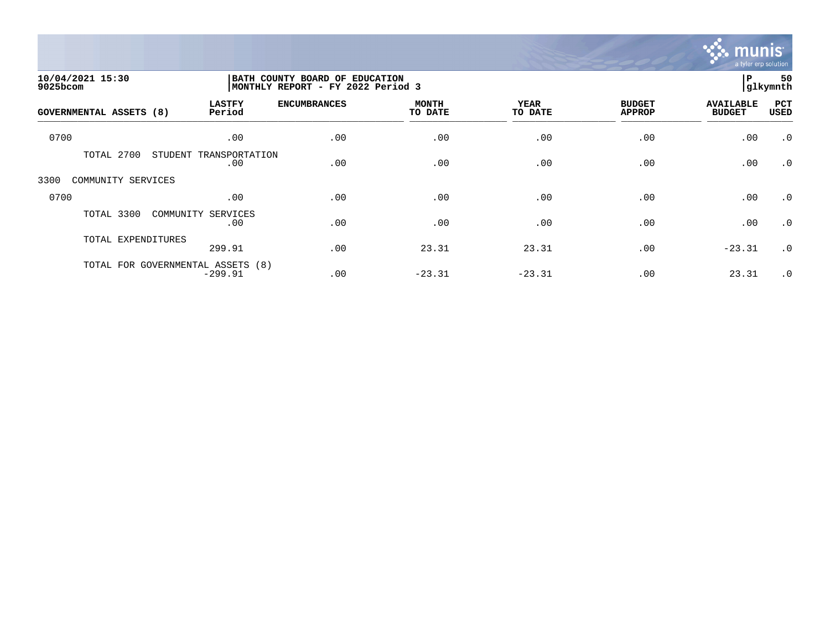

| 10/04/2021 15:30<br>9025bcom |                                                | BATH COUNTY BOARD OF EDUCATION<br>MONTHLY REPORT - FY 2022 Period 3 |                         |                 |                                |                                   | 50<br> glkymnth    |
|------------------------------|------------------------------------------------|---------------------------------------------------------------------|-------------------------|-----------------|--------------------------------|-----------------------------------|--------------------|
| GOVERNMENTAL ASSETS (8)      | <b>LASTFY</b><br>Period                        | <b>ENCUMBRANCES</b>                                                 | <b>MONTH</b><br>TO DATE | YEAR<br>TO DATE | <b>BUDGET</b><br><b>APPROP</b> | <b>AVAILABLE</b><br><b>BUDGET</b> | PCT<br><b>USED</b> |
| 0700                         | .00                                            | .00                                                                 | .00                     | .00             | .00                            | .00                               | $\cdot$ 0          |
| TOTAL 2700                   | STUDENT<br>TRANSPORTATION<br>.00               | .00                                                                 | .00                     | .00             | .00                            | .00                               | $\cdot$ 0          |
| COMMUNITY SERVICES<br>3300   |                                                |                                                                     |                         |                 |                                |                                   |                    |
| 0700                         | .00                                            | .00                                                                 | .00                     | .00             | .00                            | .00                               | $\cdot$ 0          |
| TOTAL 3300                   | COMMUNITY SERVICES<br>.00                      | .00                                                                 | .00                     | .00             | .00                            | .00                               | $\cdot$ 0          |
| TOTAL EXPENDITURES           | 299.91                                         | .00                                                                 | 23.31                   | 23.31           | .00                            | $-23.31$                          | $\cdot$ 0          |
|                              | TOTAL FOR GOVERNMENTAL ASSETS (8)<br>$-299.91$ | .00                                                                 | $-23.31$                | $-23.31$        | .00                            | 23.31                             | $\cdot$ 0          |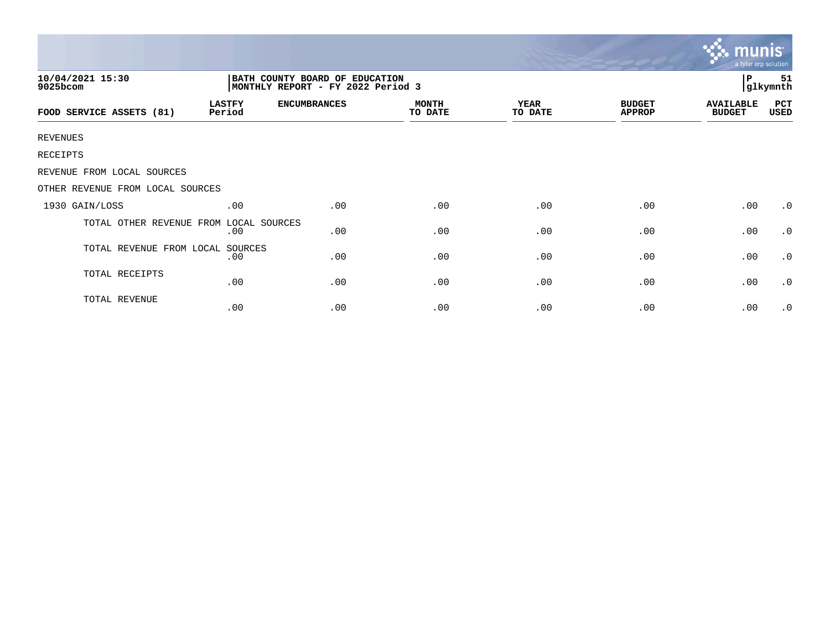|                                  |                         |                                                                     |                         |                        |                                | mun<br>a tyler erp solution       |                |
|----------------------------------|-------------------------|---------------------------------------------------------------------|-------------------------|------------------------|--------------------------------|-----------------------------------|----------------|
| 10/04/2021 15:30<br>9025bcom     |                         | BATH COUNTY BOARD OF EDUCATION<br>MONTHLY REPORT - FY 2022 Period 3 |                         |                        |                                | P                                 | 51<br>glkymnth |
| FOOD SERVICE ASSETS (81)         | <b>LASTFY</b><br>Period | <b>ENCUMBRANCES</b>                                                 | <b>MONTH</b><br>TO DATE | <b>YEAR</b><br>TO DATE | <b>BUDGET</b><br><b>APPROP</b> | <b>AVAILABLE</b><br><b>BUDGET</b> | PCT<br>USED    |
| <b>REVENUES</b>                  |                         |                                                                     |                         |                        |                                |                                   |                |
| RECEIPTS                         |                         |                                                                     |                         |                        |                                |                                   |                |
| REVENUE FROM LOCAL SOURCES       |                         |                                                                     |                         |                        |                                |                                   |                |
| OTHER REVENUE FROM LOCAL SOURCES |                         |                                                                     |                         |                        |                                |                                   |                |
| 1930 GAIN/LOSS                   | .00                     | .00                                                                 | .00                     | .00                    | .00                            | .00                               | $\cdot$ 0      |
| TOTAL OTHER REVENUE FROM         | LOCAL SOURCES<br>.00    | .00                                                                 | .00                     | .00                    | .00                            | .00                               | $\cdot$ 0      |
| TOTAL REVENUE FROM LOCAL         | SOURCES<br>.00          | .00                                                                 | .00                     | .00                    | .00                            | .00                               | $\cdot$ 0      |
| TOTAL RECEIPTS                   | .00                     | .00                                                                 | .00                     | .00                    | .00                            | .00                               | $\cdot$ 0      |
| TOTAL REVENUE                    | .00                     | .00                                                                 | .00                     | .00                    | .00                            | .00                               | $\cdot$ 0      |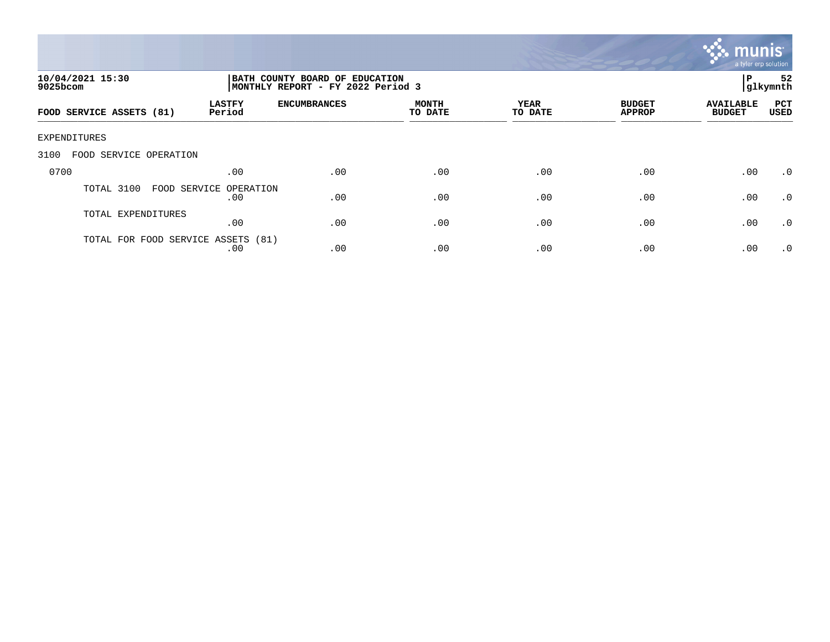

| 10/04/2021 15:30<br>9025bcom       |                                       | BATH COUNTY BOARD OF EDUCATION<br>ΙP<br> glkymnth<br>MONTHLY REPORT - FY 2022 Period 3 |                         |                        |                                |                                   |                    |
|------------------------------------|---------------------------------------|----------------------------------------------------------------------------------------|-------------------------|------------------------|--------------------------------|-----------------------------------|--------------------|
| FOOD SERVICE ASSETS (81)           | <b>LASTFY</b><br>Period               | <b>ENCUMBRANCES</b>                                                                    | <b>MONTH</b><br>TO DATE | <b>YEAR</b><br>TO DATE | <b>BUDGET</b><br><b>APPROP</b> | <b>AVAILABLE</b><br><b>BUDGET</b> | PCT<br><b>USED</b> |
| EXPENDITURES                       |                                       |                                                                                        |                         |                        |                                |                                   |                    |
| 3100<br>FOOD SERVICE OPERATION     |                                       |                                                                                        |                         |                        |                                |                                   |                    |
| 0700                               | .00                                   | .00                                                                                    | .00                     | .00                    | .00                            | .00                               | $.0 \cdot$         |
| TOTAL 3100                         | FOOD SERVICE<br>OPERATION<br>$.00 \,$ | .00                                                                                    | .00                     | .00                    | .00                            | .00                               | $\cdot$ 0          |
| TOTAL EXPENDITURES                 | .00                                   | .00                                                                                    | .00                     | .00                    | .00                            | .00                               | $\cdot$ 0          |
| TOTAL FOR FOOD SERVICE ASSETS (81) | .00                                   | .00                                                                                    | .00                     | .00                    | .00                            | .00                               | $\cdot$ 0          |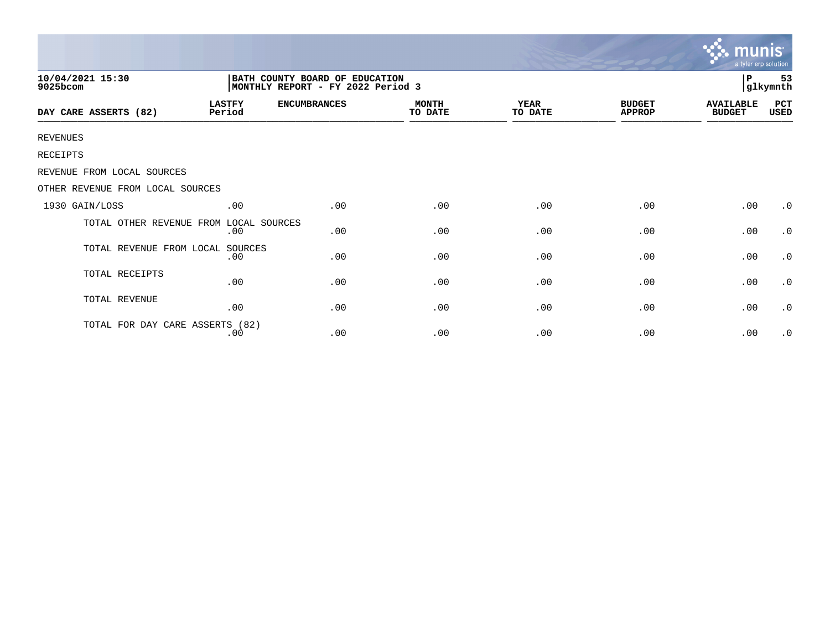|                                        |                         |                                                                      |                         |                        |                                | <b>munis</b><br>a tyler erp solution |                |
|----------------------------------------|-------------------------|----------------------------------------------------------------------|-------------------------|------------------------|--------------------------------|--------------------------------------|----------------|
| 10/04/2021 15:30<br>9025bcom           |                         | BATH COUNTY BOARD OF EDUCATION<br> MONTHLY REPORT - FY 2022 Period 3 |                         |                        |                                | P                                    | 53<br>glkymnth |
| DAY CARE ASSERTS (82)                  | <b>LASTFY</b><br>Period | <b>ENCUMBRANCES</b>                                                  | <b>MONTH</b><br>TO DATE | <b>YEAR</b><br>TO DATE | <b>BUDGET</b><br><b>APPROP</b> | <b>AVAILABLE</b><br><b>BUDGET</b>    | PCT<br>USED    |
| <b>REVENUES</b>                        |                         |                                                                      |                         |                        |                                |                                      |                |
| <b>RECEIPTS</b>                        |                         |                                                                      |                         |                        |                                |                                      |                |
| REVENUE FROM LOCAL SOURCES             |                         |                                                                      |                         |                        |                                |                                      |                |
| OTHER REVENUE FROM LOCAL SOURCES       |                         |                                                                      |                         |                        |                                |                                      |                |
| 1930 GAIN/LOSS                         | .00                     | .00                                                                  | .00                     | .00                    | .00                            | .00                                  | $\cdot$ 0      |
| TOTAL OTHER REVENUE FROM LOCAL SOURCES | .00                     | .00                                                                  | .00                     | .00                    | .00                            | .00                                  | $\cdot$ 0      |
| TOTAL REVENUE FROM LOCAL               | SOURCES<br>.00          | .00                                                                  | .00                     | .00                    | .00                            | .00                                  | $\cdot$ 0      |
| TOTAL RECEIPTS                         | .00                     | .00                                                                  | .00                     | .00                    | .00                            | .00                                  | $\cdot$ 0      |
| TOTAL REVENUE                          | .00                     | .00                                                                  | .00                     | .00                    | .00                            | .00                                  | $\cdot$ 0      |
| TOTAL FOR DAY CARE ASSERTS (82)        | .00                     | .00                                                                  | .00                     | .00                    | .00                            | .00                                  | $\cdot$ 0      |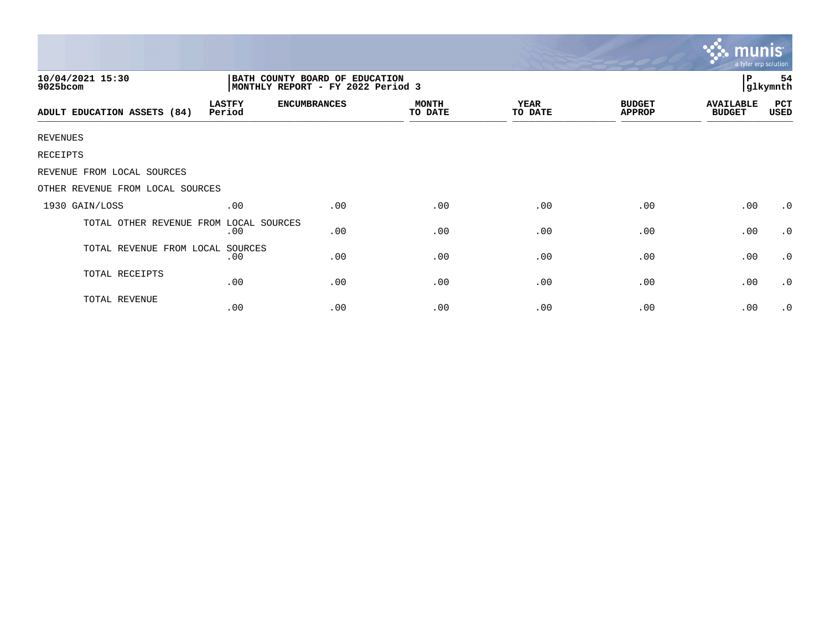|                                        |                         |                                                                     |                         |                        |                                | mun<br>a tyler erp solution       |                |
|----------------------------------------|-------------------------|---------------------------------------------------------------------|-------------------------|------------------------|--------------------------------|-----------------------------------|----------------|
| 10/04/2021 15:30<br>9025bcom           |                         | BATH COUNTY BOARD OF EDUCATION<br>MONTHLY REPORT - FY 2022 Period 3 |                         |                        |                                | P                                 | 54<br>glkymnth |
| ADULT EDUCATION ASSETS (84)            | <b>LASTFY</b><br>Period | <b>ENCUMBRANCES</b>                                                 | <b>MONTH</b><br>TO DATE | <b>YEAR</b><br>TO DATE | <b>BUDGET</b><br><b>APPROP</b> | <b>AVAILABLE</b><br><b>BUDGET</b> | PCT<br>USED    |
| <b>REVENUES</b>                        |                         |                                                                     |                         |                        |                                |                                   |                |
| RECEIPTS                               |                         |                                                                     |                         |                        |                                |                                   |                |
| REVENUE FROM LOCAL SOURCES             |                         |                                                                     |                         |                        |                                |                                   |                |
| OTHER REVENUE FROM LOCAL SOURCES       |                         |                                                                     |                         |                        |                                |                                   |                |
| 1930 GAIN/LOSS                         | .00                     | .00                                                                 | .00                     | .00                    | .00                            | .00                               | $\cdot$ 0      |
| TOTAL OTHER REVENUE FROM LOCAL SOURCES | .00                     | .00                                                                 | .00                     | .00                    | .00                            | .00                               | $\cdot$ 0      |
| TOTAL REVENUE FROM LOCAL               | SOURCES<br>.00          | .00                                                                 | .00                     | .00                    | .00                            | .00                               | $\cdot$ 0      |
| TOTAL RECEIPTS                         | .00                     | .00                                                                 | .00                     | .00                    | .00                            | .00                               | $\cdot$ 0      |
| TOTAL REVENUE                          | .00                     | .00                                                                 | .00                     | .00                    | .00                            | .00                               | $\cdot$ 0      |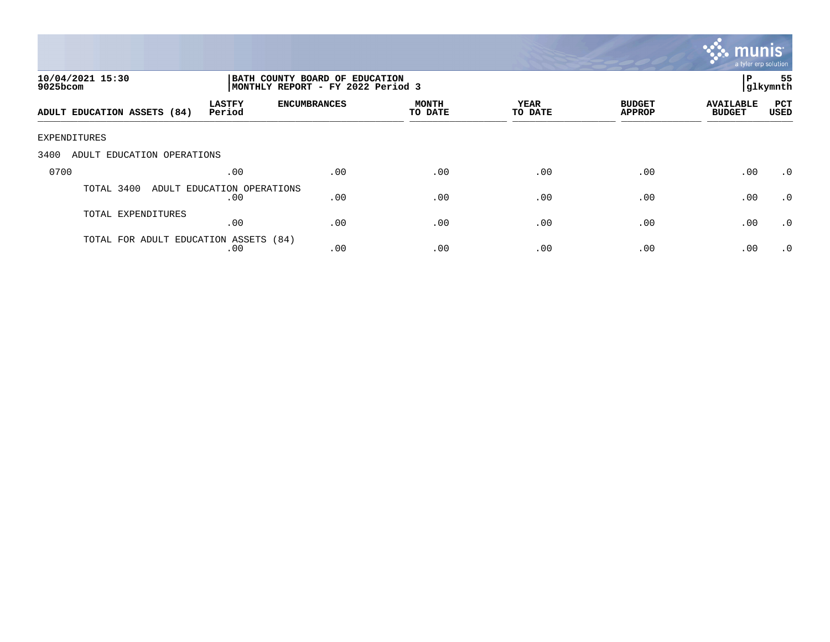

| 10/04/2021 15:30<br>9025bcom          |                                   | BATH COUNTY BOARD OF EDUCATION<br>MONTHLY REPORT - FY 2022 Period 3 | 55<br>P<br> glkymnth    |                 |                                |                                   |                    |
|---------------------------------------|-----------------------------------|---------------------------------------------------------------------|-------------------------|-----------------|--------------------------------|-----------------------------------|--------------------|
| ADULT EDUCATION ASSETS (84)           | <b>LASTFY</b><br>Period           | <b>ENCUMBRANCES</b>                                                 | <b>MONTH</b><br>TO DATE | YEAR<br>TO DATE | <b>BUDGET</b><br><b>APPROP</b> | <b>AVAILABLE</b><br><b>BUDGET</b> | PCT<br><b>USED</b> |
| EXPENDITURES                          |                                   |                                                                     |                         |                 |                                |                                   |                    |
| 3400<br>ADULT EDUCATION OPERATIONS    |                                   |                                                                     |                         |                 |                                |                                   |                    |
| 0700                                  | .00                               | .00                                                                 | .00                     | .00             | .00                            | .00                               | $\cdot$ 0          |
| TOTAL 3400                            | ADULT EDUCATION OPERATIONS<br>.00 | .00                                                                 | .00                     | .00             | .00                            | .00                               | $\cdot$ 0          |
| TOTAL EXPENDITURES                    | .00                               | .00                                                                 | .00                     | .00             | .00                            | .00                               | .0                 |
| TOTAL FOR ADULT EDUCATION ASSETS (84) | .00                               | .00                                                                 | .00                     | .00             | .00                            | .00                               | $\cdot$ 0          |